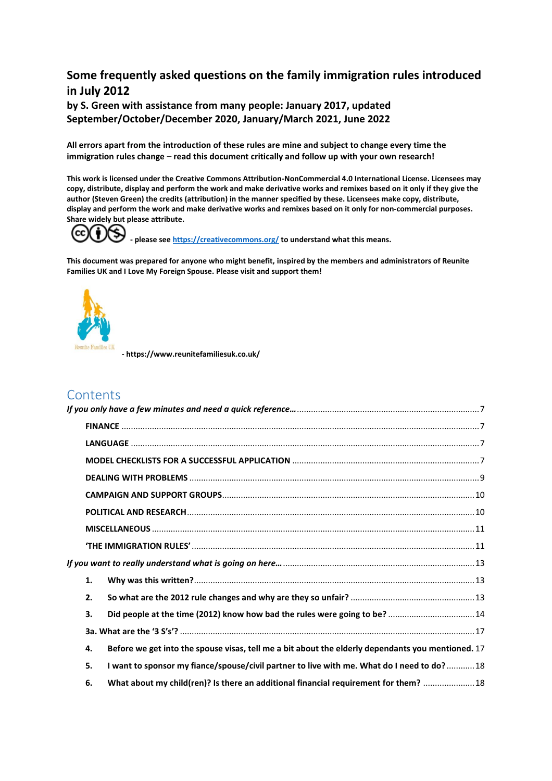# **Some frequently asked questions on the family immigration rules introduced in July 2012**

**by S. Green with assistance from many people: January 2017, updated September/October/December 2020, January/March 2021, June 2022**

**All errors apart from the introduction of these rules are mine and subject to change every time the immigration rules change – read this document critically and follow up with your own research!**

**This work is licensed under the Creative Commons Attribution-NonCommercial 4.0 International License. Licensees may copy, distribute, display and perform the work and make derivative works and remixes based on it only if they give the author (Steven Green) the credits (attribution) in the manner specified by these. Licensees make copy, distribute, display and perform the work and make derivative works and remixes based on it only for non-commercial purposes. Share widely but please attribute.** 

cc

**- please se[e https://creativecommons.org/](https://creativecommons.org/) to understand what this means.**

**This document was prepared for anyone who might benefit, inspired by the members and administrators of Reunite Families UK and I Love My Foreign Spouse. Please visit and support them!** 



**- https://www.reunitefamiliesuk.co.uk/**

# **Contents**

|  | 1. |                                                                                                   |
|--|----|---------------------------------------------------------------------------------------------------|
|  | 2. |                                                                                                   |
|  | 3. | Did people at the time (2012) know how bad the rules were going to be?  14                        |
|  |    |                                                                                                   |
|  | 4. | Before we get into the spouse visas, tell me a bit about the elderly dependants you mentioned. 17 |
|  | 5. | I want to sponsor my fiance/spouse/civil partner to live with me. What do I need to do? 18        |
|  | 6. | What about my child(ren)? Is there an additional financial requirement for them?  18              |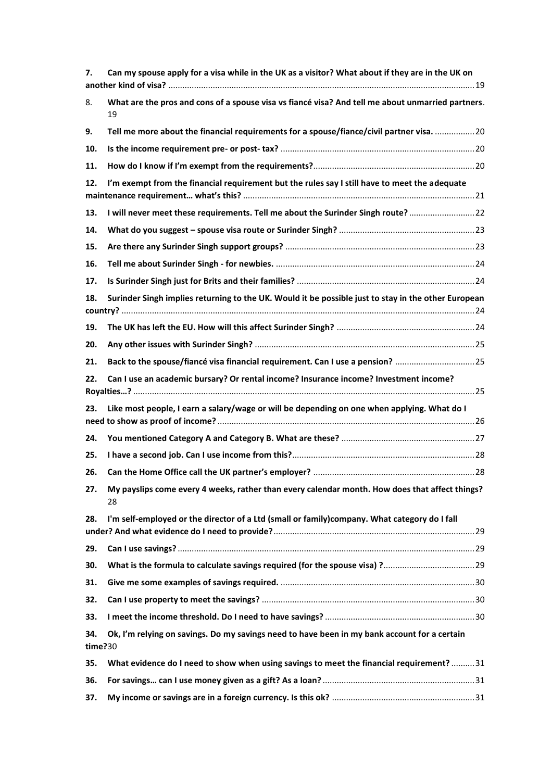| 7.             | Can my spouse apply for a visa while in the UK as a visitor? What about if they are in the UK on        |  |
|----------------|---------------------------------------------------------------------------------------------------------|--|
| 8.             | What are the pros and cons of a spouse visa vs fiancé visa? And tell me about unmarried partners.<br>19 |  |
| 9.             | Tell me more about the financial requirements for a spouse/fiance/civil partner visa.  20               |  |
| 10.            |                                                                                                         |  |
| 11.            |                                                                                                         |  |
| 12.            | I'm exempt from the financial requirement but the rules say I still have to meet the adequate           |  |
| 13.            | I will never meet these requirements. Tell me about the Surinder Singh route?22                         |  |
| 14.            |                                                                                                         |  |
| 15.            |                                                                                                         |  |
| 16.            |                                                                                                         |  |
| 17.            |                                                                                                         |  |
| 18.            | Surinder Singh implies returning to the UK. Would it be possible just to stay in the other European     |  |
| 19.            |                                                                                                         |  |
| 20.            |                                                                                                         |  |
| 21.            | Back to the spouse/fiancé visa financial requirement. Can I use a pension?  25                          |  |
| 22.            | Can I use an academic bursary? Or rental income? Insurance income? Investment income?                   |  |
| 23.            | Like most people, I earn a salary/wage or will be depending on one when applying. What do I             |  |
| 24.            |                                                                                                         |  |
| 25.            |                                                                                                         |  |
| 26.            |                                                                                                         |  |
| 27.            | My payslips come every 4 weeks, rather than every calendar month. How does that affect things?<br>28    |  |
| 28.            | I'm self-employed or the director of a Ltd (small or family)company. What category do I fall            |  |
| 29.            |                                                                                                         |  |
| 30.            |                                                                                                         |  |
| 31.            |                                                                                                         |  |
| 32.            |                                                                                                         |  |
| 33.            |                                                                                                         |  |
| 34.<br>time?30 | Ok, I'm relying on savings. Do my savings need to have been in my bank account for a certain            |  |
| 35.            | What evidence do I need to show when using savings to meet the financial requirement?31                 |  |
| 36.            |                                                                                                         |  |
| 37.            |                                                                                                         |  |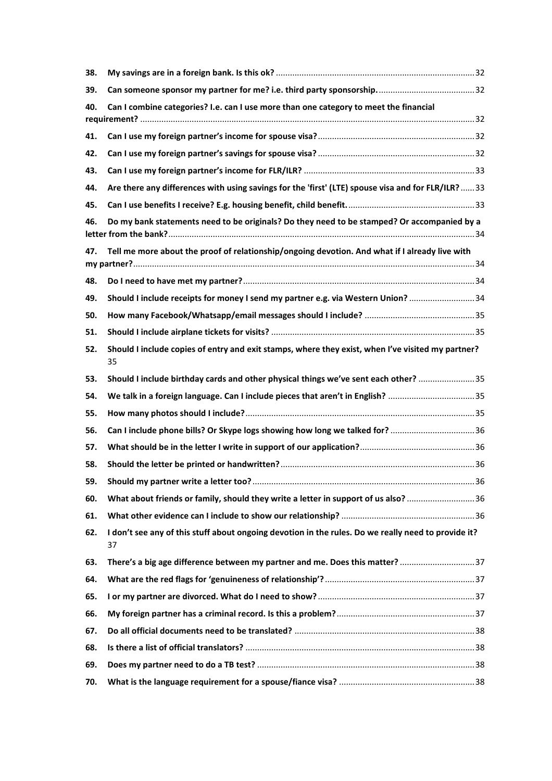| 38. |                                                                                                           |  |
|-----|-----------------------------------------------------------------------------------------------------------|--|
| 39. |                                                                                                           |  |
| 40. | Can I combine categories? I.e. can I use more than one category to meet the financial                     |  |
|     |                                                                                                           |  |
| 41. |                                                                                                           |  |
| 42. |                                                                                                           |  |
| 43. |                                                                                                           |  |
| 44. | Are there any differences with using savings for the 'first' (LTE) spouse visa and for FLR/ILR?33         |  |
| 45. |                                                                                                           |  |
| 46. | Do my bank statements need to be originals? Do they need to be stamped? Or accompanied by a               |  |
| 47. | Tell me more about the proof of relationship/ongoing devotion. And what if I already live with            |  |
| 48. |                                                                                                           |  |
| 49. | Should I include receipts for money I send my partner e.g. via Western Union? 34                          |  |
| 50. |                                                                                                           |  |
| 51. |                                                                                                           |  |
| 52. | Should I include copies of entry and exit stamps, where they exist, when I've visited my partner?<br>35   |  |
| 53. | Should I include birthday cards and other physical things we've sent each other? 35                       |  |
| 54. | We talk in a foreign language. Can I include pieces that aren't in English? 35                            |  |
| 55. |                                                                                                           |  |
| 56. | Can I include phone bills? Or Skype logs showing how long we talked for? 36                               |  |
| 57. |                                                                                                           |  |
| 58. |                                                                                                           |  |
| 59. |                                                                                                           |  |
| 60. | What about friends or family, should they write a letter in support of us also?  36                       |  |
| 61. |                                                                                                           |  |
| 62. | I don't see any of this stuff about ongoing devotion in the rules. Do we really need to provide it?<br>37 |  |
| 63. | There's a big age difference between my partner and me. Does this matter? 37                              |  |
| 64. |                                                                                                           |  |
| 65. |                                                                                                           |  |
| 66. |                                                                                                           |  |
| 67. |                                                                                                           |  |
| 68. |                                                                                                           |  |
| 69. |                                                                                                           |  |
| 70. |                                                                                                           |  |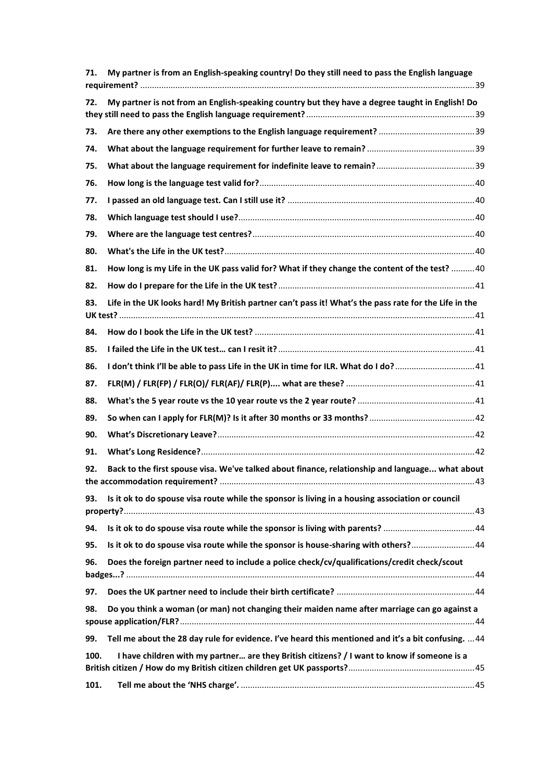| 71.  | My partner is from an English-speaking country! Do they still need to pass the English language       |
|------|-------------------------------------------------------------------------------------------------------|
| 72.  | My partner is not from an English-speaking country but they have a degree taught in English! Do       |
| 73.  |                                                                                                       |
| 74.  |                                                                                                       |
| 75.  |                                                                                                       |
| 76.  |                                                                                                       |
| 77.  |                                                                                                       |
| 78.  |                                                                                                       |
| 79.  |                                                                                                       |
| 80.  |                                                                                                       |
| 81.  | How long is my Life in the UK pass valid for? What if they change the content of the test?  40        |
| 82.  |                                                                                                       |
| 83.  | Life in the UK looks hard! My British partner can't pass it! What's the pass rate for the Life in the |
| 84.  |                                                                                                       |
| 85.  |                                                                                                       |
| 86.  | I don't think I'll be able to pass Life in the UK in time for ILR. What do I do?  41                  |
| 87.  |                                                                                                       |
| 88.  |                                                                                                       |
| 89.  |                                                                                                       |
| 90.  |                                                                                                       |
| 91.  |                                                                                                       |
| 92.  | Back to the first spouse visa. We've talked about finance, relationship and language what about       |
| 93.  | Is it ok to do spouse visa route while the sponsor is living in a housing association or council      |
|      |                                                                                                       |
| 94.  | Is it ok to do spouse visa route while the sponsor is living with parents? 44                         |
| 95.  | Is it ok to do spouse visa route while the sponsor is house-sharing with others? 44                   |
| 96.  | Does the foreign partner need to include a police check/cv/qualifications/credit check/scout          |
| 97.  |                                                                                                       |
| 98.  | Do you think a woman (or man) not changing their maiden name after marriage can go against a          |
| 99.  | Tell me about the 28 day rule for evidence. I've heard this mentioned and it's a bit confusing.  44   |
| 100. | I have children with my partner are they British citizens? / I want to know if someone is a           |
| 101. |                                                                                                       |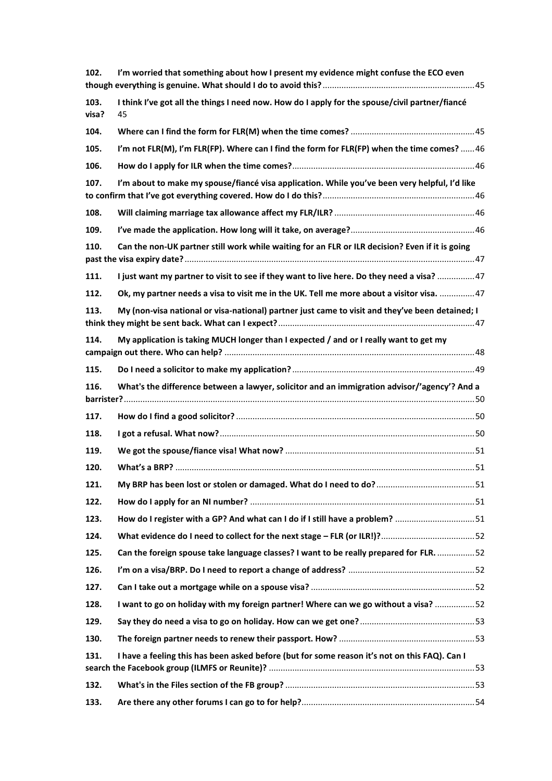| 102.          | I'm worried that something about how I present my evidence might confuse the ECO even                |  |
|---------------|------------------------------------------------------------------------------------------------------|--|
| 103.<br>visa? | I think I've got all the things I need now. How do I apply for the spouse/civil partner/fiancé<br>45 |  |
| 104.          |                                                                                                      |  |
| 105.          | I'm not FLR(M), I'm FLR(FP). Where can I find the form for FLR(FP) when the time comes? 46           |  |
| 106.          |                                                                                                      |  |
| 107.          | I'm about to make my spouse/fiancé visa application. While you've been very helpful, I'd like        |  |
| 108.          |                                                                                                      |  |
| 109.          |                                                                                                      |  |
| 110.          | Can the non-UK partner still work while waiting for an FLR or ILR decision? Even if it is going      |  |
| 111.          | I just want my partner to visit to see if they want to live here. Do they need a visa? 47            |  |
| 112.          | Ok, my partner needs a visa to visit me in the UK. Tell me more about a visitor visa.  47            |  |
| 113.          | My (non-visa national or visa-national) partner just came to visit and they've been detained; I      |  |
| 114.          | My application is taking MUCH longer than I expected / and or I really want to get my                |  |
| 115.          |                                                                                                      |  |
| 116.          | What's the difference between a lawyer, solicitor and an immigration advisor/'agency'? And a         |  |
| 117.          |                                                                                                      |  |
| 118.          |                                                                                                      |  |
| 119.          |                                                                                                      |  |
| 120.          |                                                                                                      |  |
| 121.          |                                                                                                      |  |
| 122.          |                                                                                                      |  |
| 123.          | How do I register with a GP? And what can I do if I still have a problem? 51                         |  |
| 124.          |                                                                                                      |  |
| 125.          | Can the foreign spouse take language classes? I want to be really prepared for FLR.  52              |  |
| 126.          |                                                                                                      |  |
| 127.          |                                                                                                      |  |
| 128.          | I want to go on holiday with my foreign partner! Where can we go without a visa? 52                  |  |
| 129.          |                                                                                                      |  |
| 130.          |                                                                                                      |  |
| 131.          | I have a feeling this has been asked before (but for some reason it's not on this FAQ). Can I        |  |
| 132.          |                                                                                                      |  |
| 133.          |                                                                                                      |  |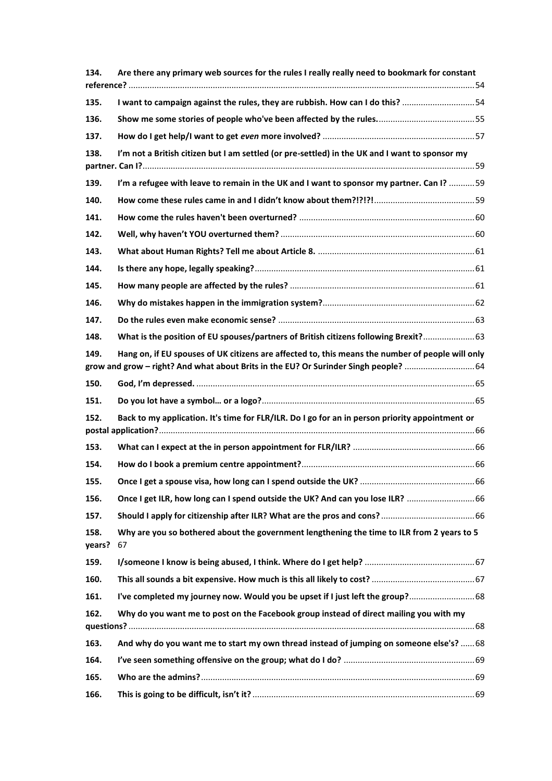| 134.           | Are there any primary web sources for the rules I really really need to bookmark for constant                                                                                           |  |
|----------------|-----------------------------------------------------------------------------------------------------------------------------------------------------------------------------------------|--|
| 135.           | I want to campaign against the rules, they are rubbish. How can I do this? 54                                                                                                           |  |
| 136.           |                                                                                                                                                                                         |  |
| 137.           |                                                                                                                                                                                         |  |
| 138.           | I'm not a British citizen but I am settled (or pre-settled) in the UK and I want to sponsor my                                                                                          |  |
| 139.           | I'm a refugee with leave to remain in the UK and I want to sponsor my partner. Can I? 59                                                                                                |  |
| 140.           |                                                                                                                                                                                         |  |
| 141.           |                                                                                                                                                                                         |  |
| 142.           |                                                                                                                                                                                         |  |
| 143.           |                                                                                                                                                                                         |  |
| 144.           |                                                                                                                                                                                         |  |
| 145.           |                                                                                                                                                                                         |  |
| 146.           |                                                                                                                                                                                         |  |
| 147.           |                                                                                                                                                                                         |  |
| 148.           | What is the position of EU spouses/partners of British citizens following Brexit? 63                                                                                                    |  |
| 149.           | Hang on, if EU spouses of UK citizens are affected to, this means the number of people will only<br>grow and grow - right? And what about Brits in the EU? Or Surinder Singh people? 64 |  |
| 150.           |                                                                                                                                                                                         |  |
| 151.           |                                                                                                                                                                                         |  |
| 152.           | Back to my application. It's time for FLR/ILR. Do I go for an in person priority appointment or                                                                                         |  |
| 153.           |                                                                                                                                                                                         |  |
| 154.           |                                                                                                                                                                                         |  |
| 155.           |                                                                                                                                                                                         |  |
| 156.           | Once I get ILR, how long can I spend outside the UK? And can you lose ILR?  66                                                                                                          |  |
| 157.           |                                                                                                                                                                                         |  |
| 158.<br>years? | Why are you so bothered about the government lengthening the time to ILR from 2 years to 5<br>67                                                                                        |  |
| 159.           |                                                                                                                                                                                         |  |
| 160.           |                                                                                                                                                                                         |  |
| 161.           | I've completed my journey now. Would you be upset if I just left the group? 68                                                                                                          |  |
| 162.           | Why do you want me to post on the Facebook group instead of direct mailing you with my                                                                                                  |  |
| 163.           | And why do you want me to start my own thread instead of jumping on someone else's?  68                                                                                                 |  |
| 164.           |                                                                                                                                                                                         |  |
| 165.           |                                                                                                                                                                                         |  |
| 166.           |                                                                                                                                                                                         |  |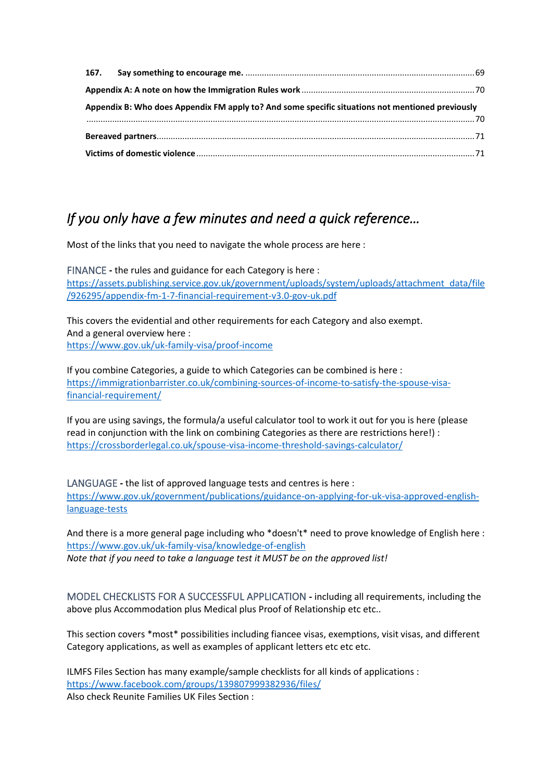| Appendix B: Who does Appendix FM apply to? And some specific situations not mentioned previously |  |
|--------------------------------------------------------------------------------------------------|--|
|                                                                                                  |  |
|                                                                                                  |  |
|                                                                                                  |  |

# <span id="page-6-0"></span>*If you only have a few minutes and need a quick reference…*

Most of the links that you need to navigate the whole process are here :

<span id="page-6-1"></span>FINANCE **-** the rules and guidance for each Category is here : [https://assets.publishing.service.gov.uk/government/uploads/system/uploads/attachment\\_data/file](https://assets.publishing.service.gov.uk/government/uploads/system/uploads/attachment_data/file/926295/appendix-fm-1-7-financial-requirement-v3.0-gov-uk.pdf) [/926295/appendix-fm-1-7-financial-requirement-v3.0-gov-uk.pdf](https://assets.publishing.service.gov.uk/government/uploads/system/uploads/attachment_data/file/926295/appendix-fm-1-7-financial-requirement-v3.0-gov-uk.pdf)

This covers the evidential and other requirements for each Category and also exempt. And a general overview here : <https://www.gov.uk/uk-family-visa/proof-income>

If you combine Categories, a guide to which Categories can be combined is here : [https://immigrationbarrister.co.uk/combining-sources-of-income-to-satisfy-the-spouse-visa](https://immigrationbarrister.co.uk/combining-sources-of-income-to-satisfy-the-spouse-visa-financial-requirement/)[financial-requirement/](https://immigrationbarrister.co.uk/combining-sources-of-income-to-satisfy-the-spouse-visa-financial-requirement/)

If you are using savings, the formula/a useful calculator tool to work it out for you is here (please read in conjunction with the link on combining Categories as there are restrictions here!) : <https://crossborderlegal.co.uk/spouse-visa-income-threshold-savings-calculator/>

<span id="page-6-2"></span>LANGUAGE **-** the list of approved language tests and centres is here : [https://www.gov.uk/government/publications/guidance-on-applying-for-uk-visa-approved-english](https://www.gov.uk/government/publications/guidance-on-applying-for-uk-visa-approved-english-language-tests)[language-tests](https://www.gov.uk/government/publications/guidance-on-applying-for-uk-visa-approved-english-language-tests)

And there is a more general page including who \*doesn't\* need to prove knowledge of English here : <https://www.gov.uk/uk-family-visa/knowledge-of-english> *Note that if you need to take a language test it MUST be on the approved list!*

<span id="page-6-3"></span>MODEL CHECKLISTS FOR A SUCCESSFUL APPLICATION **-** including all requirements, including the above plus Accommodation plus Medical plus Proof of Relationship etc etc..

This section covers \*most\* possibilities including fiancee visas, exemptions, visit visas, and different Category applications, as well as examples of applicant letters etc etc etc.

ILMFS Files Section has many example/sample checklists for all kinds of applications : <https://www.facebook.com/groups/139807999382936/files/> Also check Reunite Families UK Files Section :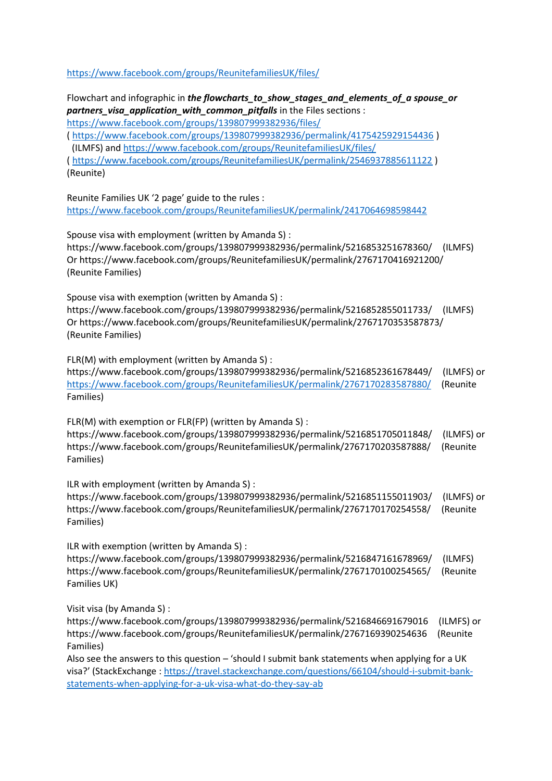<https://www.facebook.com/groups/ReunitefamiliesUK/files/>

Flowchart and infographic in *the flowcharts\_to\_show\_stages\_and\_elements\_of\_a spouse\_or partners\_visa\_application\_with\_common\_pitfalls* in the Files sections : <https://www.facebook.com/groups/139807999382936/files/>

(<https://www.facebook.com/groups/139807999382936/permalink/4175425929154436> )

(ILMFS) and<https://www.facebook.com/groups/ReunitefamiliesUK/files/>

(<https://www.facebook.com/groups/ReunitefamiliesUK/permalink/2546937885611122> ) (Reunite)

Reunite Families UK '2 page' guide to the rules : <https://www.facebook.com/groups/ReunitefamiliesUK/permalink/2417064698598442>

Spouse visa with employment (written by Amanda S) :

https://www.facebook.com/groups/139807999382936/permalink/5216853251678360/ (ILMFS) Or https://www.facebook.com/groups/ReunitefamiliesUK/permalink/2767170416921200/ (Reunite Families)

Spouse visa with exemption (written by Amanda S) :

https://www.facebook.com/groups/139807999382936/permalink/5216852855011733/ (ILMFS) Or https://www.facebook.com/groups/ReunitefamiliesUK/permalink/2767170353587873/ (Reunite Families)

FLR(M) with employment (written by Amanda S) :

https://www.facebook.com/groups/139807999382936/permalink/5216852361678449/ (ILMFS) or <https://www.facebook.com/groups/ReunitefamiliesUK/permalink/2767170283587880/> (Reunite Families)

FLR(M) with exemption or FLR(FP) (written by Amanda S) : https://www.facebook.com/groups/139807999382936/permalink/5216851705011848/ (ILMFS) or https://www.facebook.com/groups/ReunitefamiliesUK/permalink/2767170203587888/ (Reunite Families)

ILR with employment (written by Amanda S) :

https://www.facebook.com/groups/139807999382936/permalink/5216851155011903/ (ILMFS) or https://www.facebook.com/groups/ReunitefamiliesUK/permalink/2767170170254558/ (Reunite Families)

ILR with exemption (written by Amanda S) : https://www.facebook.com/groups/139807999382936/permalink/5216847161678969/ (ILMFS) https://www.facebook.com/groups/ReunitefamiliesUK/permalink/2767170100254565/ (Reunite Families UK)

Visit visa (by Amanda S) :

https://www.facebook.com/groups/139807999382936/permalink/5216846691679016 (ILMFS) or https://www.facebook.com/groups/ReunitefamiliesUK/permalink/2767169390254636 (Reunite Families)

Also see the answers to this question – 'should I submit bank statements when applying for a UK visa?' (StackExchange : [https://travel.stackexchange.com/questions/66104/should-i-submit-bank](https://travel.stackexchange.com/questions/66104/should-i-submit-bank-statements-when-applying-for-a-uk-visa-what-do-they-say-ab)[statements-when-applying-for-a-uk-visa-what-do-they-say-ab](https://travel.stackexchange.com/questions/66104/should-i-submit-bank-statements-when-applying-for-a-uk-visa-what-do-they-say-ab)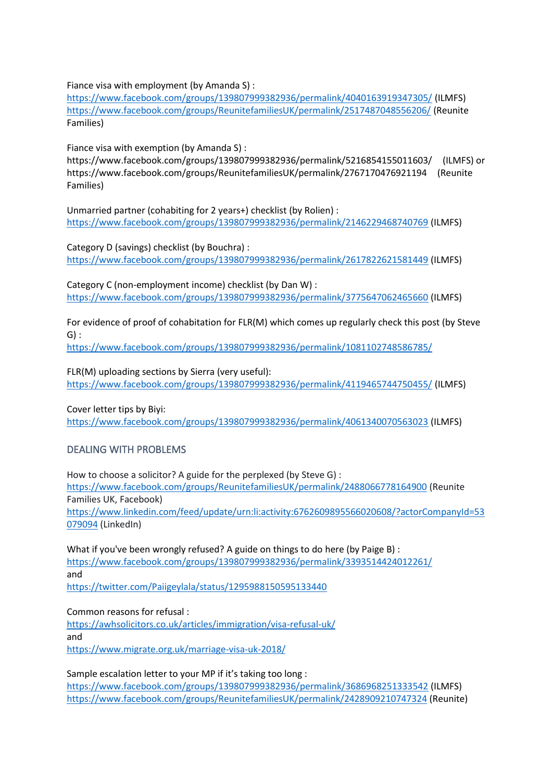Fiance visa with employment (by Amanda S) :

<https://www.facebook.com/groups/139807999382936/permalink/4040163919347305/> (ILMFS) <https://www.facebook.com/groups/ReunitefamiliesUK/permalink/2517487048556206/> (Reunite Families)

Fiance visa with exemption (by Amanda S) :

https://www.facebook.com/groups/139807999382936/permalink/5216854155011603/ (ILMFS) or https://www.facebook.com/groups/ReunitefamiliesUK/permalink/2767170476921194 (Reunite Families)

Unmarried partner (cohabiting for 2 years+) checklist (by Rolien) : <https://www.facebook.com/groups/139807999382936/permalink/2146229468740769> (ILMFS)

Category D (savings) checklist (by Bouchra) : <https://www.facebook.com/groups/139807999382936/permalink/2617822621581449> (ILMFS)

Category C (non-employment income) checklist (by Dan W) : <https://www.facebook.com/groups/139807999382936/permalink/3775647062465660> (ILMFS)

For evidence of proof of cohabitation for FLR(M) which comes up regularly check this post (by Steve G) :

<https://www.facebook.com/groups/139807999382936/permalink/1081102748586785/>

FLR(M) uploading sections by Sierra (very useful):

<https://www.facebook.com/groups/139807999382936/permalink/4119465744750455/> (ILMFS)

Cover letter tips by Biyi:

<https://www.facebook.com/groups/139807999382936/permalink/4061340070563023> (ILMFS)

### <span id="page-8-0"></span>DEALING WITH PROBLEMS

How to choose a solicitor? A guide for the perplexed (by Steve G) : <https://www.facebook.com/groups/ReunitefamiliesUK/permalink/2488066778164900> (Reunite Families UK, Facebook) [https://www.linkedin.com/feed/update/urn:li:activity:6762609895566020608/?actorCompanyId=53](https://www.linkedin.com/feed/update/urn:li:activity:6762609895566020608/?actorCompanyId=53079094) [079094](https://www.linkedin.com/feed/update/urn:li:activity:6762609895566020608/?actorCompanyId=53079094) (LinkedIn)

What if you've been wrongly refused? A guide on things to do here (by Paige B) : <https://www.facebook.com/groups/139807999382936/permalink/3393514424012261/> and

<https://twitter.com/Paiigeylala/status/1295988150595133440>

Common reasons for refusal :

<https://awhsolicitors.co.uk/articles/immigration/visa-refusal-uk/> and <https://www.migrate.org.uk/marriage-visa-uk-2018/>

Sample escalation letter to your MP if it's taking too long : <https://www.facebook.com/groups/139807999382936/permalink/3686968251333542> (ILMFS) <https://www.facebook.com/groups/ReunitefamiliesUK/permalink/2428909210747324> (Reunite)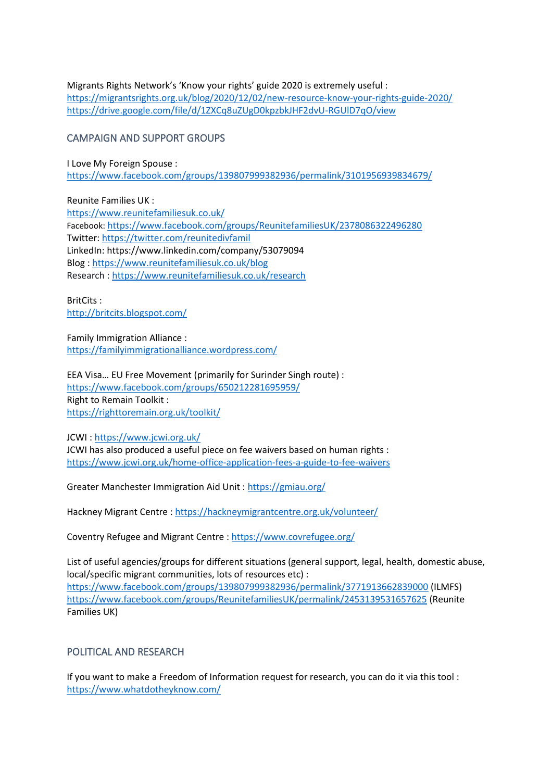Migrants Rights Network's 'Know your rights' guide 2020 is extremely useful : <https://migrantsrights.org.uk/blog/2020/12/02/new-resource-know-your-rights-guide-2020/> <https://drive.google.com/file/d/1ZXCq8uZUgD0kpzbkJHF2dvU-RGUlD7qO/view>

#### <span id="page-9-0"></span>CAMPAIGN AND SUPPORT GROUPS

I Love My Foreign Spouse : <https://www.facebook.com/groups/139807999382936/permalink/3101956939834679/>

Reunite Families UK : <https://www.reunitefamiliesuk.co.uk/> Facebook: <https://www.facebook.com/groups/ReunitefamiliesUK/2378086322496280> Twitter:<https://twitter.com/reunitedivfamil> LinkedIn: https://www.linkedin.com/company/53079094 Blog [: https://www.reunitefamiliesuk.co.uk/blog](https://www.reunitefamiliesuk.co.uk/blog) Research [: https://www.reunitefamiliesuk.co.uk/research](https://www.reunitefamiliesuk.co.uk/research)

BritCits : <http://britcits.blogspot.com/>

Family Immigration Alliance : <https://familyimmigrationalliance.wordpress.com/>

EEA Visa… EU Free Movement (primarily for Surinder Singh route) : <https://www.facebook.com/groups/650212281695959/> Right to Remain Toolkit : <https://righttoremain.org.uk/toolkit/>

JCWI :<https://www.jcwi.org.uk/> JCWI has also produced a useful piece on fee waivers based on human rights : <https://www.jcwi.org.uk/home-office-application-fees-a-guide-to-fee-waivers>

Greater Manchester Immigration Aid Unit [: https://gmiau.org/](https://gmiau.org/)

Hackney Migrant Centre[: https://hackneymigrantcentre.org.uk/volunteer/](https://hackneymigrantcentre.org.uk/volunteer/)

Coventry Refugee and Migrant Centre [: https://www.covrefugee.org/](https://www.covrefugee.org/)

List of useful agencies/groups for different situations (general support, legal, health, domestic abuse, local/specific migrant communities, lots of resources etc) :

<https://www.facebook.com/groups/139807999382936/permalink/3771913662839000> (ILMFS) <https://www.facebook.com/groups/ReunitefamiliesUK/permalink/2453139531657625> (Reunite Families UK)

### <span id="page-9-1"></span>POLITICAL AND RESEARCH

If you want to make a Freedom of Information request for research, you can do it via this tool : <https://www.whatdotheyknow.com/>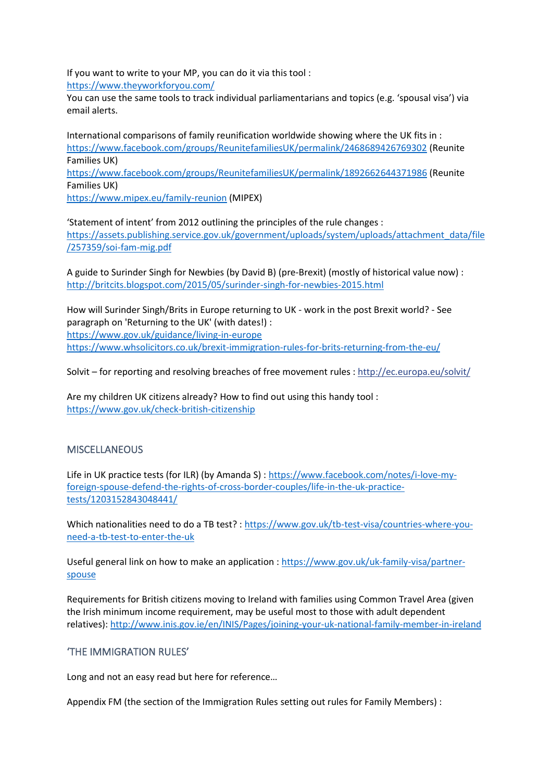If you want to write to your MP, you can do it via this tool : <https://www.theyworkforyou.com/>

You can use the same tools to track individual parliamentarians and topics (e.g. 'spousal visa') via email alerts.

International comparisons of family reunification worldwide showing where the UK fits in : <https://www.facebook.com/groups/ReunitefamiliesUK/permalink/2468689426769302> (Reunite Families UK) <https://www.facebook.com/groups/ReunitefamiliesUK/permalink/1892662644371986> (Reunite Families UK) <https://www.mipex.eu/family-reunion> (MIPEX)

'Statement of intent' from 2012 outlining the principles of the rule changes : [https://assets.publishing.service.gov.uk/government/uploads/system/uploads/attachment\\_data/file](https://assets.publishing.service.gov.uk/government/uploads/system/uploads/attachment_data/file/257359/soi-fam-mig.pdf) [/257359/soi-fam-mig.pdf](https://assets.publishing.service.gov.uk/government/uploads/system/uploads/attachment_data/file/257359/soi-fam-mig.pdf)

A guide to Surinder Singh for Newbies (by David B) (pre-Brexit) (mostly of historical value now) : <http://britcits.blogspot.com/2015/05/surinder-singh-for-newbies-2015.html>

How will Surinder Singh/Brits in Europe returning to UK - work in the post Brexit world? - See paragraph on 'Returning to the UK' (with dates!) : <https://www.gov.uk/guidance/living-in-europe> https://www.whsolicitors.co.uk/brexit-immigration-rules-for-brits-returning-from-the-eu/

Solvit – for reporting and resolving breaches of free movement rules [: http://ec.europa.eu/solvit/](http://l.facebook.com/l.php?u=http%3A%2F%2Fec.europa.eu%2Fsolvit%2F&h=ATOX1BtkGH1sMZ4A1P8lnpOHZLa_QYiqt7BboxdHiRvDaB2ZvYSn4Ts4vNmfWr-N5h0xDKgoWTk0zp8HrcRWD4t9TIJNw7NqZxsuKwwQPcb0FzOGKsQzjyh49yqx1teVoRwCOcEwmd0)

Are my children UK citizens already? How to find out using this handy tool : <https://www.gov.uk/check-british-citizenship>

#### <span id="page-10-0"></span>**MISCELLANEOUS**

Life in UK practice tests (for ILR) (by Amanda S) : [https://www.facebook.com/notes/i-love-my](https://www.facebook.com/notes/i-love-my-foreign-spouse-defend-the-rights-of-cross-border-couples/life-in-the-uk-practice-tests/1203152843048441/)[foreign-spouse-defend-the-rights-of-cross-border-couples/life-in-the-uk-practice](https://www.facebook.com/notes/i-love-my-foreign-spouse-defend-the-rights-of-cross-border-couples/life-in-the-uk-practice-tests/1203152843048441/)[tests/1203152843048441/](https://www.facebook.com/notes/i-love-my-foreign-spouse-defend-the-rights-of-cross-border-couples/life-in-the-uk-practice-tests/1203152843048441/)

Which nationalities need to do a TB test? [: https://www.gov.uk/tb-test-visa/countries-where-you](https://www.gov.uk/tb-test-visa/countries-where-you-need-a-tb-test-to-enter-the-uk)[need-a-tb-test-to-enter-the-uk](https://www.gov.uk/tb-test-visa/countries-where-you-need-a-tb-test-to-enter-the-uk)

Useful general link on how to make an application : [https://www.gov.uk/uk-family-visa/partner](https://www.gov.uk/uk-family-visa/partner-spouse)[spouse](https://www.gov.uk/uk-family-visa/partner-spouse)

Requirements for British citizens moving to Ireland with families using Common Travel Area (given the Irish minimum income requirement, may be useful most to those with adult dependent relatives):<http://www.inis.gov.ie/en/INIS/Pages/joining-your-uk-national-family-member-in-ireland>

#### <span id="page-10-1"></span>'THE IMMIGRATION RULES'

Long and not an easy read but here for reference…

Appendix FM (the section of the Immigration Rules setting out rules for Family Members) :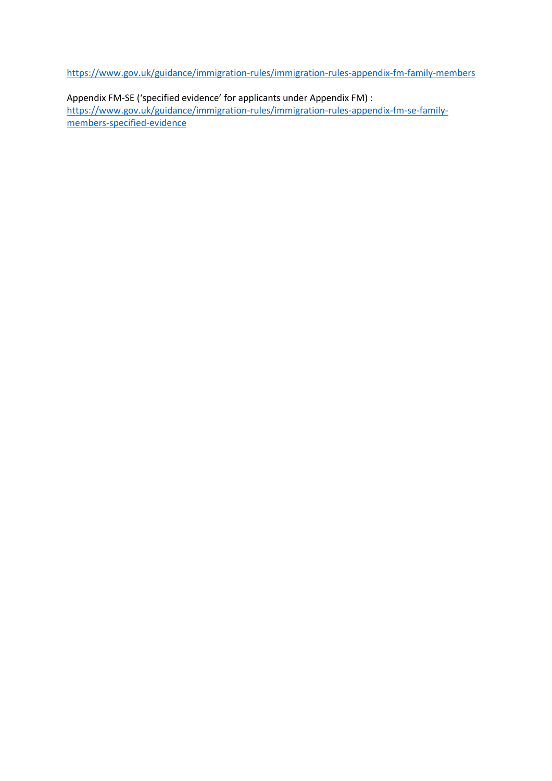<https://www.gov.uk/guidance/immigration-rules/immigration-rules-appendix-fm-family-members>

Appendix FM-SE ('specified evidence' for applicants under Appendix FM) : [https://www.gov.uk/guidance/immigration-rules/immigration-rules-appendix-fm-se-family](https://www.gov.uk/guidance/immigration-rules/immigration-rules-appendix-fm-se-family-members-specified-evidence)[members-specified-evidence](https://www.gov.uk/guidance/immigration-rules/immigration-rules-appendix-fm-se-family-members-specified-evidence)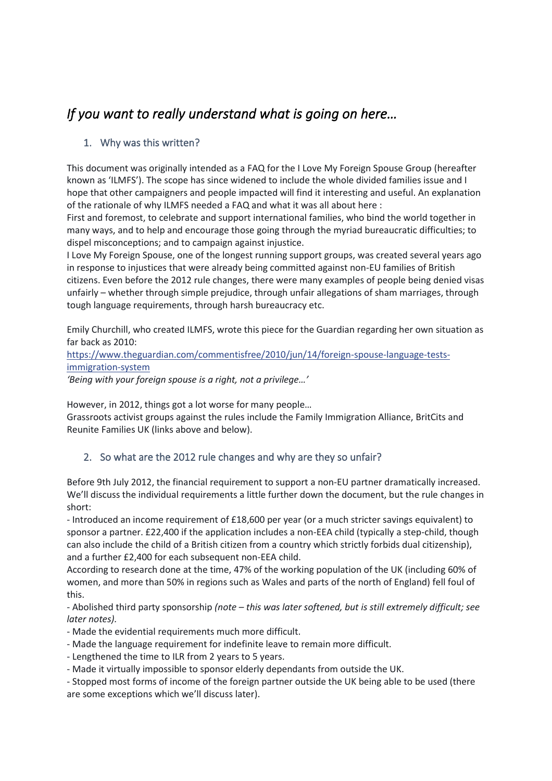# <span id="page-12-0"></span>*If you want to really understand what is going on here…*

# <span id="page-12-1"></span>1. Why was this written?

This document was originally intended as a FAQ for the I Love My Foreign Spouse Group (hereafter known as 'ILMFS'). The scope has since widened to include the whole divided families issue and I hope that other campaigners and people impacted will find it interesting and useful. An explanation of the rationale of why ILMFS needed a FAQ and what it was all about here :

First and foremost, to celebrate and support international families, who bind the world together in many ways, and to help and encourage those going through the myriad bureaucratic difficulties; to dispel misconceptions; and to campaign against injustice.

I Love My Foreign Spouse, one of the longest running support groups, was created several years ago in response to injustices that were already being committed against non-EU families of British citizens. Even before the 2012 rule changes, there were many examples of people being denied visas unfairly – whether through simple prejudice, through unfair allegations of sham marriages, through tough language requirements, through harsh bureaucracy etc.

Emily Churchill, who created ILMFS, wrote this piece for the Guardian regarding her own situation as far back as 2010:

[https://www.theguardian.com/commentisfree/2010/jun/14/foreign-spouse-language-tests](https://l.facebook.com/l.php?u=https%3A%2F%2Fwww.theguardian.com%2Fcommentisfree%2F2010%2Fjun%2F14%2Fforeign-spouse-language-tests-immigration-system&h=ATOX1BtkGH1sMZ4A1P8lnpOHZLa_QYiqt7BboxdHiRvDaB2ZvYSn4Ts4vNmfWr-N5h0xDKgoWTk0zp8HrcRWD4t9TIJNw7NqZxsuKwwQPcb0FzOGKsQzjyh49yqx1teVoRwCOcEwmd0)[immigration-system](https://l.facebook.com/l.php?u=https%3A%2F%2Fwww.theguardian.com%2Fcommentisfree%2F2010%2Fjun%2F14%2Fforeign-spouse-language-tests-immigration-system&h=ATOX1BtkGH1sMZ4A1P8lnpOHZLa_QYiqt7BboxdHiRvDaB2ZvYSn4Ts4vNmfWr-N5h0xDKgoWTk0zp8HrcRWD4t9TIJNw7NqZxsuKwwQPcb0FzOGKsQzjyh49yqx1teVoRwCOcEwmd0)

*'Being with your foreign spouse is a right, not a privilege…'*

However, in 2012, things got a lot worse for many people…

Grassroots activist groups against the rules include the Family Immigration Alliance, BritCits and Reunite Families UK (links above and below).

### <span id="page-12-2"></span>2. So what are the 2012 rule changes and why are they so unfair?

Before 9th July 2012, the financial requirement to support a non-EU partner dramatically increased. We'll discuss the individual requirements a little further down the document, but the rule changes in short:

- Introduced an income requirement of £18,600 per year (or a much stricter savings equivalent) to sponsor a partner. £22,400 if the application includes a non-EEA child (typically a step-child, though can also include the child of a British citizen from a country which strictly forbids dual citizenship), and a further £2,400 for each subsequent non-EEA child.

According to research done at the time, 47% of the working population of the UK (including 60% of women, and more than 50% in regions such as Wales and parts of the north of England) fell foul of this.

- Abolished third party sponsorship *(note – this was later softened, but is still extremely difficult; see later notes).*

- Made the evidential requirements much more difficult.
- Made the language requirement for indefinite leave to remain more difficult.
- Lengthened the time to ILR from 2 years to 5 years.
- Made it virtually impossible to sponsor elderly dependants from outside the UK.
- Stopped most forms of income of the foreign partner outside the UK being able to be used (there are some exceptions which we'll discuss later).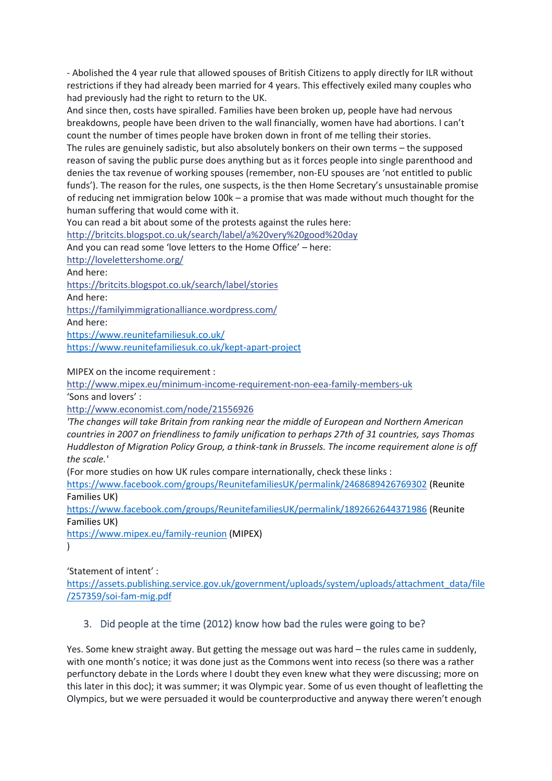- Abolished the 4 year rule that allowed spouses of British Citizens to apply directly for ILR without restrictions if they had already been married for 4 years. This effectively exiled many couples who had previously had the right to return to the UK.

And since then, costs have spiralled. Families have been broken up, people have had nervous breakdowns, people have been driven to the wall financially, women have had abortions. I can't count the number of times people have broken down in front of me telling their stories.

The rules are genuinely sadistic, but also absolutely bonkers on their own terms – the supposed reason of saving the public purse does anything but as it forces people into single parenthood and denies the tax revenue of working spouses (remember, non-EU spouses are 'not entitled to public funds'). The reason for the rules, one suspects, is the then Home Secretary's unsustainable promise of reducing net immigration below 100k – a promise that was made without much thought for the human suffering that would come with it.

You can read a bit about some of the protests against the rules here:

[http://britcits.blogspot.co.uk/search/label/a%20very%20good%20day](http://l.facebook.com/l.php?u=http%3A%2F%2Fbritcits.blogspot.co.uk%2Fsearch%2Flabel%2Fa%2520very%2520good%2520day&h=ATOX1BtkGH1sMZ4A1P8lnpOHZLa_QYiqt7BboxdHiRvDaB2ZvYSn4Ts4vNmfWr-N5h0xDKgoWTk0zp8HrcRWD4t9TIJNw7NqZxsuKwwQPcb0FzOGKsQzjyh49yqx1teVoRwCOcEwmd0)

And you can read some 'love letters to the Home Office' – here:

[http://lovelettershome.org/](http://l.facebook.com/l.php?u=http%3A%2F%2Flovelettershome.org%2F&h=ATOX1BtkGH1sMZ4A1P8lnpOHZLa_QYiqt7BboxdHiRvDaB2ZvYSn4Ts4vNmfWr-N5h0xDKgoWTk0zp8HrcRWD4t9TIJNw7NqZxsuKwwQPcb0FzOGKsQzjyh49yqx1teVoRwCOcEwmd0)

And here:

[https://britcits.blogspot.co.uk/search/label/stories](https://l.facebook.com/l.php?u=https%3A%2F%2Fbritcits.blogspot.co.uk%2Fsearch%2Flabel%2Fstories&h=ATOX1BtkGH1sMZ4A1P8lnpOHZLa_QYiqt7BboxdHiRvDaB2ZvYSn4Ts4vNmfWr-N5h0xDKgoWTk0zp8HrcRWD4t9TIJNw7NqZxsuKwwQPcb0FzOGKsQzjyh49yqx1teVoRwCOcEwmd0)

And here:

[https://familyimmigrationalliance.wordpress.com/](https://l.facebook.com/l.php?u=https%3A%2F%2Ffamilyimmigrationalliance.wordpress.com%2F&h=ATOX1BtkGH1sMZ4A1P8lnpOHZLa_QYiqt7BboxdHiRvDaB2ZvYSn4Ts4vNmfWr-N5h0xDKgoWTk0zp8HrcRWD4t9TIJNw7NqZxsuKwwQPcb0FzOGKsQzjyh49yqx1teVoRwCOcEwmd0)

And here:

<https://www.reunitefamiliesuk.co.uk/>

<https://www.reunitefamiliesuk.co.uk/kept-apart-project>

MIPEX on the income requirement :

[http://www.mipex.eu/minimum-income-requirement-non-eea-family-members-uk](http://l.facebook.com/l.php?u=http%3A%2F%2Fwww.mipex.eu%2Fminimum-income-requirement-non-eea-family-members-uk&h=ATOX1BtkGH1sMZ4A1P8lnpOHZLa_QYiqt7BboxdHiRvDaB2ZvYSn4Ts4vNmfWr-N5h0xDKgoWTk0zp8HrcRWD4t9TIJNw7NqZxsuKwwQPcb0FzOGKsQzjyh49yqx1teVoRwCOcEwmd0)

'Sons and lovers' :

[http://www.economist.com/node/21556926](http://l.facebook.com/l.php?u=http%3A%2F%2Fwww.economist.com%2Fnode%2F21556926&h=ATOX1BtkGH1sMZ4A1P8lnpOHZLa_QYiqt7BboxdHiRvDaB2ZvYSn4Ts4vNmfWr-N5h0xDKgoWTk0zp8HrcRWD4t9TIJNw7NqZxsuKwwQPcb0FzOGKsQzjyh49yqx1teVoRwCOcEwmd0)

*'The changes will take Britain from ranking near the middle of European and Northern American countries in 2007 on friendliness to family unification to perhaps 27th of 31 countries, says Thomas Huddleston of Migration Policy Group, a think-tank in Brussels. The income requirement alone is off the scale.'*

(For more studies on how UK rules compare internationally, check these links :

<https://www.facebook.com/groups/ReunitefamiliesUK/permalink/2468689426769302> (Reunite Families UK)

<https://www.facebook.com/groups/ReunitefamiliesUK/permalink/1892662644371986> (Reunite Families UK)

<https://www.mipex.eu/family-reunion> (MIPEX)

 $\lambda$ 

'Statement of intent' :

[https://assets.publishing.service.gov.uk/government/uploads/system/uploads/attachment\\_data/file](https://assets.publishing.service.gov.uk/government/uploads/system/uploads/attachment_data/file/257359/soi-fam-mig.pdf) [/257359/soi-fam-mig.pdf](https://assets.publishing.service.gov.uk/government/uploads/system/uploads/attachment_data/file/257359/soi-fam-mig.pdf)

### <span id="page-13-0"></span>3. Did people at the time (2012) know how bad the rules were going to be?

Yes. Some knew straight away. But getting the message out was hard – the rules came in suddenly, with one month's notice; it was done just as the Commons went into recess (so there was a rather perfunctory debate in the Lords where I doubt they even knew what they were discussing; more on this later in this doc); it was summer; it was Olympic year. Some of us even thought of leafletting the Olympics, but we were persuaded it would be counterproductive and anyway there weren't enough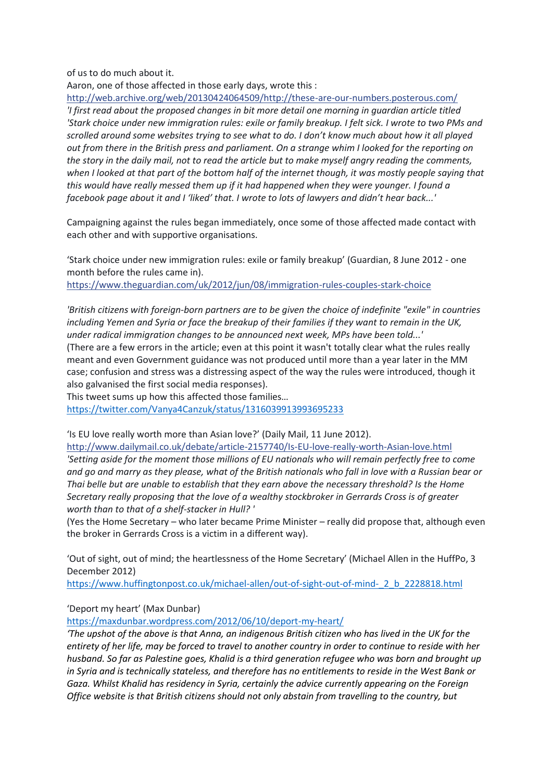of us to do much about it.

Aaron, one of those affected in those early days, wrote this :

[http://web.archive.org/web/20130424064509/http://these-are-our-numbers.posterous.com/](http://l.facebook.com/l.php?u=http%3A%2F%2Fweb.archive.org%2Fweb%2F20130424064509%2Fhttp%3A%2Fthese-are-our-numbers.posterous.com%2F&h=ATOX1BtkGH1sMZ4A1P8lnpOHZLa_QYiqt7BboxdHiRvDaB2ZvYSn4Ts4vNmfWr-N5h0xDKgoWTk0zp8HrcRWD4t9TIJNw7NqZxsuKwwQPcb0FzOGKsQzjyh49yqx1teVoRwCOcEwmd0) *'I first read about the proposed changes in bit more detail one morning in guardian article titled 'Stark choice under new immigration rules: exile or family breakup. I felt sick. I wrote to two PMs and scrolled around some websites trying to see what to do. I don't know much about how it all played out from there in the British press and parliament. On a strange whim I looked for the reporting on the story in the daily mail, not to read the article but to make myself angry reading the comments, when I looked at that part of the bottom half of the internet though, it was mostly people saying that this would have really messed them up if it had happened when they were younger. I found a facebook page about it and I 'liked' that. I wrote to lots of lawyers and didn't hear back...'*

Campaigning against the rules began immediately, once some of those affected made contact with each other and with supportive organisations.

'Stark choice under new immigration rules: exile or family breakup' (Guardian, 8 June 2012 - one month before the rules came in).

[https://www.theguardian.com/uk/2012/jun/08/immigration-rules-couples-stark-choice](https://l.facebook.com/l.php?u=https%3A%2F%2Fwww.theguardian.com%2Fuk%2F2012%2Fjun%2F08%2Fimmigration-rules-couples-stark-choice&h=ATOX1BtkGH1sMZ4A1P8lnpOHZLa_QYiqt7BboxdHiRvDaB2ZvYSn4Ts4vNmfWr-N5h0xDKgoWTk0zp8HrcRWD4t9TIJNw7NqZxsuKwwQPcb0FzOGKsQzjyh49yqx1teVoRwCOcEwmd0)

*'British citizens with foreign-born partners are to be given the choice of indefinite "exile" in countries including Yemen and Syria or face the breakup of their families if they want to remain in the UK, under radical immigration changes to be announced next week, MPs have been told...'*

(There are a few errors in the article; even at this point it wasn't totally clear what the rules really meant and even Government guidance was not produced until more than a year later in the MM case; confusion and stress was a distressing aspect of the way the rules were introduced, though it also galvanised the first social media responses).

This tweet sums up how this affected those families…

<https://twitter.com/Vanya4Canzuk/status/1316039913993695233>

'Is EU love really worth more than Asian love?' (Daily Mail, 11 June 2012).

[http://www.dailymail.co.uk/debate/article-2157740/Is-EU-love-really-worth-Asian-love.html](http://l.facebook.com/l.php?u=http%3A%2F%2Fwww.dailymail.co.uk%2Fdebate%2Farticle-2157740%2FIs-EU-love-really-worth-Asian-love.html&h=ATOX1BtkGH1sMZ4A1P8lnpOHZLa_QYiqt7BboxdHiRvDaB2ZvYSn4Ts4vNmfWr-N5h0xDKgoWTk0zp8HrcRWD4t9TIJNw7NqZxsuKwwQPcb0FzOGKsQzjyh49yqx1teVoRwCOcEwmd0) *'Setting aside for the moment those millions of EU nationals who will remain perfectly free to come and go and marry as they please, what of the British nationals who fall in love with a Russian bear or Thai belle but are unable to establish that they earn above the necessary threshold? Is the Home Secretary really proposing that the love of a wealthy stockbroker in Gerrards Cross is of greater worth than to that of a shelf-stacker in Hull? '*

(Yes the Home Secretary – who later became Prime Minister – really did propose that, although even the broker in Gerrards Cross is a victim in a different way).

'Out of sight, out of mind; the heartlessness of the Home Secretary' (Michael Allen in the HuffPo, 3 December 2012)

[https://www.huffingtonpost.co.uk/michael-allen/out-of-sight-out-of-mind-\\_2\\_b\\_2228818.html](https://www.huffingtonpost.co.uk/michael-allen/out-of-sight-out-of-mind-_2_b_2228818.html)

'Deport my heart' (Max Dunbar)

<https://maxdunbar.wordpress.com/2012/06/10/deport-my-heart/>

*'The upshot of the above is that Anna, an indigenous British citizen who has lived in the UK for the entirety of her life, may be forced to travel to another country in order to continue to reside with her husband. So far as Palestine goes, Khalid is a third generation refugee who was born and brought up in Syria and is technically stateless, and therefore has no entitlements to reside in the West Bank or Gaza. Whilst Khalid has residency in Syria, certainly the advice currently appearing on the Foreign Office website is that British citizens should not only abstain from travelling to the country, but*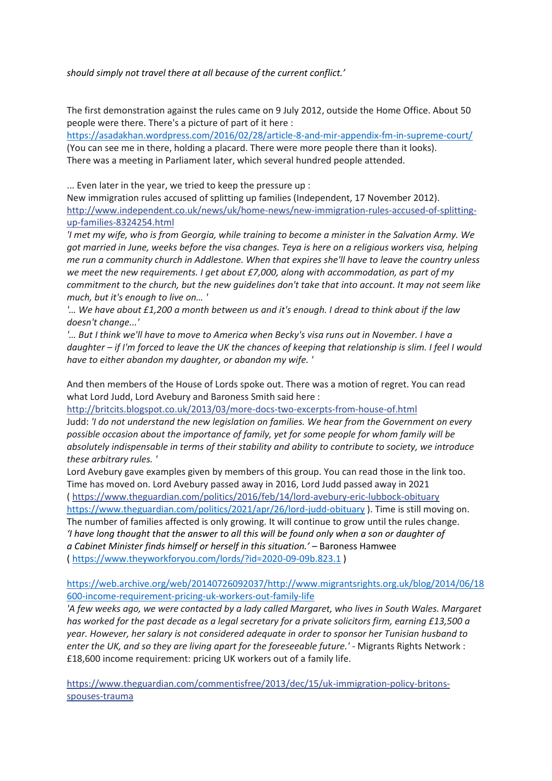*should simply not travel there at all because of the current conflict.'*

The first demonstration against the rules came on 9 July 2012, outside the Home Office. About 50 people were there. There's a picture of part of it here :

<https://asadakhan.wordpress.com/2016/02/28/article-8-and-mir-appendix-fm-in-supreme-court/> (You can see me in there, holding a placard. There were more people there than it looks). There was a meeting in Parliament later, which several hundred people attended.

... Even later in the year, we tried to keep the pressure up :

New immigration rules accused of splitting up families (Independent, 17 November 2012). [http://www.independent.co.uk/news/uk/home-news/new-immigration-rules-accused-of-splitting](http://l.facebook.com/l.php?u=http%3A%2F%2Fwww.independent.co.uk%2Fnews%2Fuk%2Fhome-news%2Fnew-immigration-rules-accused-of-splitting-up-families-8324254.html&h=ATOX1BtkGH1sMZ4A1P8lnpOHZLa_QYiqt7BboxdHiRvDaB2ZvYSn4Ts4vNmfWr-N5h0xDKgoWTk0zp8HrcRWD4t9TIJNw7NqZxsuKwwQPcb0FzOGKsQzjyh49yqx1teVoRwCOcEwmd0)[up-families-8324254.html](http://l.facebook.com/l.php?u=http%3A%2F%2Fwww.independent.co.uk%2Fnews%2Fuk%2Fhome-news%2Fnew-immigration-rules-accused-of-splitting-up-families-8324254.html&h=ATOX1BtkGH1sMZ4A1P8lnpOHZLa_QYiqt7BboxdHiRvDaB2ZvYSn4Ts4vNmfWr-N5h0xDKgoWTk0zp8HrcRWD4t9TIJNw7NqZxsuKwwQPcb0FzOGKsQzjyh49yqx1teVoRwCOcEwmd0)

*'I met my wife, who is from Georgia, while training to become a minister in the Salvation Army. We got married in June, weeks before the visa changes. Teya is here on a religious workers visa, helping me run a community church in Addlestone. When that expires she'll have to leave the country unless we meet the new requirements. I get about £7,000, along with accommodation, as part of my commitment to the church, but the new guidelines don't take that into account. It may not seem like much, but it's enough to live on… '*

*'… We have about £1,200 a month between us and it's enough. I dread to think about if the law doesn't change...'*

*'… But I think we'll have to move to America when Becky's visa runs out in November. I have a daughter – if I'm forced to leave the UK the chances of keeping that relationship is slim. I feel I would have to either abandon my daughter, or abandon my wife. '*

And then members of the House of Lords spoke out. There was a motion of regret. You can read what Lord Judd, Lord Avebury and Baroness Smith said here :

[http://britcits.blogspot.co.uk/2013/03/more-docs-two-excerpts-from-house-of.html](http://l.facebook.com/l.php?u=http%3A%2F%2Fbritcits.blogspot.co.uk%2F2013%2F03%2Fmore-docs-two-excerpts-from-house-of.html&h=ATOX1BtkGH1sMZ4A1P8lnpOHZLa_QYiqt7BboxdHiRvDaB2ZvYSn4Ts4vNmfWr-N5h0xDKgoWTk0zp8HrcRWD4t9TIJNw7NqZxsuKwwQPcb0FzOGKsQzjyh49yqx1teVoRwCOcEwmd0) Judd: *'I do not understand the new legislation on families. We hear from the Government on every possible occasion about the importance of family, yet for some people for whom family will be absolutely indispensable in terms of their stability and ability to contribute to society, we introduce these arbitrary rules. '*

Lord Avebury gave examples given by members of this group. You can read those in the link too. Time has moved on. Lord Avebury passed away in 2016, Lord Judd passed away in 2021 ( https://www.theguardian.com/politics/2016/feb/14/lord-avebury-eric-lubbock-obituary <https://www.theguardian.com/politics/2021/apr/26/lord-judd-obituary> ). Time is still moving on. The number of families affected is only growing. It will continue to grow until the rules change. *'I have long thought that the answer to all this will be found only when a son or daughter of a [Cabinet](https://www.theyworkforyou.com/glossary/?gl=108) [Minister](https://www.theyworkforyou.com/glossary/?gl=35) finds himself or herself in this situation.' –* Baroness Hamwee (<https://www.theyworkforyou.com/lords/?id=2020-09-09b.823.1> )

[https://web.archive.org/web/20140726092037/http://www.migrantsrights.org.uk/blog/2014/06/18](https://web.archive.org/web/20140726092037/http:/www.migrantsrights.org.uk/blog/2014/06/18600-income-requirement-pricing-uk-workers-out-family-life) [600-income-requirement-pricing-uk-workers-out-family-life](https://web.archive.org/web/20140726092037/http:/www.migrantsrights.org.uk/blog/2014/06/18600-income-requirement-pricing-uk-workers-out-family-life)

*'A few weeks ago, we were contacted by a lady called Margaret, who lives in South Wales. Margaret has worked for the past decade as a legal secretary for a private solicitors firm, earning £13,500 a year. However, her salary is not considered adequate in order to sponsor her Tunisian husband to enter the UK, and so they are living apart for the foreseeable future.' -* Migrants Rights Network : £18,600 income requirement: pricing UK workers out of a family life.

[https://www.theguardian.com/commentisfree/2013/dec/15/uk-immigration-policy-britons](https://l.facebook.com/l.php?u=https%3A%2F%2Fwww.theguardian.com%2Fcommentisfree%2F2013%2Fdec%2F15%2Fuk-immigration-policy-britons-spouses-trauma&h=ATOX1BtkGH1sMZ4A1P8lnpOHZLa_QYiqt7BboxdHiRvDaB2ZvYSn4Ts4vNmfWr-N5h0xDKgoWTk0zp8HrcRWD4t9TIJNw7NqZxsuKwwQPcb0FzOGKsQzjyh49yqx1teVoRwCOcEwmd0)[spouses-trauma](https://l.facebook.com/l.php?u=https%3A%2F%2Fwww.theguardian.com%2Fcommentisfree%2F2013%2Fdec%2F15%2Fuk-immigration-policy-britons-spouses-trauma&h=ATOX1BtkGH1sMZ4A1P8lnpOHZLa_QYiqt7BboxdHiRvDaB2ZvYSn4Ts4vNmfWr-N5h0xDKgoWTk0zp8HrcRWD4t9TIJNw7NqZxsuKwwQPcb0FzOGKsQzjyh49yqx1teVoRwCOcEwmd0)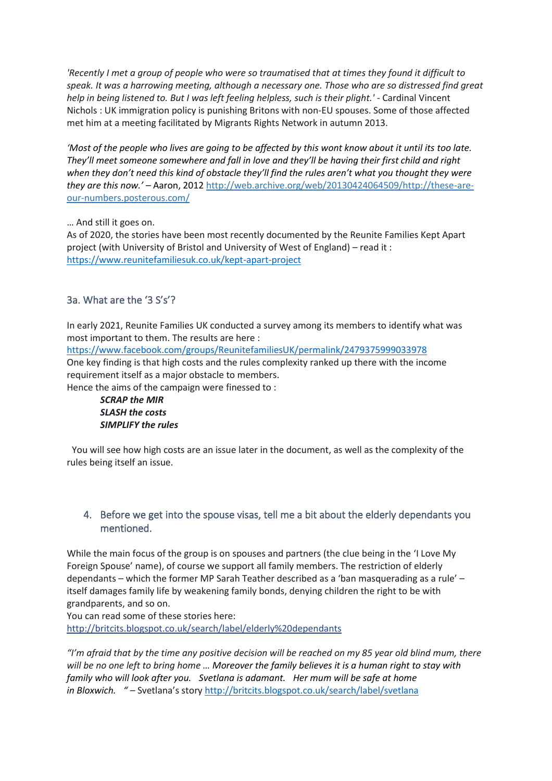*'Recently I met a group of people who were so traumatised that at times they found it difficult to speak. It was a harrowing meeting, although a necessary one. Those who are so distressed find great help in being listened to. But I was left feeling helpless, such is their plight.' -* Cardinal Vincent Nichols : UK immigration policy is punishing Britons with non-EU spouses. Some of those affected met him at a meeting facilitated by Migrants Rights Network in autumn 2013.

*'Most of the people who lives are going to be affected by this wont know about it until its too late. They'll meet someone somewhere and fall in love and they'll be having their first child and right when they don't need this kind of obstacle they'll find the rules aren't what you thought they were they are this now.' –* Aaron, 2012 [http://web.archive.org/web/20130424064509/http://these-are](http://web.archive.org/web/20130424064509/http:/these-are-our-numbers.posterous.com/)[our-numbers.posterous.com/](http://web.archive.org/web/20130424064509/http:/these-are-our-numbers.posterous.com/)

… And still it goes on.

As of 2020, the stories have been most recently documented by the Reunite Families Kept Apart project (with University of Bristol and University of West of England) – read it : <https://www.reunitefamiliesuk.co.uk/kept-apart-project>

# <span id="page-16-0"></span>3a. What are the '3 S's'?

In early 2021, Reunite Families UK conducted a survey among its members to identify what was most important to them. The results are here :

<https://www.facebook.com/groups/ReunitefamiliesUK/permalink/2479375999033978> One key finding is that high costs and the rules complexity ranked up there with the income requirement itself as a major obstacle to members.

Hence the aims of the campaign were finessed to :

*SCRAP the MIR SLASH the costs SIMPLIFY the rules*

You will see how high costs are an issue later in the document, as well as the complexity of the rules being itself an issue.

#### <span id="page-16-1"></span>4. Before we get into the spouse visas, tell me a bit about the elderly dependants you mentioned.

While the main focus of the group is on spouses and partners (the clue being in the 'I Love My Foreign Spouse' name), of course we support all family members. The restriction of elderly dependants – which the former MP Sarah Teather described as a 'ban masquerading as a rule' – itself damages family life by weakening family bonds, denying children the right to be with grandparents, and so on.

You can read some of these stories here: [http://britcits.blogspot.co.uk/search/label/elderly%20dependants](http://l.facebook.com/l.php?u=http%3A%2F%2Fbritcits.blogspot.co.uk%2Fsearch%2Flabel%2Felderly%2520dependants&h=ATOX1BtkGH1sMZ4A1P8lnpOHZLa_QYiqt7BboxdHiRvDaB2ZvYSn4Ts4vNmfWr-N5h0xDKgoWTk0zp8HrcRWD4t9TIJNw7NqZxsuKwwQPcb0FzOGKsQzjyh49yqx1teVoRwCOcEwmd0)

*"I'm afraid that by the time any positive decision will be reached on my 85 year old blind mum, there will be no one left to bring home … Moreover the family believes it is a human right to stay with family who will look after you. Svetlana is adamant. Her mum will be safe at home in [Bloxwich.](http://en.wikipedia.org/wiki/Bloxwich) " –* Svetlana's story <http://britcits.blogspot.co.uk/search/label/svetlana>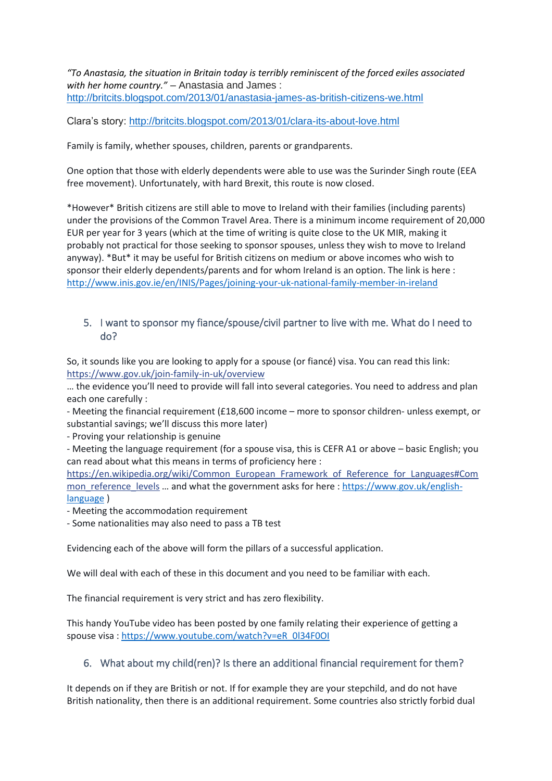*"To Anastasia, the situation in Britain today is terribly reminiscent of the forced exiles associated with her home country."* – Anastasia and James : <http://britcits.blogspot.com/2013/01/anastasia-james-as-british-citizens-we.html>

Clara's story:<http://britcits.blogspot.com/2013/01/clara-its-about-love.html>

Family is family, whether spouses, children, parents or grandparents.

One option that those with elderly dependents were able to use was the Surinder Singh route (EEA free movement). Unfortunately, with hard Brexit, this route is now closed.

\*However\* British citizens are still able to move to Ireland with their families (including parents) under the provisions of the Common Travel Area. There is a minimum income requirement of 20,000 EUR per year for 3 years (which at the time of writing is quite close to the UK MIR, making it probably not practical for those seeking to sponsor spouses, unless they wish to move to Ireland anyway). \*But\* it may be useful for British citizens on medium or above incomes who wish to sponsor their elderly dependents/parents and for whom Ireland is an option. The link is here : <http://www.inis.gov.ie/en/INIS/Pages/joining-your-uk-national-family-member-in-ireland>

#### <span id="page-17-0"></span>5. I want to sponsor my fiance/spouse/civil partner to live with me. What do I need to do?

So, it sounds like you are looking to apply for a spouse (or fiancé) visa. You can read this link: [https://www.gov.uk/join-family-in-uk/overview](https://l.facebook.com/l.php?u=https%3A%2F%2Fwww.gov.uk%2Fjoin-family-in-uk%2Foverview&h=ATOX1BtkGH1sMZ4A1P8lnpOHZLa_QYiqt7BboxdHiRvDaB2ZvYSn4Ts4vNmfWr-N5h0xDKgoWTk0zp8HrcRWD4t9TIJNw7NqZxsuKwwQPcb0FzOGKsQzjyh49yqx1teVoRwCOcEwmd0)

… the evidence you'll need to provide will fall into several categories. You need to address and plan each one carefully :

- Meeting the financial requirement (£18,600 income – more to sponsor children- unless exempt, or substantial savings; we'll discuss this more later)

- Proving your relationship is genuine

- Meeting the language requirement (for a spouse visa, this is CEFR A1 or above – basic English; you can read about what this means in terms of proficiency here :

[https://en.wikipedia.org/wiki/Common\\_European\\_Framework\\_of\\_Reference\\_for\\_Languages#Com](https://l.facebook.com/l.php?u=https%3A%2F%2Fen.wikipedia.org%2Fwiki%2FCommon_European_Framework_of_Reference_for_Languages%23Common_reference_levels&h=ATOX1BtkGH1sMZ4A1P8lnpOHZLa_QYiqt7BboxdHiRvDaB2ZvYSn4Ts4vNmfWr-N5h0xDKgoWTk0zp8HrcRWD4t9TIJNw7NqZxsuKwwQPcb0FzOGKsQzjyh49yqx1teVoRwCOcEwmd0) [mon\\_reference\\_levels](https://l.facebook.com/l.php?u=https%3A%2F%2Fen.wikipedia.org%2Fwiki%2FCommon_European_Framework_of_Reference_for_Languages%23Common_reference_levels&h=ATOX1BtkGH1sMZ4A1P8lnpOHZLa_QYiqt7BboxdHiRvDaB2ZvYSn4Ts4vNmfWr-N5h0xDKgoWTk0zp8HrcRWD4t9TIJNw7NqZxsuKwwQPcb0FzOGKsQzjyh49yqx1teVoRwCOcEwmd0) ... and what the government asks for here : [https://www.gov.uk/english](https://www.gov.uk/english-language)[language](https://www.gov.uk/english-language) )

- Meeting the accommodation requirement

- Some nationalities may also need to pass a TB test

Evidencing each of the above will form the pillars of a successful application.

We will deal with each of these in this document and you need to be familiar with each.

The financial requirement is very strict and has zero flexibility.

This handy YouTube video has been posted by one family relating their experience of getting a spouse visa : [https://www.youtube.com/watch?v=eR\\_0l34F0OI](https://www.youtube.com/watch?v=eR_0l34F0OI)

### <span id="page-17-1"></span>6. What about my child(ren)? Is there an additional financial requirement for them?

It depends on if they are British or not. If for example they are your stepchild, and do not have British nationality, then there is an additional requirement. Some countries also strictly forbid dual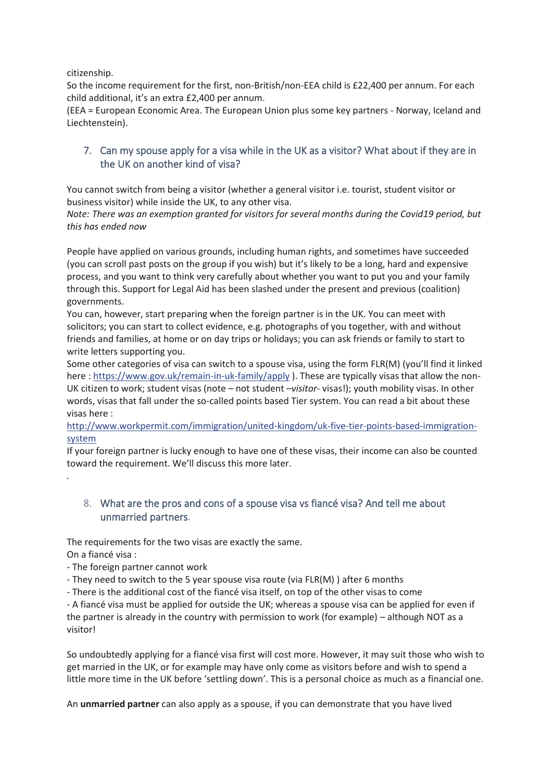citizenship.

So the income requirement for the first, non-British/non-EEA child is £22,400 per annum. For each child additional, it's an extra £2,400 per annum.

(EEA = European Economic Area. The European Union plus some key partners - Norway, Iceland and Liechtenstein).

### <span id="page-18-0"></span>7. Can my spouse apply for a visa while in the UK as a visitor? What about if they are in the UK on another kind of visa?

You cannot switch from being a visitor (whether a general visitor i.e. tourist, student visitor or business visitor) while inside the UK, to any other visa.

*Note: There was an exemption granted for visitors for several months during the Covid19 period, but this has ended now*

People have applied on various grounds, including human rights, and sometimes have succeeded (you can scroll past posts on the group if you wish) but it's likely to be a long, hard and expensive process, and you want to think very carefully about whether you want to put you and your family through this. Support for Legal Aid has been slashed under the present and previous (coalition) governments.

You can, however, start preparing when the foreign partner is in the UK. You can meet with solicitors; you can start to collect evidence, e.g. photographs of you together, with and without friends and families, at home or on day trips or holidays; you can ask friends or family to start to write letters supporting you.

Some other categories of visa can switch to a spouse visa, using the form FLR(M) (you'll find it linked here [: https://www.gov.uk/remain-in-uk-family/apply](https://l.facebook.com/l.php?u=https%3A%2F%2Fwww.gov.uk%2Fremain-in-uk-family%2Fapply&h=ATOX1BtkGH1sMZ4A1P8lnpOHZLa_QYiqt7BboxdHiRvDaB2ZvYSn4Ts4vNmfWr-N5h0xDKgoWTk0zp8HrcRWD4t9TIJNw7NqZxsuKwwQPcb0FzOGKsQzjyh49yqx1teVoRwCOcEwmd0) ). These are typically visas that allow the non-UK citizen to work; student visas (note – not student *–visitor-* visas!); youth mobility visas. In other words, visas that fall under the so-called points based Tier system. You can read a bit about these visas here :

[http://www.workpermit.com/immigration/united-kingdom/uk-five-tier-points-based-immigration](http://l.facebook.com/l.php?u=http%3A%2F%2Fwww.workpermit.com%2Fimmigration%2Funited-kingdom%2Fuk-five-tier-points-based-immigration-system&h=ATOX1BtkGH1sMZ4A1P8lnpOHZLa_QYiqt7BboxdHiRvDaB2ZvYSn4Ts4vNmfWr-N5h0xDKgoWTk0zp8HrcRWD4t9TIJNw7NqZxsuKwwQPcb0FzOGKsQzjyh49yqx1teVoRwCOcEwmd0)[system](http://l.facebook.com/l.php?u=http%3A%2F%2Fwww.workpermit.com%2Fimmigration%2Funited-kingdom%2Fuk-five-tier-points-based-immigration-system&h=ATOX1BtkGH1sMZ4A1P8lnpOHZLa_QYiqt7BboxdHiRvDaB2ZvYSn4Ts4vNmfWr-N5h0xDKgoWTk0zp8HrcRWD4t9TIJNw7NqZxsuKwwQPcb0FzOGKsQzjyh49yqx1teVoRwCOcEwmd0)

If your foreign partner is lucky enough to have one of these visas, their income can also be counted toward the requirement. We'll discuss this more later.

#### <span id="page-18-1"></span>8. What are the pros and cons of a spouse visa vs fiancé visa? And tell me about unmarried partners.

The requirements for the two visas are exactly the same.

On a fiancé visa :

*.*

- The foreign partner cannot work

- They need to switch to the 5 year spouse visa route (via FLR(M) ) after 6 months

- There is the additional cost of the fiancé visa itself, on top of the other visas to come

- A fiancé visa must be applied for outside the UK; whereas a spouse visa can be applied for even if the partner is already in the country with permission to work (for example) – although NOT as a visitor!

So undoubtedly applying for a fiancé visa first will cost more. However, it may suit those who wish to get married in the UK, or for example may have only come as visitors before and wish to spend a little more time in the UK before 'settling down'. This is a personal choice as much as a financial one.

An **unmarried partner** can also apply as a spouse, if you can demonstrate that you have lived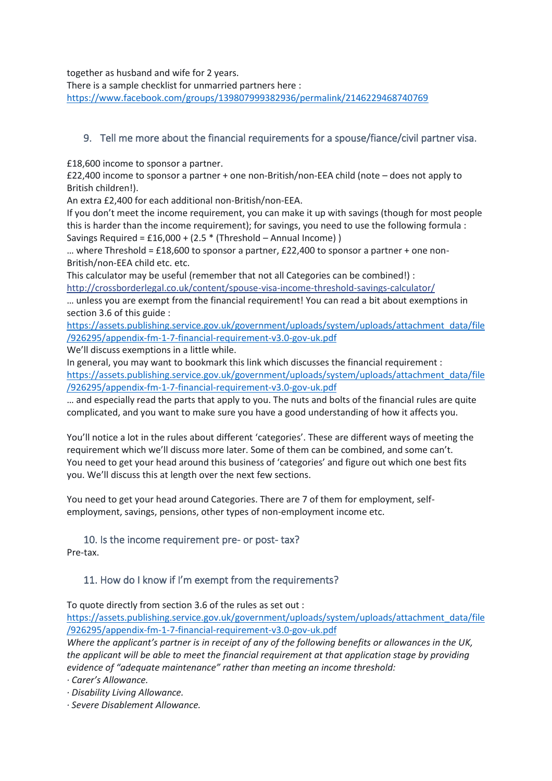together as husband and wife for 2 years.

There is a sample checklist for unmarried partners here : <https://www.facebook.com/groups/139807999382936/permalink/2146229468740769>

### <span id="page-19-0"></span>9. Tell me more about the financial requirements for a spouse/fiance/civil partner visa.

£18,600 income to sponsor a partner.

£22,400 income to sponsor a partner + one non-British/non-EEA child (note – does not apply to British children!).

An extra £2,400 for each additional non-British/non-EEA.

If you don't meet the income requirement, you can make it up with savings (though for most people this is harder than the income requirement); for savings, you need to use the following formula : Savings Required =  $£16,000 + (2.5 * (Threshold – Annual Income))$ 

... where Threshold =  $£18,600$  to sponsor a partner,  $£22,400$  to sponsor a partner + one non-British/non-EEA child etc. etc.

This calculator may be useful (remember that not all Categories can be combined!) : [http://crossborderlegal.co.uk/content/spouse-visa-income-threshold-savings-calculator/](http://l.facebook.com/l.php?u=http%3A%2F%2Fcrossborderlegal.co.uk%2Fcontent%2Fspouse-visa-income-threshold-savings-calculator%2F&h=ATOX1BtkGH1sMZ4A1P8lnpOHZLa_QYiqt7BboxdHiRvDaB2ZvYSn4Ts4vNmfWr-N5h0xDKgoWTk0zp8HrcRWD4t9TIJNw7NqZxsuKwwQPcb0FzOGKsQzjyh49yqx1teVoRwCOcEwmd0)

… unless you are exempt from the financial requirement! You can read a bit about exemptions in section 3.6 of this guide :

[https://assets.publishing.service.gov.uk/government/uploads/system/uploads/attachment\\_data/file](https://assets.publishing.service.gov.uk/government/uploads/system/uploads/attachment_data/file/926295/appendix-fm-1-7-financial-requirement-v3.0-gov-uk.pdf) [/926295/appendix-fm-1-7-financial-requirement-v3.0-gov-uk.pdf](https://assets.publishing.service.gov.uk/government/uploads/system/uploads/attachment_data/file/926295/appendix-fm-1-7-financial-requirement-v3.0-gov-uk.pdf)

We'll discuss exemptions in a little while.

In general, you may want to bookmark this link which discusses the financial requirement : [https://assets.publishing.service.gov.uk/government/uploads/system/uploads/attachment\\_data/file](https://assets.publishing.service.gov.uk/government/uploads/system/uploads/attachment_data/file/926295/appendix-fm-1-7-financial-requirement-v3.0-gov-uk.pdf) [/926295/appendix-fm-1-7-financial-requirement-v3.0-gov-uk.pdf](https://assets.publishing.service.gov.uk/government/uploads/system/uploads/attachment_data/file/926295/appendix-fm-1-7-financial-requirement-v3.0-gov-uk.pdf)

… and especially read the parts that apply to you. The nuts and bolts of the financial rules are quite complicated, and you want to make sure you have a good understanding of how it affects you.

You'll notice a lot in the rules about different 'categories'. These are different ways of meeting the requirement which we'll discuss more later. Some of them can be combined, and some can't. You need to get your head around this business of 'categories' and figure out which one best fits you. We'll discuss this at length over the next few sections.

You need to get your head around Categories. There are 7 of them for employment, selfemployment, savings, pensions, other types of non-employment income etc.

#### <span id="page-19-1"></span>10. Is the income requirement pre- or post- tax? Pre-tax.

# <span id="page-19-2"></span>11. How do I know if I'm exempt from the requirements?

To quote directly from section 3.6 of the rules as set out :

[https://assets.publishing.service.gov.uk/government/uploads/system/uploads/attachment\\_data/file](https://assets.publishing.service.gov.uk/government/uploads/system/uploads/attachment_data/file/926295/appendix-fm-1-7-financial-requirement-v3.0-gov-uk.pdf) [/926295/appendix-fm-1-7-financial-requirement-v3.0-gov-uk.pdf](https://assets.publishing.service.gov.uk/government/uploads/system/uploads/attachment_data/file/926295/appendix-fm-1-7-financial-requirement-v3.0-gov-uk.pdf)

*Where the applicant's partner is in receipt of any of the following benefits or allowances in the UK, the applicant will be able to meet the financial requirement at that application stage by providing evidence of "adequate maintenance" rather than meeting an income threshold:* 

*· Carer's Allowance.* 

*· Disability Living Allowance.* 

*· Severe Disablement Allowance.*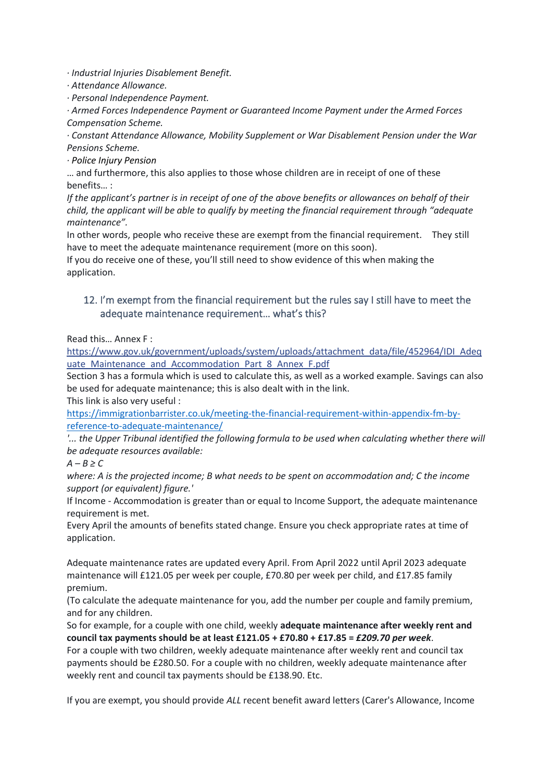*· Industrial Injuries Disablement Benefit.* 

*· Attendance Allowance.* 

*· Personal Independence Payment.*

*· Armed Forces Independence Payment or Guaranteed Income Payment under the Armed Forces Compensation Scheme.* 

*· Constant Attendance Allowance, Mobility Supplement or War Disablement Pension under the War Pensions Scheme.*

*· Police Injury Pension*

… and furthermore, this also applies to those whose children are in receipt of one of these benefits… :

*If the applicant's partner is in receipt of one of the above benefits or allowances on behalf of their child, the applicant will be able to qualify by meeting the financial requirement through "adequate maintenance".*

In other words, people who receive these are exempt from the financial requirement. They still have to meet the adequate maintenance requirement (more on this soon).

If you do receive one of these, you'll still need to show evidence of this when making the application.

### <span id="page-20-0"></span>12. I'm exempt from the financial requirement but the rules say I still have to meet the adequate maintenance requirement… what's this?

Read this… Annex F :

[https://www.gov.uk/government/uploads/system/uploads/attachment\\_data/file/452964/IDI\\_Adeq](https://l.facebook.com/l.php?u=https%3A%2F%2Fwww.gov.uk%2Fgovernment%2Fuploads%2Fsystem%2Fuploads%2Fattachment_data%2Ffile%2F452964%2FIDI_Adequate_Maintenance_and_Accommodation_Part_8_Annex_F.pdf&h=ATOX1BtkGH1sMZ4A1P8lnpOHZLa_QYiqt7BboxdHiRvDaB2ZvYSn4Ts4vNmfWr-N5h0xDKgoWTk0zp8HrcRWD4t9TIJNw7NqZxsuKwwQPcb0FzOGKsQzjyh49yqx1teVoRwCOcEwmd0) uate Maintenance and Accommodation Part 8 Annex F.pdf

Section 3 has a formula which is used to calculate this, as well as a worked example. Savings can also be used for adequate maintenance; this is also dealt with in the link.

This link is also very useful :

[https://immigrationbarrister.co.uk/meeting-the-financial-requirement-within-appendix-fm-by](https://immigrationbarrister.co.uk/meeting-the-financial-requirement-within-appendix-fm-by-reference-to-adequate-maintenance/)[reference-to-adequate-maintenance/](https://immigrationbarrister.co.uk/meeting-the-financial-requirement-within-appendix-fm-by-reference-to-adequate-maintenance/)

*'... the Upper Tribunal identified the following formula to be used when calculating whether there will be adequate resources available:*

 $A - B \ge C$ 

*where: A is the projected income; B what needs to be spent on accommodation and; C the income support (or equivalent) figure.'*

If Income - Accommodation is greater than or equal to Income Support, the adequate maintenance requirement is met.

Every April the amounts of benefits stated change. Ensure you check appropriate rates at time of application.

Adequate maintenance rates are updated every April. From April 2022 until April 2023 adequate maintenance will £121.05 per week per couple, £70.80 per week per child, and £17.85 family premium.

(To calculate the adequate maintenance for you, add the number per couple and family premium, and for any children.

So for example, for a couple with one child, weekly **adequate maintenance after weekly rent and council tax payments should be at least £121.05 + £70.80 + £17.85 =** *£209.70 per week*.

For a couple with two children, weekly adequate maintenance after weekly rent and council tax payments should be £280.50. For a couple with no children, weekly adequate maintenance after weekly rent and council tax payments should be £138.90. Etc.

If you are exempt, you should provide *ALL* recent benefit award letters (Carer's Allowance, Income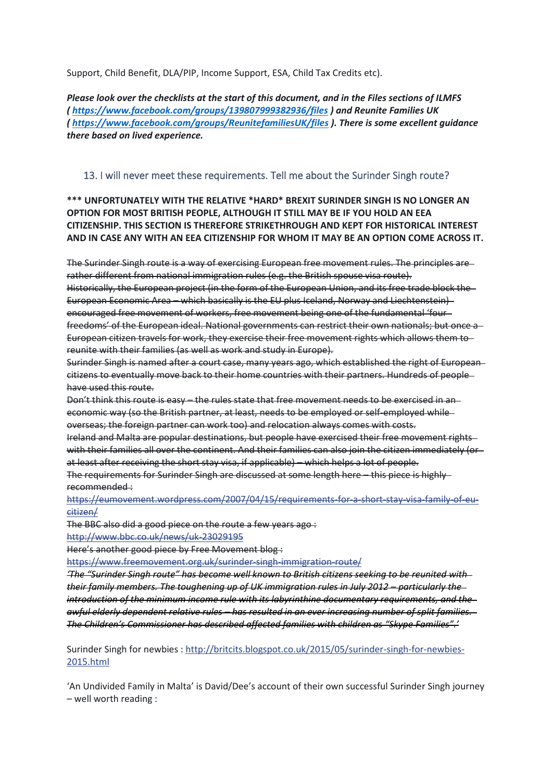Support, Child Benefit, DLA/PIP, Income Support, ESA, Child Tax Credits etc).

*Please look over the checklists at the start of this document, and in the Files sections of ILMFS (<https://www.facebook.com/groups/139807999382936/files> ) and Reunite Families UK (<https://www.facebook.com/groups/ReunitefamiliesUK/files> ). There is some excellent guidance there based on lived experience.*

#### <span id="page-21-0"></span>13. I will never meet these requirements. Tell me about the Surinder Singh route?

**\*\*\* UNFORTUNATELY WITH THE RELATIVE \*HARD\* BREXIT SURINDER SINGH IS NO LONGER AN OPTION FOR MOST BRITISH PEOPLE, ALTHOUGH IT STILL MAY BE IF YOU HOLD AN EEA CITIZENSHIP. THIS SECTION IS THEREFORE STRIKETHROUGH AND KEPT FOR HISTORICAL INTEREST AND IN CASE ANY WITH AN EEA CITIZENSHIP FOR WHOM IT MAY BE AN OPTION COME ACROSS IT.**

The Surinder Singh route is a way of exercising European free movement rules. The principles are rather different from national immigration rules (e.g. the British spouse visa route). Historically, the European project (in the form of the European Union, and its free trade block the European Economic Area – which basically is the EU plus Iceland, Norway and Liechtenstein) encouraged free movement of workers, free movement being one of the fundamental 'four freedoms' of the European ideal. National governments can restrict their own nationals; but once a European citizen travels for work, they exercise their free movement rights which allows them to reunite with their families (as well as work and study in Europe).

Surinder Singh is named after a court case, many years ago, which established the right of European citizens to eventually move back to their home countries with their partners. Hundreds of people have used this route.

Don't think this route is easy – the rules state that free movement needs to be exercised in an economic way (so the British partner, at least, needs to be employed or self-employed whileoverseas; the foreign partner can work too) and relocation always comes with costs.

Ireland and Malta are popular destinations, but people have exercised their free movement rights with their families all over the continent. And their families can also join the citizen immediately (or at least after receiving the short stay visa, if applicable) – which helps a lot of people. The requirements for Surinder Singh are discussed at some length here – this piece is highly

recommended :

[https://eumovement.wordpress.com/2007/04/15/requirements-for-a-short-stay-visa-family-of-eu](https://l.facebook.com/l.php?u=https%3A%2F%2Feumovement.wordpress.com%2F2007%2F04%2F15%2Frequirements-for-a-short-stay-visa-family-of-eu-citizen%2F&h=ATOX1BtkGH1sMZ4A1P8lnpOHZLa_QYiqt7BboxdHiRvDaB2ZvYSn4Ts4vNmfWr-N5h0xDKgoWTk0zp8HrcRWD4t9TIJNw7NqZxsuKwwQPcb0FzOGKsQzjyh49yqx1teVoRwCOcEwmd0)[citizen/](https://l.facebook.com/l.php?u=https%3A%2F%2Feumovement.wordpress.com%2F2007%2F04%2F15%2Frequirements-for-a-short-stay-visa-family-of-eu-citizen%2F&h=ATOX1BtkGH1sMZ4A1P8lnpOHZLa_QYiqt7BboxdHiRvDaB2ZvYSn4Ts4vNmfWr-N5h0xDKgoWTk0zp8HrcRWD4t9TIJNw7NqZxsuKwwQPcb0FzOGKsQzjyh49yqx1teVoRwCOcEwmd0)

The BBC also did a good piece on the route a few years ago :

[http://www.bbc.co.uk/news/uk-23029195](http://l.facebook.com/l.php?u=http%3A%2F%2Fwww.bbc.co.uk%2Fnews%2Fuk-23029195&h=ATOX1BtkGH1sMZ4A1P8lnpOHZLa_QYiqt7BboxdHiRvDaB2ZvYSn4Ts4vNmfWr-N5h0xDKgoWTk0zp8HrcRWD4t9TIJNw7NqZxsuKwwQPcb0FzOGKsQzjyh49yqx1teVoRwCOcEwmd0)

Here's another good piece by Free Movement blog :

[https://www.freemovement.org.uk/surinder-singh-immigration-route/](https://l.facebook.com/l.php?u=https%3A%2F%2Fwww.freemovement.org.uk%2Fsurinder-singh-immigration-route%2F&h=ATOX1BtkGH1sMZ4A1P8lnpOHZLa_QYiqt7BboxdHiRvDaB2ZvYSn4Ts4vNmfWr-N5h0xDKgoWTk0zp8HrcRWD4t9TIJNw7NqZxsuKwwQPcb0FzOGKsQzjyh49yqx1teVoRwCOcEwmd0)

*'The "Surinder Singh route" has become well known to British citizens seeking to be reunited with their family members. The toughening up of UK immigration rules in July 2012 – particularly the introduction of the minimum income rule with its [labyrinthine documentary requirements,](https://www.freemovement.org.uk/appendix-fm-financial-requirements/) and the awful [elderly dependent relative rules](https://www.freemovement.org.uk/out-with-the-old/) – has resulted in an ever increasing number of split families. The Children's Commissioner has described affected families with children as "Skype Families".'*

Surinder Singh for newbies : [http://britcits.blogspot.co.uk/2015/05/surinder-singh-for-newbies-](http://l.facebook.com/l.php?u=http%3A%2F%2Fbritcits.blogspot.co.uk%2F2015%2F05%2Fsurinder-singh-for-newbies-2015.html&h=ATOX1BtkGH1sMZ4A1P8lnpOHZLa_QYiqt7BboxdHiRvDaB2ZvYSn4Ts4vNmfWr-N5h0xDKgoWTk0zp8HrcRWD4t9TIJNw7NqZxsuKwwQPcb0FzOGKsQzjyh49yqx1teVoRwCOcEwmd0)[2015.html](http://l.facebook.com/l.php?u=http%3A%2F%2Fbritcits.blogspot.co.uk%2F2015%2F05%2Fsurinder-singh-for-newbies-2015.html&h=ATOX1BtkGH1sMZ4A1P8lnpOHZLa_QYiqt7BboxdHiRvDaB2ZvYSn4Ts4vNmfWr-N5h0xDKgoWTk0zp8HrcRWD4t9TIJNw7NqZxsuKwwQPcb0FzOGKsQzjyh49yqx1teVoRwCOcEwmd0)

'An Undivided Family in Malta' is David/Dee's account of their own successful Surinder Singh journey – well worth reading :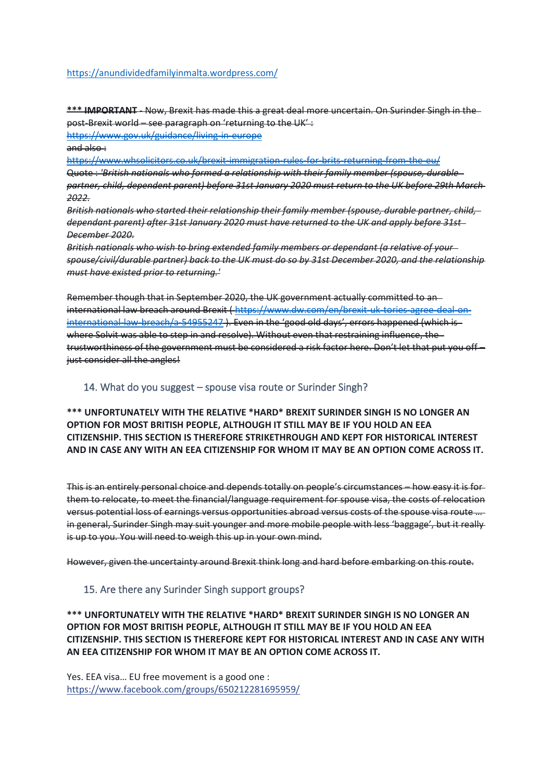#### <https://anundividedfamilyinmalta.wordpress.com/>

**\*\*\* IMPORTANT** - Now, Brexit has made this a great deal more uncertain. On Surinder Singh in the post-Brexit world – see paragraph on 'returning to the UK' :

<https://www.gov.uk/guidance/living-in-europe>  $and also:$ 

<https://www.whsolicitors.co.uk/brexit-immigration-rules-for-brits-returning-from-the-eu/> Quote : *'British nationals who formed a relationship with their family member (spouse, durable partner, child, dependent parent) before 31st January 2020 must return to the UK before 29th March 2022.*

*British nationals who started their relationship their family member (spouse, durable partner, child, dependant parent) after 31st January 2020 must have returned to the UK and apply before 31st December 2020.*

*British nationals who wish to bring extended family members or dependant (a relative of your spouse/civil/durable partner) back to the UK must do so by 31st December 2020, and the relationship must have existed prior to returning.'*

Remember though that in September 2020, the UK government actually committed to an international law breach around Brexit ( [https://www.dw.com/en/brexit-uk-tories-agree-deal-on](https://www.dw.com/en/brexit-uk-tories-agree-deal-on-international-law-breach/a-54955247)[international-law-breach/a-54955247](https://www.dw.com/en/brexit-uk-tories-agree-deal-on-international-law-breach/a-54955247) ). Even in the 'good old days', errors happened (which is where Solvit was able to step in and resolve). Without even that restraining influence, the trustworthiness of the government must be considered a risk factor here. Don't let that put you off – just consider all the angles!

#### <span id="page-22-0"></span>14. What do you suggest – spouse visa route or Surinder Singh?

**\*\*\* UNFORTUNATELY WITH THE RELATIVE \*HARD\* BREXIT SURINDER SINGH IS NO LONGER AN OPTION FOR MOST BRITISH PEOPLE, ALTHOUGH IT STILL MAY BE IF YOU HOLD AN EEA CITIZENSHIP. THIS SECTION IS THEREFORE STRIKETHROUGH AND KEPT FOR HISTORICAL INTEREST AND IN CASE ANY WITH AN EEA CITIZENSHIP FOR WHOM IT MAY BE AN OPTION COME ACROSS IT.**

This is an entirely personal choice and depends totally on people's circumstances – how easy it is for them to relocate, to meet the financial/language requirement for spouse visa, the costs of relocation versus potential loss of earnings versus opportunities abroad versus costs of the spouse visa route … in general, Surinder Singh may suit younger and more mobile people with less 'baggage', but it really is up to you. You will need to weigh this up in your own mind.

However, given the uncertainty around Brexit think long and hard before embarking on this route.

#### <span id="page-22-1"></span>15. Are there any Surinder Singh support groups?

**\*\*\* UNFORTUNATELY WITH THE RELATIVE \*HARD\* BREXIT SURINDER SINGH IS NO LONGER AN OPTION FOR MOST BRITISH PEOPLE, ALTHOUGH IT STILL MAY BE IF YOU HOLD AN EEA CITIZENSHIP. THIS SECTION IS THEREFORE KEPT FOR HISTORICAL INTEREST AND IN CASE ANY WITH AN EEA CITIZENSHIP FOR WHOM IT MAY BE AN OPTION COME ACROSS IT.**

Yes. EEA visa… EU free movement is a good one : <https://www.facebook.com/groups/650212281695959/>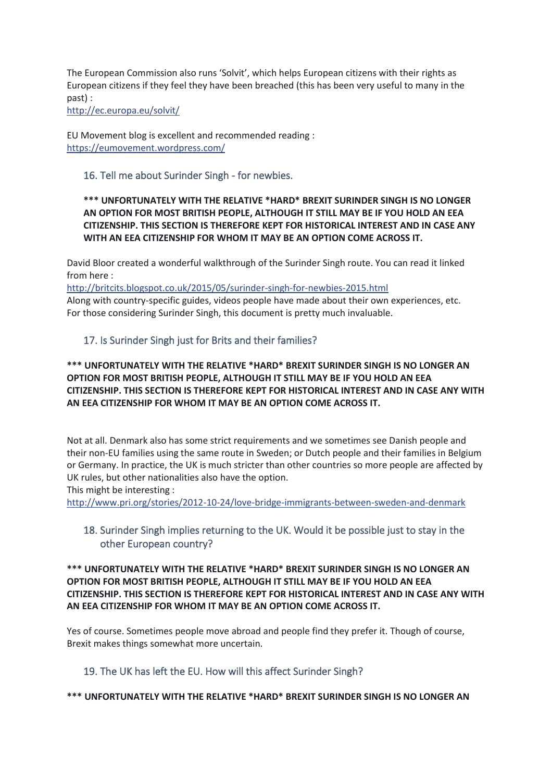The European Commission also runs 'Solvit', which helps European citizens with their rights as European citizens if they feel they have been breached (this has been very useful to many in the past) :

[http://ec.europa.eu/solvit/](http://l.facebook.com/l.php?u=http%3A%2F%2Fec.europa.eu%2Fsolvit%2F&h=ATOX1BtkGH1sMZ4A1P8lnpOHZLa_QYiqt7BboxdHiRvDaB2ZvYSn4Ts4vNmfWr-N5h0xDKgoWTk0zp8HrcRWD4t9TIJNw7NqZxsuKwwQPcb0FzOGKsQzjyh49yqx1teVoRwCOcEwmd0)

EU Movement blog is excellent and recommended reading : [https://eumovement.wordpress.com/](https://l.facebook.com/l.php?u=https%3A%2F%2Feumovement.wordpress.com%2F&h=ATOX1BtkGH1sMZ4A1P8lnpOHZLa_QYiqt7BboxdHiRvDaB2ZvYSn4Ts4vNmfWr-N5h0xDKgoWTk0zp8HrcRWD4t9TIJNw7NqZxsuKwwQPcb0FzOGKsQzjyh49yqx1teVoRwCOcEwmd0)

#### <span id="page-23-0"></span>16. Tell me about Surinder Singh - for newbies.

#### **\*\*\* UNFORTUNATELY WITH THE RELATIVE \*HARD\* BREXIT SURINDER SINGH IS NO LONGER AN OPTION FOR MOST BRITISH PEOPLE, ALTHOUGH IT STILL MAY BE IF YOU HOLD AN EEA CITIZENSHIP. THIS SECTION IS THEREFORE KEPT FOR HISTORICAL INTEREST AND IN CASE ANY WITH AN EEA CITIZENSHIP FOR WHOM IT MAY BE AN OPTION COME ACROSS IT.**

David Bloor created a wonderful walkthrough of the Surinder Singh route. You can read it linked from here :

[http://britcits.blogspot.co.uk/2015/05/surinder-singh-for-newbies-2015.html](http://l.facebook.com/l.php?u=http%3A%2F%2Fbritcits.blogspot.co.uk%2F2015%2F05%2Fsurinder-singh-for-newbies-2015.html&h=ATOX1BtkGH1sMZ4A1P8lnpOHZLa_QYiqt7BboxdHiRvDaB2ZvYSn4Ts4vNmfWr-N5h0xDKgoWTk0zp8HrcRWD4t9TIJNw7NqZxsuKwwQPcb0FzOGKsQzjyh49yqx1teVoRwCOcEwmd0) Along with country-specific guides, videos people have made about their own experiences, etc. For those considering Surinder Singh, this document is pretty much invaluable.

### <span id="page-23-1"></span>17. Is Surinder Singh just for Brits and their families?

#### **\*\*\* UNFORTUNATELY WITH THE RELATIVE \*HARD\* BREXIT SURINDER SINGH IS NO LONGER AN OPTION FOR MOST BRITISH PEOPLE, ALTHOUGH IT STILL MAY BE IF YOU HOLD AN EEA CITIZENSHIP. THIS SECTION IS THEREFORE KEPT FOR HISTORICAL INTEREST AND IN CASE ANY WITH AN EEA CITIZENSHIP FOR WHOM IT MAY BE AN OPTION COME ACROSS IT.**

Not at all. Denmark also has some strict requirements and we sometimes see Danish people and their non-EU families using the same route in Sweden; or Dutch people and their families in Belgium or Germany. In practice, the UK is much stricter than other countries so more people are affected by UK rules, but other nationalities also have the option.

This might be interesting :

[http://www.pri.org/stories/2012-10-24/love-bridge-immigrants-between-sweden-and-denmark](http://l.facebook.com/l.php?u=http%3A%2F%2Fwww.pri.org%2Fstories%2F2012-10-24%2Flove-bridge-immigrants-between-sweden-and-denmark&h=ATOX1BtkGH1sMZ4A1P8lnpOHZLa_QYiqt7BboxdHiRvDaB2ZvYSn4Ts4vNmfWr-N5h0xDKgoWTk0zp8HrcRWD4t9TIJNw7NqZxsuKwwQPcb0FzOGKsQzjyh49yqx1teVoRwCOcEwmd0)

### <span id="page-23-2"></span>18. Surinder Singh implies returning to the UK. Would it be possible just to stay in the other European country?

#### **\*\*\* UNFORTUNATELY WITH THE RELATIVE \*HARD\* BREXIT SURINDER SINGH IS NO LONGER AN OPTION FOR MOST BRITISH PEOPLE, ALTHOUGH IT STILL MAY BE IF YOU HOLD AN EEA CITIZENSHIP. THIS SECTION IS THEREFORE KEPT FOR HISTORICAL INTEREST AND IN CASE ANY WITH AN EEA CITIZENSHIP FOR WHOM IT MAY BE AN OPTION COME ACROSS IT.**

Yes of course. Sometimes people move abroad and people find they prefer it. Though of course, Brexit makes things somewhat more uncertain.

### <span id="page-23-3"></span>19. The UK has left the EU. How will this affect Surinder Singh?

#### **\*\*\* UNFORTUNATELY WITH THE RELATIVE \*HARD\* BREXIT SURINDER SINGH IS NO LONGER AN**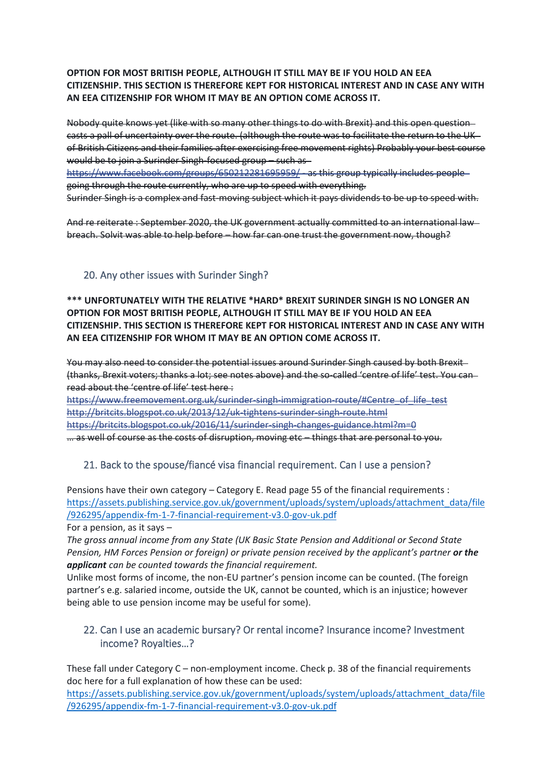#### **OPTION FOR MOST BRITISH PEOPLE, ALTHOUGH IT STILL MAY BE IF YOU HOLD AN EEA CITIZENSHIP. THIS SECTION IS THEREFORE KEPT FOR HISTORICAL INTEREST AND IN CASE ANY WITH AN EEA CITIZENSHIP FOR WHOM IT MAY BE AN OPTION COME ACROSS IT.**

Nobody quite knows yet (like with so many other things to do with Brexit) and this open question casts a pall of uncertainty over the route. (although the route was to facilitate the return to the UK of British Citizens and their families after exercising free movement rights) Probably your best course would be to join a Surinder Singh-focused group – such as

<https://www.facebook.com/groups/650212281695959/> - as this group typically includes people going through the route currently, who are up to speed with everything. Surinder Singh is a complex and fast-moving subject which it pays dividends to be up to speed with.

And re reiterate : September 2020, the UK government actually committed to an international lawbreach. Solvit was able to help before – how far can one trust the government now, though?

### <span id="page-24-0"></span>20. Any other issues with Surinder Singh?

#### **\*\*\* UNFORTUNATELY WITH THE RELATIVE \*HARD\* BREXIT SURINDER SINGH IS NO LONGER AN OPTION FOR MOST BRITISH PEOPLE, ALTHOUGH IT STILL MAY BE IF YOU HOLD AN EEA CITIZENSHIP. THIS SECTION IS THEREFORE KEPT FOR HISTORICAL INTEREST AND IN CASE ANY WITH AN EEA CITIZENSHIP FOR WHOM IT MAY BE AN OPTION COME ACROSS IT.**

You may also need to consider the potential issues around Surinder Singh caused by both Brexit-(thanks, Brexit voters; thanks a lot; see notes above) and the so-called 'centre of life' test. You can read about the 'centre of life' test here :

[https://www.freemovement.org.uk/surinder-singh-immigration-route/#Centre\\_of\\_life\\_test](https://l.facebook.com/l.php?u=https%3A%2F%2Fwww.freemovement.org.uk%2Fsurinder-singh-immigration-route%2F%23Centre_of_life_test&h=ATOX1BtkGH1sMZ4A1P8lnpOHZLa_QYiqt7BboxdHiRvDaB2ZvYSn4Ts4vNmfWr-N5h0xDKgoWTk0zp8HrcRWD4t9TIJNw7NqZxsuKwwQPcb0FzOGKsQzjyh49yqx1teVoRwCOcEwmd0) [http://britcits.blogspot.co.uk/2013/12/uk-tightens-surinder-singh-route.html](http://l.facebook.com/l.php?u=http%3A%2F%2Fbritcits.blogspot.co.uk%2F2013%2F12%2Fuk-tightens-surinder-singh-route.html&h=ATOX1BtkGH1sMZ4A1P8lnpOHZLa_QYiqt7BboxdHiRvDaB2ZvYSn4Ts4vNmfWr-N5h0xDKgoWTk0zp8HrcRWD4t9TIJNw7NqZxsuKwwQPcb0FzOGKsQzjyh49yqx1teVoRwCOcEwmd0) [https://britcits.blogspot.co.uk/2016/11/surinder-singh-changes-guidance.html?m=0](https://l.facebook.com/l.php?u=https%3A%2F%2Fbritcits.blogspot.co.uk%2F2016%2F11%2Fsurinder-singh-changes-guidance.html%3Fm%3D0&h=ATOX1BtkGH1sMZ4A1P8lnpOHZLa_QYiqt7BboxdHiRvDaB2ZvYSn4Ts4vNmfWr-N5h0xDKgoWTk0zp8HrcRWD4t9TIJNw7NqZxsuKwwQPcb0FzOGKsQzjyh49yqx1teVoRwCOcEwmd0) … as well of course as the costs of disruption, moving etc – things that are personal to you.

### <span id="page-24-1"></span>21. Back to the spouse/fiancé visa financial requirement. Can I use a pension?

Pensions have their own category – Category E. Read page 55 of the financial requirements : [https://assets.publishing.service.gov.uk/government/uploads/system/uploads/attachment\\_data/file](https://assets.publishing.service.gov.uk/government/uploads/system/uploads/attachment_data/file/926295/appendix-fm-1-7-financial-requirement-v3.0-gov-uk.pdf) [/926295/appendix-fm-1-7-financial-requirement-v3.0-gov-uk.pdf](https://assets.publishing.service.gov.uk/government/uploads/system/uploads/attachment_data/file/926295/appendix-fm-1-7-financial-requirement-v3.0-gov-uk.pdf)

For a pension, as it says –

*The gross annual income from any State (UK Basic State Pension and Additional or Second State Pension, HM Forces Pension or foreign) or private pension received by the applicant's partner or the applicant can be counted towards the financial requirement.*

Unlike most forms of income, the non-EU partner's pension income can be counted. (The foreign partner's e.g. salaried income, outside the UK, cannot be counted, which is an injustice; however being able to use pension income may be useful for some).

### <span id="page-24-2"></span>22. Can I use an academic bursary? Or rental income? Insurance income? Investment income? Royalties…?

These fall under Category C – non-employment income. Check p. 38 of the financial requirements doc here for a full explanation of how these can be used:

[https://assets.publishing.service.gov.uk/government/uploads/system/uploads/attachment\\_data/file](https://assets.publishing.service.gov.uk/government/uploads/system/uploads/attachment_data/file/926295/appendix-fm-1-7-financial-requirement-v3.0-gov-uk.pdf) [/926295/appendix-fm-1-7-financial-requirement-v3.0-gov-uk.pdf](https://assets.publishing.service.gov.uk/government/uploads/system/uploads/attachment_data/file/926295/appendix-fm-1-7-financial-requirement-v3.0-gov-uk.pdf)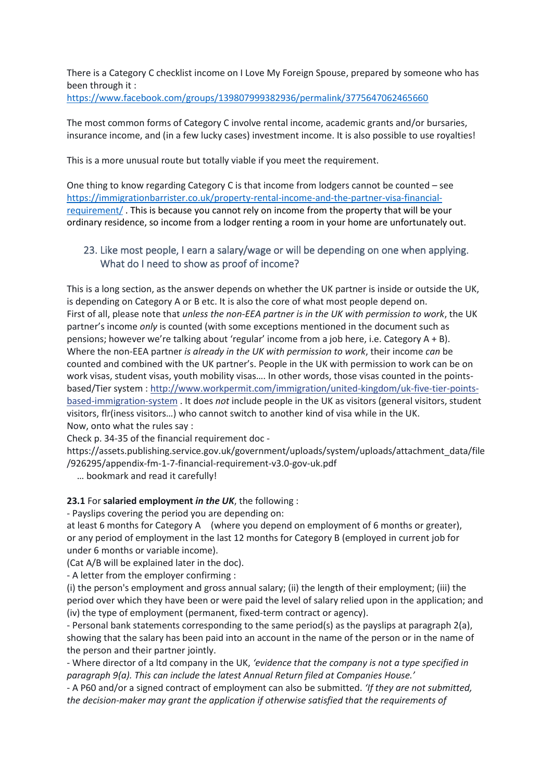There is a Category C checklist income on I Love My Foreign Spouse, prepared by someone who has been through it :

<https://www.facebook.com/groups/139807999382936/permalink/3775647062465660>

The most common forms of Category C involve rental income, academic grants and/or bursaries, insurance income, and (in a few lucky cases) investment income. It is also possible to use royalties!

This is a more unusual route but totally viable if you meet the requirement.

One thing to know regarding Category C is that income from lodgers cannot be counted – see [https://immigrationbarrister.co.uk/property-rental-income-and-the-partner-visa-financial](https://immigrationbarrister.co.uk/property-rental-income-and-the-partner-visa-financial-requirement/)[requirement/](https://immigrationbarrister.co.uk/property-rental-income-and-the-partner-visa-financial-requirement/) . This is because you cannot rely on income from the property that will be your ordinary residence, so income from a lodger renting a room in your home are unfortunately out.

#### <span id="page-25-0"></span>23. Like most people, I earn a salary/wage or will be depending on one when applying. What do I need to show as proof of income?

This is a long section, as the answer depends on whether the UK partner is inside or outside the UK, is depending on Category A or B etc. It is also the core of what most people depend on. First of all, please note that *unless the non-EEA partner is in the UK with permission to work*, the UK partner's income *only* is counted (with some exceptions mentioned in the document such as pensions; however we're talking about 'regular' income from a job here, i.e. Category A + B). Where the non-EEA partner *is already in the UK with permission to work*, their income *can* be counted and combined with the UK partner's. People in the UK with permission to work can be on work visas, student visas, youth mobility visas…. In other words, those visas counted in the pointsbased/Tier system : [http://www.workpermit.com/immigration/united-kingdom/uk-five-tier-points](http://l.facebook.com/l.php?u=http%3A%2F%2Fwww.workpermit.com%2Fimmigration%2Funited-kingdom%2Fuk-five-tier-points-based-immigration-system&h=ATOX1BtkGH1sMZ4A1P8lnpOHZLa_QYiqt7BboxdHiRvDaB2ZvYSn4Ts4vNmfWr-N5h0xDKgoWTk0zp8HrcRWD4t9TIJNw7NqZxsuKwwQPcb0FzOGKsQzjyh49yqx1teVoRwCOcEwmd0)[based-immigration-system](http://l.facebook.com/l.php?u=http%3A%2F%2Fwww.workpermit.com%2Fimmigration%2Funited-kingdom%2Fuk-five-tier-points-based-immigration-system&h=ATOX1BtkGH1sMZ4A1P8lnpOHZLa_QYiqt7BboxdHiRvDaB2ZvYSn4Ts4vNmfWr-N5h0xDKgoWTk0zp8HrcRWD4t9TIJNw7NqZxsuKwwQPcb0FzOGKsQzjyh49yqx1teVoRwCOcEwmd0) . It does *not* include people in the UK as visitors (general visitors, student visitors, flr(iness visitors…) who cannot switch to another kind of visa while in the UK. Now, onto what the rules say :

Check p. 34-35 of the financial requirement doc -

https://assets.publishing.service.gov.uk/government/uploads/system/uploads/attachment\_data/file /926295/appendix-fm-1-7-financial-requirement-v3.0-gov-uk.pdf

… bookmark and read it carefully!

#### **23.1** For **salaried employment** *in the UK*, the following :

- Payslips covering the period you are depending on:

at least 6 months for Category A (where you depend on employment of 6 months or greater), or any period of employment in the last 12 months for Category B (employed in current job for under 6 months or variable income).

(Cat A/B will be explained later in the doc).

- A letter from the employer confirming :

(i) the person's employment and gross annual salary; (ii) the length of their employment; (iii) the period over which they have been or were paid the level of salary relied upon in the application; and (iv) the type of employment (permanent, fixed-term contract or agency).

- Personal bank statements corresponding to the same period(s) as the payslips at paragraph 2(a), showing that the salary has been paid into an account in the name of the person or in the name of the person and their partner jointly.

- Where director of a ltd company in the UK, *'evidence that the company is not a type specified in paragraph 9(a). This can include the latest Annual Return filed at Companies House.'*

- A P60 and/or a signed contract of employment can also be submitted. *'If they are not submitted, the decision-maker may grant the application if otherwise satisfied that the requirements of*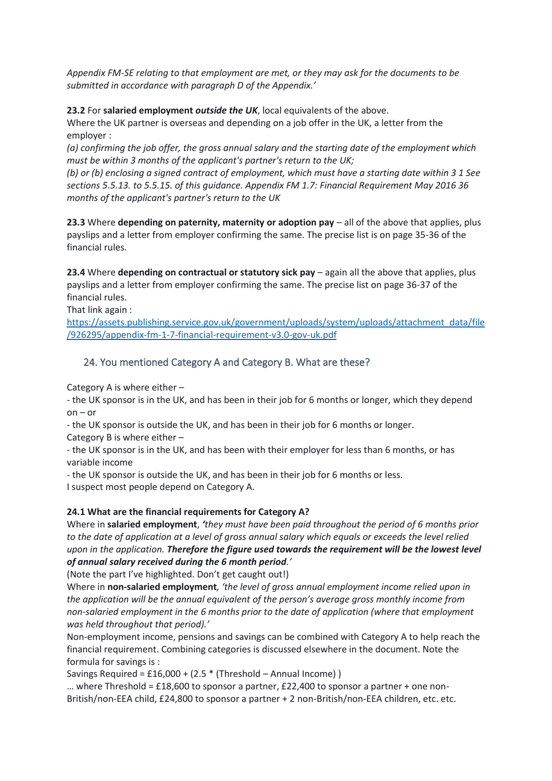*Appendix FM-SE relating to that employment are met, or they may ask for the documents to be submitted in accordance with paragraph D of the Appendix.'* 

**23.2** For **salaried employment** *outside the UK*, local equivalents of the above.

Where the UK partner is overseas and depending on a job offer in the UK, a letter from the employer :

*(a) confirming the job offer, the gross annual salary and the starting date of the employment which must be within 3 months of the applicant's partner's return to the UK;* 

*(b) or (b) enclosing a signed contract of employment, which must have a starting date within 3 1 See sections 5.5.13. to 5.5.15. of this guidance. Appendix FM 1.7: Financial Requirement May 2016 36 months of the applicant's partner's return to the UK*

**23.3** Where **depending on paternity, maternity or adoption pay** – all of the above that applies, plus payslips and a letter from employer confirming the same. The precise list is on page 35-36 of the financial rules.

**23.4** Where **depending on contractual or statutory sick pay** – again all the above that applies, plus payslips and a letter from employer confirming the same. The precise list on page 36-37 of the financial rules.

That link again :

[https://assets.publishing.service.gov.uk/government/uploads/system/uploads/attachment\\_data/file](https://assets.publishing.service.gov.uk/government/uploads/system/uploads/attachment_data/file/926295/appendix-fm-1-7-financial-requirement-v3.0-gov-uk.pdf) [/926295/appendix-fm-1-7-financial-requirement-v3.0-gov-uk.pdf](https://assets.publishing.service.gov.uk/government/uploads/system/uploads/attachment_data/file/926295/appendix-fm-1-7-financial-requirement-v3.0-gov-uk.pdf)

### <span id="page-26-0"></span>24. You mentioned Category A and Category B. What are these?

Category A is where either –

- the UK sponsor is in the UK, and has been in their job for 6 months or longer, which they depend  $on - or$ 

- the UK sponsor is outside the UK, and has been in their job for 6 months or longer.

Category B is where either –

- the UK sponsor is in the UK, and has been with their employer for less than 6 months, or has variable income

- the UK sponsor is outside the UK, and has been in their job for 6 months or less.

I suspect most people depend on Category A.

#### **24.1 What are the financial requirements for Category A?**

Where in **salaried employment**, *'they must have been paid throughout the period of 6 months prior to the date of application at a level of gross annual salary which equals or exceeds the level relied upon in the application. Therefore the figure used towards the requirement will be the lowest level of annual salary received during the 6 month period.'*

(Note the part I've highlighted. Don't get caught out!)

Where in **non-salaried employment***, 'the level of gross annual employment income relied upon in the application will be the annual equivalent of the person's average gross monthly income from non-salaried employment in the 6 months prior to the date of application (where that employment was held throughout that period).'*

Non-employment income, pensions and savings can be combined with Category A to help reach the financial requirement. Combining categories is discussed elsewhere in the document. Note the formula for savings is :

Savings Required = £16,000 + (2.5 \* (Threshold – Annual Income) )

... where Threshold =  $£18,600$  to sponsor a partner, £22,400 to sponsor a partner + one non-British/non-EEA child, £24,800 to sponsor a partner + 2 non-British/non-EEA children, etc. etc.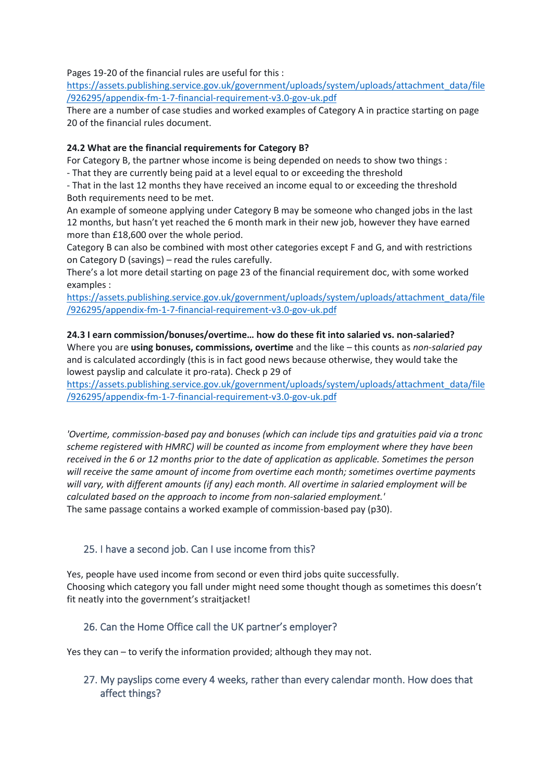Pages 19-20 of the financial rules are useful for this :

[https://assets.publishing.service.gov.uk/government/uploads/system/uploads/attachment\\_data/file](https://assets.publishing.service.gov.uk/government/uploads/system/uploads/attachment_data/file/926295/appendix-fm-1-7-financial-requirement-v3.0-gov-uk.pdf) [/926295/appendix-fm-1-7-financial-requirement-v3.0-gov-uk.pdf](https://assets.publishing.service.gov.uk/government/uploads/system/uploads/attachment_data/file/926295/appendix-fm-1-7-financial-requirement-v3.0-gov-uk.pdf)

There are a number of case studies and worked examples of Category A in practice starting on page 20 of the financial rules document.

#### **24.2 What are the financial requirements for Category B?**

For Category B, the partner whose income is being depended on needs to show two things :

- That they are currently being paid at a level equal to or exceeding the threshold

- That in the last 12 months they have received an income equal to or exceeding the threshold Both requirements need to be met.

An example of someone applying under Category B may be someone who changed jobs in the last 12 months, but hasn't yet reached the 6 month mark in their new job, however they have earned more than £18,600 over the whole period.

Category B can also be combined with most other categories except F and G, and with restrictions on Category D (savings) – read the rules carefully.

There's a lot more detail starting on page 23 of the financial requirement doc, with some worked examples :

[https://assets.publishing.service.gov.uk/government/uploads/system/uploads/attachment\\_data/file](https://assets.publishing.service.gov.uk/government/uploads/system/uploads/attachment_data/file/926295/appendix-fm-1-7-financial-requirement-v3.0-gov-uk.pdf) [/926295/appendix-fm-1-7-financial-requirement-v3.0-gov-uk.pdf](https://assets.publishing.service.gov.uk/government/uploads/system/uploads/attachment_data/file/926295/appendix-fm-1-7-financial-requirement-v3.0-gov-uk.pdf)

**24.3 I earn commission/bonuses/overtime… how do these fit into salaried vs. non-salaried?** Where you are **using bonuses, commissions, overtime** and the like – this counts as *non-salaried pay* and is calculated accordingly (this is in fact good news because otherwise, they would take the lowest payslip and calculate it pro-rata). Check p 29 of

[https://assets.publishing.service.gov.uk/government/uploads/system/uploads/attachment\\_data/file](https://assets.publishing.service.gov.uk/government/uploads/system/uploads/attachment_data/file/926295/appendix-fm-1-7-financial-requirement-v3.0-gov-uk.pdf) [/926295/appendix-fm-1-7-financial-requirement-v3.0-gov-uk.pdf](https://assets.publishing.service.gov.uk/government/uploads/system/uploads/attachment_data/file/926295/appendix-fm-1-7-financial-requirement-v3.0-gov-uk.pdf)

*'Overtime, commission-based pay and bonuses (which can include tips and gratuities paid via a tronc scheme registered with HMRC) will be counted as income from employment where they have been received in the 6 or 12 months prior to the date of application as applicable. Sometimes the person will receive the same amount of income from overtime each month; sometimes overtime payments will vary, with different amounts (if any) each month. All overtime in salaried employment will be calculated based on the approach to income from non-salaried employment.'* The same passage contains a worked example of commission-based pay (p30).

### <span id="page-27-0"></span>25. I have a second job. Can I use income from this?

Yes, people have used income from second or even third jobs quite successfully. Choosing which category you fall under might need some thought though as sometimes this doesn't fit neatly into the government's straitjacket!

#### <span id="page-27-1"></span>26. Can the Home Office call the UK partner's employer?

Yes they can – to verify the information provided; although they may not.

#### <span id="page-27-2"></span>27. My payslips come every 4 weeks, rather than every calendar month. How does that affect things?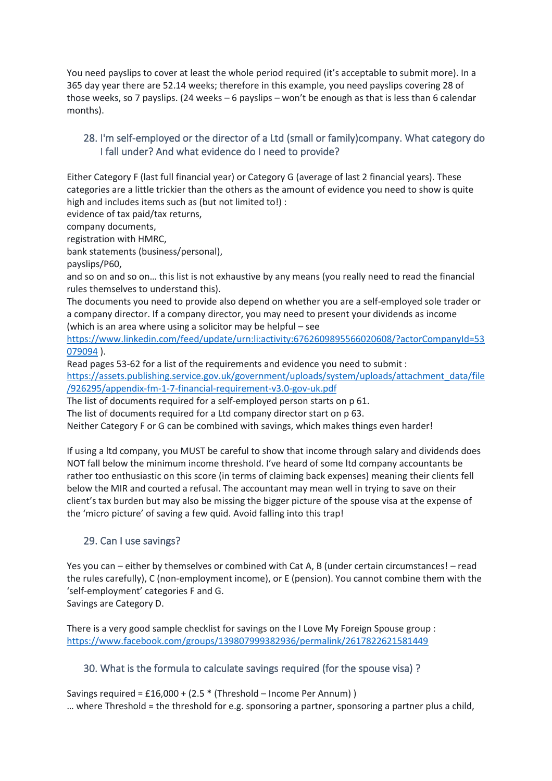You need payslips to cover at least the whole period required (it's acceptable to submit more). In a 365 day year there are 52.14 weeks; therefore in this example, you need payslips covering 28 of those weeks, so 7 payslips. (24 weeks – 6 payslips – won't be enough as that is less than 6 calendar months).

# <span id="page-28-0"></span>28. I'm self-employed or the director of a Ltd (small or family)company. What category do I fall under? And what evidence do I need to provide?

Either Category F (last full financial year) or Category G (average of last 2 financial years). These categories are a little trickier than the others as the amount of evidence you need to show is quite high and includes items such as (but not limited to!) :

evidence of tax paid/tax returns,

company documents,

registration with HMRC,

bank statements (business/personal),

payslips/P60,

and so on and so on… this list is not exhaustive by any means (you really need to read the financial rules themselves to understand this).

The documents you need to provide also depend on whether you are a self-employed sole trader or a company director. If a company director, you may need to present your dividends as income (which is an area where using a solicitor may be helpful – see

[https://www.linkedin.com/feed/update/urn:li:activity:6762609895566020608/?actorCompanyId=53](https://www.linkedin.com/feed/update/urn:li:activity:6762609895566020608/?actorCompanyId=53079094) [079094](https://www.linkedin.com/feed/update/urn:li:activity:6762609895566020608/?actorCompanyId=53079094) ).

Read pages 53-62 for a list of the requirements and evidence you need to submit :

[https://assets.publishing.service.gov.uk/government/uploads/system/uploads/attachment\\_data/file](https://assets.publishing.service.gov.uk/government/uploads/system/uploads/attachment_data/file/926295/appendix-fm-1-7-financial-requirement-v3.0-gov-uk.pdf) [/926295/appendix-fm-1-7-financial-requirement-v3.0-gov-uk.pdf](https://assets.publishing.service.gov.uk/government/uploads/system/uploads/attachment_data/file/926295/appendix-fm-1-7-financial-requirement-v3.0-gov-uk.pdf)

The list of documents required for a self-employed person starts on p 61.

The list of documents required for a Ltd company director start on p 63.

Neither Category F or G can be combined with savings, which makes things even harder!

If using a ltd company, you MUST be careful to show that income through salary and dividends does NOT fall below the minimum income threshold. I've heard of some ltd company accountants be rather too enthusiastic on this score (in terms of claiming back expenses) meaning their clients fell below the MIR and courted a refusal. The accountant may mean well in trying to save on their client's tax burden but may also be missing the bigger picture of the spouse visa at the expense of the 'micro picture' of saving a few quid. Avoid falling into this trap!

### <span id="page-28-1"></span>29. Can I use savings?

Yes you can – either by themselves or combined with Cat A, B (under certain circumstances! – read the rules carefully), C (non-employment income), or E (pension). You cannot combine them with the 'self-employment' categories F and G. Savings are Category D.

There is a very good sample checklist for savings on the I Love My Foreign Spouse group : <https://www.facebook.com/groups/139807999382936/permalink/2617822621581449>

### <span id="page-28-2"></span>30. What is the formula to calculate savings required (for the spouse visa) ?

Savings required = £16,000 + (2.5 \* (Threshold – Income Per Annum) ) … where Threshold = the threshold for e.g. sponsoring a partner, sponsoring a partner plus a child,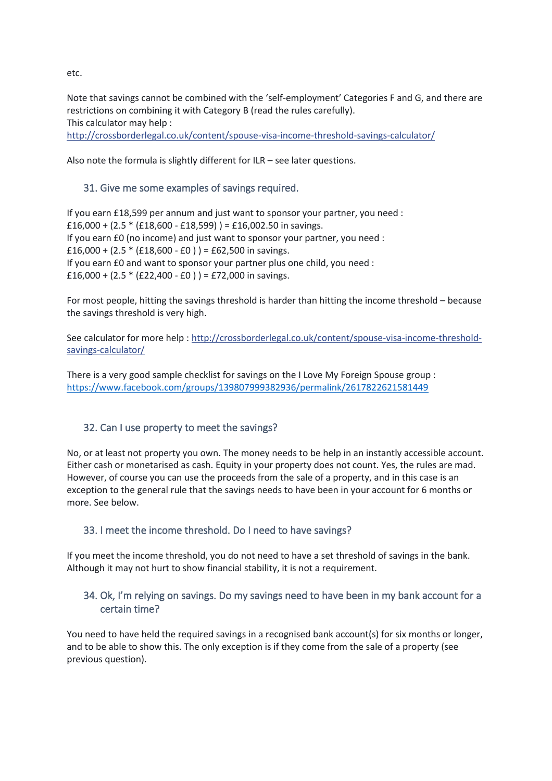etc.

Note that savings cannot be combined with the 'self-employment' Categories F and G, and there are restrictions on combining it with Category B (read the rules carefully). This calculator may help : [http://crossborderlegal.co.uk/content/spouse-visa-income-threshold-savings-calculator/](http://l.facebook.com/l.php?u=http%3A%2F%2Fcrossborderlegal.co.uk%2Fcontent%2Fspouse-visa-income-threshold-savings-calculator%2F&h=ATOX1BtkGH1sMZ4A1P8lnpOHZLa_QYiqt7BboxdHiRvDaB2ZvYSn4Ts4vNmfWr-N5h0xDKgoWTk0zp8HrcRWD4t9TIJNw7NqZxsuKwwQPcb0FzOGKsQzjyh49yqx1teVoRwCOcEwmd0)

Also note the formula is slightly different for ILR – see later questions.

#### <span id="page-29-0"></span>31. Give me some examples of savings required.

If you earn £18,599 per annum and just want to sponsor your partner, you need : £16,000 +  $(2.5 * (£18,600 - £18,599)) = £16,002.50$  in savings. If you earn £0 (no income) and just want to sponsor your partner, you need : £16,000 +  $(2.5 * (£18,600 - £0) ) = £62,500$  in savings. If you earn £0 and want to sponsor your partner plus one child, you need : £16,000 +  $(2.5 * (E22,400 - E0)) = E72,000$  in savings.

For most people, hitting the savings threshold is harder than hitting the income threshold – because the savings threshold is very high.

See calculator for more help : [http://crossborderlegal.co.uk/content/spouse-visa-income-threshold](http://l.facebook.com/l.php?u=http%3A%2F%2Fcrossborderlegal.co.uk%2Fcontent%2Fspouse-visa-income-threshold-savings-calculator%2F&h=ATOX1BtkGH1sMZ4A1P8lnpOHZLa_QYiqt7BboxdHiRvDaB2ZvYSn4Ts4vNmfWr-N5h0xDKgoWTk0zp8HrcRWD4t9TIJNw7NqZxsuKwwQPcb0FzOGKsQzjyh49yqx1teVoRwCOcEwmd0)[savings-calculator/](http://l.facebook.com/l.php?u=http%3A%2F%2Fcrossborderlegal.co.uk%2Fcontent%2Fspouse-visa-income-threshold-savings-calculator%2F&h=ATOX1BtkGH1sMZ4A1P8lnpOHZLa_QYiqt7BboxdHiRvDaB2ZvYSn4Ts4vNmfWr-N5h0xDKgoWTk0zp8HrcRWD4t9TIJNw7NqZxsuKwwQPcb0FzOGKsQzjyh49yqx1teVoRwCOcEwmd0)

There is a very good sample checklist for savings on the I Love My Foreign Spouse group : <https://www.facebook.com/groups/139807999382936/permalink/2617822621581449>

### <span id="page-29-1"></span>32. Can I use property to meet the savings?

No, or at least not property you own. The money needs to be help in an instantly accessible account. Either cash or monetarised as cash. Equity in your property does not count. Yes, the rules are mad. However, of course you can use the proceeds from the sale of a property, and in this case is an exception to the general rule that the savings needs to have been in your account for 6 months or more. See below.

#### <span id="page-29-2"></span>33. I meet the income threshold. Do I need to have savings?

If you meet the income threshold, you do not need to have a set threshold of savings in the bank. Although it may not hurt to show financial stability, it is not a requirement.

### <span id="page-29-3"></span>34. Ok, I'm relying on savings. Do my savings need to have been in my bank account for a certain time?

You need to have held the required savings in a recognised bank account(s) for six months or longer, and to be able to show this. The only exception is if they come from the sale of a property (see previous question).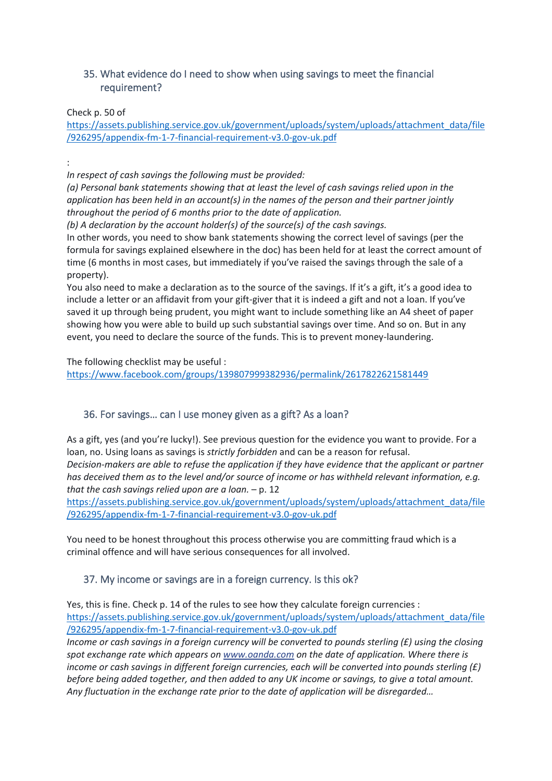### <span id="page-30-0"></span>35. What evidence do I need to show when using savings to meet the financial requirement?

Check p. 50 of

[https://assets.publishing.service.gov.uk/government/uploads/system/uploads/attachment\\_data/file](https://assets.publishing.service.gov.uk/government/uploads/system/uploads/attachment_data/file/926295/appendix-fm-1-7-financial-requirement-v3.0-gov-uk.pdf) [/926295/appendix-fm-1-7-financial-requirement-v3.0-gov-uk.pdf](https://assets.publishing.service.gov.uk/government/uploads/system/uploads/attachment_data/file/926295/appendix-fm-1-7-financial-requirement-v3.0-gov-uk.pdf)

:

*In respect of cash savings the following must be provided:* 

*(a) Personal bank statements showing that at least the level of cash savings relied upon in the application has been held in an account(s) in the names of the person and their partner jointly throughout the period of 6 months prior to the date of application.* 

*(b) A declaration by the account holder(s) of the source(s) of the cash savings.*

In other words, you need to show bank statements showing the correct level of savings (per the formula for savings explained elsewhere in the doc) has been held for at least the correct amount of time (6 months in most cases, but immediately if you've raised the savings through the sale of a property).

You also need to make a declaration as to the source of the savings. If it's a gift, it's a good idea to include a letter or an affidavit from your gift-giver that it is indeed a gift and not a loan. If you've saved it up through being prudent, you might want to include something like an A4 sheet of paper showing how you were able to build up such substantial savings over time. And so on. But in any event, you need to declare the source of the funds. This is to prevent money-laundering.

The following checklist may be useful : <https://www.facebook.com/groups/139807999382936/permalink/2617822621581449>

### <span id="page-30-1"></span>36. For savings… can I use money given as a gift? As a loan?

As a gift, yes (and you're lucky!). See previous question for the evidence you want to provide. For a loan, no. Using loans as savings is *strictly forbidden* and can be a reason for refusal. *Decision-makers are able to refuse the application if they have evidence that the applicant or partner has deceived them as to the level and/or source of income or has withheld relevant information, e.g. that the cash savings relied upon are a loan.* – p. 12

[https://assets.publishing.service.gov.uk/government/uploads/system/uploads/attachment\\_data/file](https://assets.publishing.service.gov.uk/government/uploads/system/uploads/attachment_data/file/926295/appendix-fm-1-7-financial-requirement-v3.0-gov-uk.pdf) [/926295/appendix-fm-1-7-financial-requirement-v3.0-gov-uk.pdf](https://assets.publishing.service.gov.uk/government/uploads/system/uploads/attachment_data/file/926295/appendix-fm-1-7-financial-requirement-v3.0-gov-uk.pdf)

You need to be honest throughout this process otherwise you are committing fraud which is a criminal offence and will have serious consequences for all involved.

#### <span id="page-30-2"></span>37. My income or savings are in a foreign currency. Is this ok?

Yes, this is fine. Check p. 14 of the rules to see how they calculate foreign currencies : [https://assets.publishing.service.gov.uk/government/uploads/system/uploads/attachment\\_data/file](https://assets.publishing.service.gov.uk/government/uploads/system/uploads/attachment_data/file/926295/appendix-fm-1-7-financial-requirement-v3.0-gov-uk.pdf) [/926295/appendix-fm-1-7-financial-requirement-v3.0-gov-uk.pdf](https://assets.publishing.service.gov.uk/government/uploads/system/uploads/attachment_data/file/926295/appendix-fm-1-7-financial-requirement-v3.0-gov-uk.pdf)

*Income or cash savings in a foreign currency will be converted to pounds sterling (£) using the closing spot exchange rate which appears on www.oanda.com on the date of application. Where there is income or cash savings in different foreign currencies, each will be converted into pounds sterling (£) before being added together, and then added to any UK income or savings, to give a total amount. Any fluctuation in the exchange rate prior to the date of application will be disregarded…*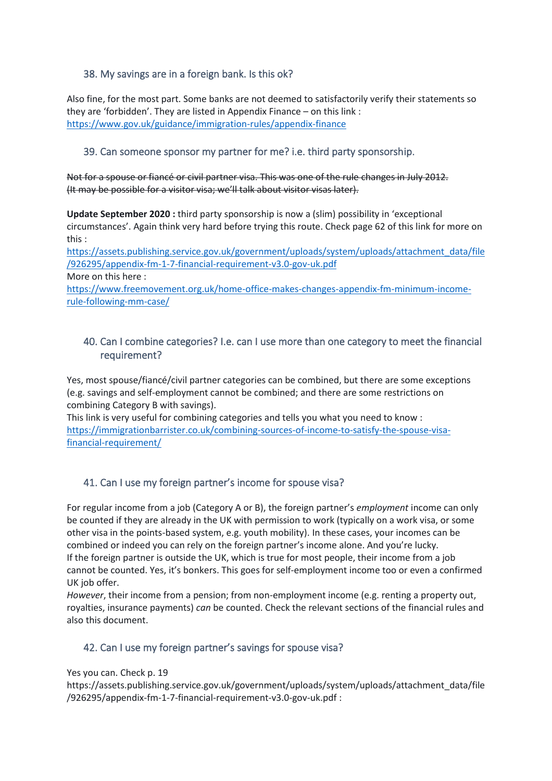### <span id="page-31-0"></span>38. My savings are in a foreign bank. Is this ok?

Also fine, for the most part. Some banks are not deemed to satisfactorily verify their statements so they are 'forbidden'. They are listed in Appendix Finance – on this link : <https://www.gov.uk/guidance/immigration-rules/appendix-finance>

#### <span id="page-31-1"></span>39. Can someone sponsor my partner for me? i.e. third party sponsorship.

Not for a spouse or fiancé or civil partner visa. This was one of the rule changes in July 2012. (It may be possible for a visitor visa; we'll talk about visitor visas later).

**Update September 2020 :** third party sponsorship is now a (slim) possibility in 'exceptional circumstances'. Again think very hard before trying this route. Check page 62 of this link for more on this :

[https://assets.publishing.service.gov.uk/government/uploads/system/uploads/attachment\\_data/file](https://assets.publishing.service.gov.uk/government/uploads/system/uploads/attachment_data/file/926295/appendix-fm-1-7-financial-requirement-v3.0-gov-uk.pdf) [/926295/appendix-fm-1-7-financial-requirement-v3.0-gov-uk.pdf](https://assets.publishing.service.gov.uk/government/uploads/system/uploads/attachment_data/file/926295/appendix-fm-1-7-financial-requirement-v3.0-gov-uk.pdf)

More on this here :

[https://www.freemovement.org.uk/home-office-makes-changes-appendix-fm-minimum-income](https://www.freemovement.org.uk/home-office-makes-changes-appendix-fm-minimum-income-rule-following-mm-case/)[rule-following-mm-case/](https://www.freemovement.org.uk/home-office-makes-changes-appendix-fm-minimum-income-rule-following-mm-case/)

#### <span id="page-31-2"></span>40. Can I combine categories? I.e. can I use more than one category to meet the financial requirement?

Yes, most spouse/fiancé/civil partner categories can be combined, but there are some exceptions (e.g. savings and self-employment cannot be combined; and there are some restrictions on combining Category B with savings).

This link is very useful for combining categories and tells you what you need to know : [https://immigrationbarrister.co.uk/combining-sources-of-income-to-satisfy-the-spouse-visa](https://immigrationbarrister.co.uk/combining-sources-of-income-to-satisfy-the-spouse-visa-financial-requirement/)[financial-requirement/](https://immigrationbarrister.co.uk/combining-sources-of-income-to-satisfy-the-spouse-visa-financial-requirement/)

# <span id="page-31-3"></span>41. Can I use my foreign partner's income for spouse visa?

For regular income from a job (Category A or B), the foreign partner's *employment* income can only be counted if they are already in the UK with permission to work (typically on a work visa, or some other visa in the points-based system, e.g. youth mobility). In these cases, your incomes can be combined or indeed you can rely on the foreign partner's income alone. And you're lucky. If the foreign partner is outside the UK, which is true for most people, their income from a job cannot be counted. Yes, it's bonkers. This goes for self-employment income too or even a confirmed UK job offer.

*However*, their income from a pension; from non-employment income (e.g. renting a property out, royalties, insurance payments) *can* be counted. Check the relevant sections of the financial rules and also this document.

### <span id="page-31-4"></span>42. Can I use my foreign partner's savings for spouse visa?

Yes you can. Check p. 19

https://assets.publishing.service.gov.uk/government/uploads/system/uploads/attachment\_data/file /926295/appendix-fm-1-7-financial-requirement-v3.0-gov-uk.pdf :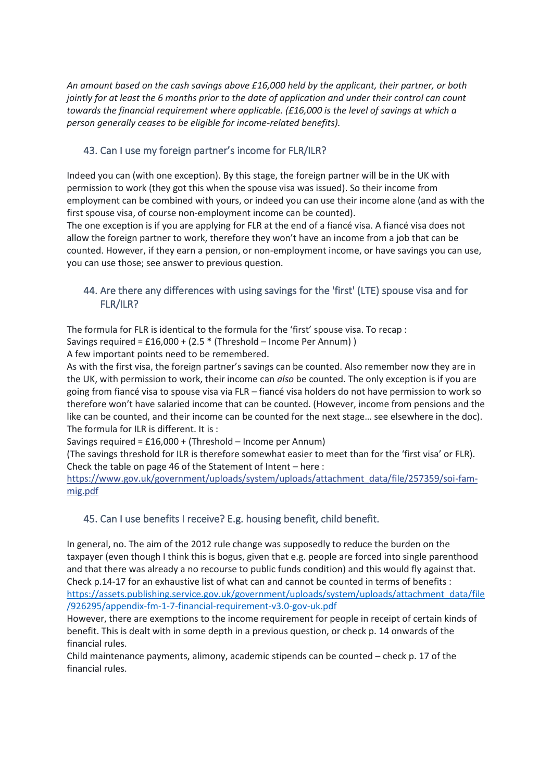*An amount based on the cash savings above £16,000 held by the applicant, their partner, or both jointly for at least the 6 months prior to the date of application and under their control can count towards the financial requirement where applicable. (£16,000 is the level of savings at which a person generally ceases to be eligible for income-related benefits).*

# <span id="page-32-0"></span>43. Can I use my foreign partner's income for FLR/ILR?

Indeed you can (with one exception). By this stage, the foreign partner will be in the UK with permission to work (they got this when the spouse visa was issued). So their income from employment can be combined with yours, or indeed you can use their income alone (and as with the first spouse visa, of course non-employment income can be counted).

The one exception is if you are applying for FLR at the end of a fiancé visa. A fiancé visa does not allow the foreign partner to work, therefore they won't have an income from a job that can be counted. However, if they earn a pension, or non-employment income, or have savings you can use, you can use those; see answer to previous question.

### <span id="page-32-1"></span>44. Are there any differences with using savings for the 'first' (LTE) spouse visa and for FLR/ILR?

The formula for FLR is identical to the formula for the 'first' spouse visa. To recap :

Savings required = £16,000 + (2.5 \* (Threshold – Income Per Annum) )

A few important points need to be remembered.

As with the first visa, the foreign partner's savings can be counted. Also remember now they are in the UK, with permission to work, their income can *also* be counted. The only exception is if you are going from fiancé visa to spouse visa via FLR – fiancé visa holders do not have permission to work so therefore won't have salaried income that can be counted. (However, income from pensions and the like can be counted, and their income can be counted for the next stage… see elsewhere in the doc). The formula for ILR is different. It is :

Savings required = £16,000 + (Threshold – Income per Annum)

(The savings threshold for ILR is therefore somewhat easier to meet than for the 'first visa' or FLR). Check the table on page 46 of the Statement of Intent – here :

[https://www.gov.uk/government/uploads/system/uploads/attachment\\_data/file/257359/soi-fam](https://l.facebook.com/l.php?u=https%3A%2F%2Fwww.gov.uk%2Fgovernment%2Fuploads%2Fsystem%2Fuploads%2Fattachment_data%2Ffile%2F257359%2Fsoi-fam-mig.pdf&h=ATOX1BtkGH1sMZ4A1P8lnpOHZLa_QYiqt7BboxdHiRvDaB2ZvYSn4Ts4vNmfWr-N5h0xDKgoWTk0zp8HrcRWD4t9TIJNw7NqZxsuKwwQPcb0FzOGKsQzjyh49yqx1teVoRwCOcEwmd0)[mig.pdf](https://l.facebook.com/l.php?u=https%3A%2F%2Fwww.gov.uk%2Fgovernment%2Fuploads%2Fsystem%2Fuploads%2Fattachment_data%2Ffile%2F257359%2Fsoi-fam-mig.pdf&h=ATOX1BtkGH1sMZ4A1P8lnpOHZLa_QYiqt7BboxdHiRvDaB2ZvYSn4Ts4vNmfWr-N5h0xDKgoWTk0zp8HrcRWD4t9TIJNw7NqZxsuKwwQPcb0FzOGKsQzjyh49yqx1teVoRwCOcEwmd0)

### <span id="page-32-2"></span>45. Can I use benefits I receive? E.g. housing benefit, child benefit.

In general, no. The aim of the 2012 rule change was supposedly to reduce the burden on the taxpayer (even though I think this is bogus, given that e.g. people are forced into single parenthood and that there was already a no recourse to public funds condition) and this would fly against that. Check p.14-17 for an exhaustive list of what can and cannot be counted in terms of benefits : [https://assets.publishing.service.gov.uk/government/uploads/system/uploads/attachment\\_data/file](https://assets.publishing.service.gov.uk/government/uploads/system/uploads/attachment_data/file/926295/appendix-fm-1-7-financial-requirement-v3.0-gov-uk.pdf) [/926295/appendix-fm-1-7-financial-requirement-v3.0-gov-uk.pdf](https://assets.publishing.service.gov.uk/government/uploads/system/uploads/attachment_data/file/926295/appendix-fm-1-7-financial-requirement-v3.0-gov-uk.pdf)

However, there are exemptions to the income requirement for people in receipt of certain kinds of benefit. This is dealt with in some depth in a previous question, or check p. 14 onwards of the financial rules.

Child maintenance payments, alimony, academic stipends can be counted – check p. 17 of the financial rules.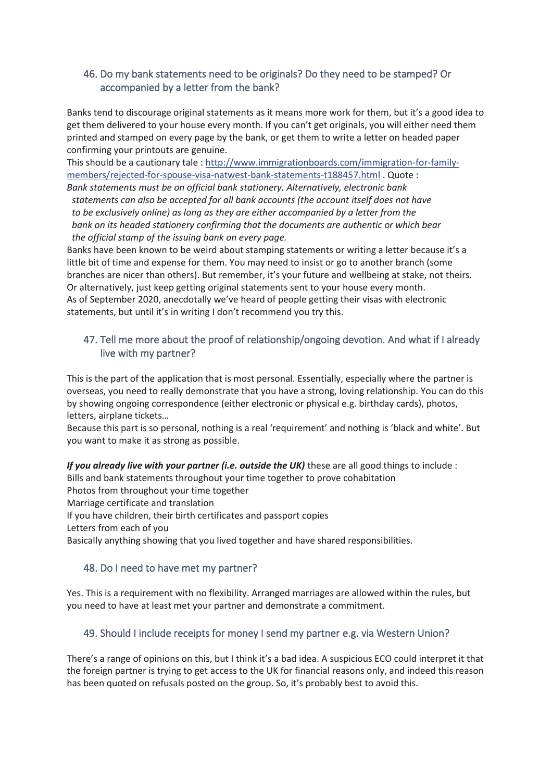### <span id="page-33-0"></span>46. Do my bank statements need to be originals? Do they need to be stamped? Or accompanied by a letter from the bank?

Banks tend to discourage original statements as it means more work for them, but it's a good idea to get them delivered to your house every month. If you can't get originals, you will either need them printed and stamped on every page by the bank, or get them to write a letter on headed paper confirming your printouts are genuine.

This should be a cautionary tale : [http://www.immigrationboards.com/immigration-for-family](http://l.facebook.com/l.php?u=http%3A%2F%2Fwww.immigrationboards.com%2Fimmigration-for-family-members%2Frejected-for-spouse-visa-natwest-bank-statements-t188457.html&h=ATOX1BtkGH1sMZ4A1P8lnpOHZLa_QYiqt7BboxdHiRvDaB2ZvYSn4Ts4vNmfWr-N5h0xDKgoWTk0zp8HrcRWD4t9TIJNw7NqZxsuKwwQPcb0FzOGKsQzjyh49yqx1teVoRwCOcEwmd0)[members/rejected-for-spouse-visa-natwest-bank-statements-t188457.html](http://l.facebook.com/l.php?u=http%3A%2F%2Fwww.immigrationboards.com%2Fimmigration-for-family-members%2Frejected-for-spouse-visa-natwest-bank-statements-t188457.html&h=ATOX1BtkGH1sMZ4A1P8lnpOHZLa_QYiqt7BboxdHiRvDaB2ZvYSn4Ts4vNmfWr-N5h0xDKgoWTk0zp8HrcRWD4t9TIJNw7NqZxsuKwwQPcb0FzOGKsQzjyh49yqx1teVoRwCOcEwmd0) . Quote :

*Bank statements must be on official bank stationery. Alternatively, electronic bank statements can also be accepted for all bank accounts (the account itself does not have to be exclusively online) as long as they are either accompanied by a letter from the bank on its headed stationery confirming that the documents are authentic or which bear the official stamp of the issuing bank on every page.*

Banks have been known to be weird about stamping statements or writing a letter because it's a little bit of time and expense for them. You may need to insist or go to another branch (some branches are nicer than others). But remember, it's your future and wellbeing at stake, not theirs. Or alternatively, just keep getting original statements sent to your house every month. As of September 2020, anecdotally we've heard of people getting their visas with electronic statements, but until it's in writing I don't recommend you try this.

# <span id="page-33-1"></span>47. Tell me more about the proof of relationship/ongoing devotion. And what if I already live with my partner?

This is the part of the application that is most personal. Essentially, especially where the partner is overseas, you need to really demonstrate that you have a strong, loving relationship. You can do this by showing ongoing correspondence (either electronic or physical e.g. birthday cards), photos, letters, airplane tickets…

Because this part is so personal, nothing is a real 'requirement' and nothing is 'black and white'. But you want to make it as strong as possible.

*If you already live with your partner (i.e. outside the UK)* these are all good things to include :

Bills and bank statements throughout your time together to prove cohabitation

Photos from throughout your time together

Marriage certificate and translation

If you have children, their birth certificates and passport copies

Letters from each of you

Basically anything showing that you lived together and have shared responsibilities.

### <span id="page-33-2"></span>48. Do I need to have met my partner?

Yes. This is a requirement with no flexibility. Arranged marriages are allowed within the rules, but you need to have at least met your partner and demonstrate a commitment.

### <span id="page-33-3"></span>49. Should I include receipts for money I send my partner e.g. via Western Union?

There's a range of opinions on this, but I think it's a bad idea. A suspicious ECO could interpret it that the foreign partner is trying to get access to the UK for financial reasons only, and indeed this reason has been quoted on refusals posted on the group. So, it's probably best to avoid this.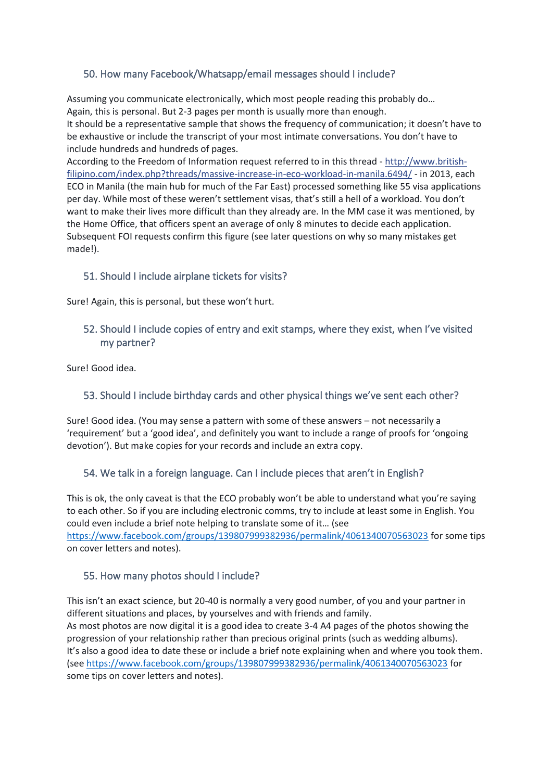# <span id="page-34-0"></span>50. How many Facebook/Whatsapp/email messages should I include?

Assuming you communicate electronically, which most people reading this probably do… Again, this is personal. But 2-3 pages per month is usually more than enough. It should be a representative sample that shows the frequency of communication; it doesn't have to be exhaustive or include the transcript of your most intimate conversations. You don't have to include hundreds and hundreds of pages.

According to the Freedom of Information request referred to in this thread - [http://www.british](http://l.facebook.com/l.php?u=http%3A%2F%2Fwww.british-filipino.com%2Findex.php%3Fthreads%252Fmassive-increase-in-eco-workload-in-manila.6494%252F&h=ATOX1BtkGH1sMZ4A1P8lnpOHZLa_QYiqt7BboxdHiRvDaB2ZvYSn4Ts4vNmfWr-N5h0xDKgoWTk0zp8HrcRWD4t9TIJNw7NqZxsuKwwQPcb0FzOGKsQzjyh49yqx1teVoRwCOcEwmd0)[filipino.com/index.php?threads/massive-increase-in-eco-workload-in-manila.6494/](http://l.facebook.com/l.php?u=http%3A%2F%2Fwww.british-filipino.com%2Findex.php%3Fthreads%252Fmassive-increase-in-eco-workload-in-manila.6494%252F&h=ATOX1BtkGH1sMZ4A1P8lnpOHZLa_QYiqt7BboxdHiRvDaB2ZvYSn4Ts4vNmfWr-N5h0xDKgoWTk0zp8HrcRWD4t9TIJNw7NqZxsuKwwQPcb0FzOGKsQzjyh49yqx1teVoRwCOcEwmd0) - in 2013, each ECO in Manila (the main hub for much of the Far East) processed something like 55 visa applications per day. While most of these weren't settlement visas, that's still a hell of a workload. You don't want to make their lives more difficult than they already are. In the MM case it was mentioned, by the Home Office, that officers spent an average of only 8 minutes to decide each application. Subsequent FOI requests confirm this figure (see later questions on why so many mistakes get made!).

### <span id="page-34-1"></span>51. Should I include airplane tickets for visits?

Sure! Again, this is personal, but these won't hurt.

### <span id="page-34-2"></span>52. Should I include copies of entry and exit stamps, where they exist, when I've visited my partner?

Sure! Good idea.

# <span id="page-34-3"></span>53. Should I include birthday cards and other physical things we've sent each other?

Sure! Good idea. (You may sense a pattern with some of these answers – not necessarily a 'requirement' but a 'good idea', and definitely you want to include a range of proofs for 'ongoing devotion'). But make copies for your records and include an extra copy.

### <span id="page-34-4"></span>54. We talk in a foreign language. Can I include pieces that aren't in English?

This is ok, the only caveat is that the ECO probably won't be able to understand what you're saying to each other. So if you are including electronic comms, try to include at least some in English. You could even include a brief note helping to translate some of it… (see <https://www.facebook.com/groups/139807999382936/permalink/4061340070563023> for some tips on cover letters and notes).

### <span id="page-34-5"></span>55. How many photos should I include?

This isn't an exact science, but 20-40 is normally a very good number, of you and your partner in different situations and places, by yourselves and with friends and family. As most photos are now digital it is a good idea to create 3-4 A4 pages of the photos showing the progression of your relationship rather than precious original prints (such as wedding albums). It's also a good idea to date these or include a brief note explaining when and where you took them. (see<https://www.facebook.com/groups/139807999382936/permalink/4061340070563023> for some tips on cover letters and notes).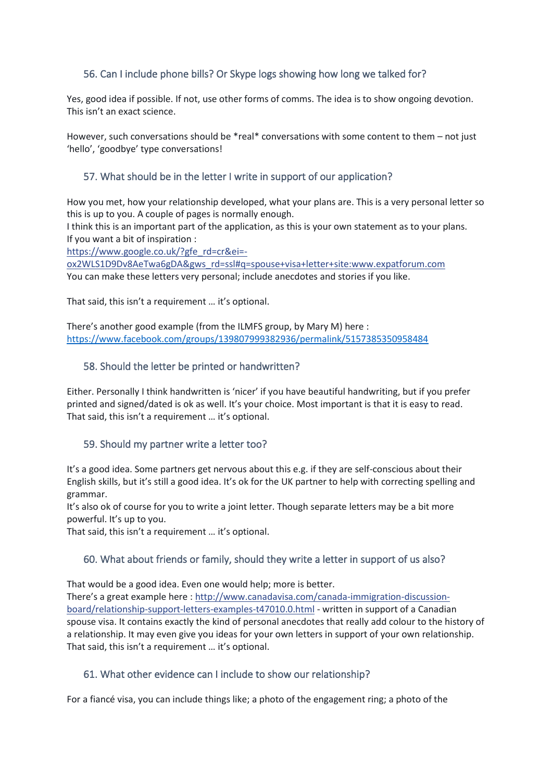### <span id="page-35-0"></span>56. Can I include phone bills? Or Skype logs showing how long we talked for?

Yes, good idea if possible. If not, use other forms of comms. The idea is to show ongoing devotion. This isn't an exact science.

However, such conversations should be \*real\* conversations with some content to them – not just 'hello', 'goodbye' type conversations!

### <span id="page-35-1"></span>57. What should be in the letter I write in support of our application?

How you met, how your relationship developed, what your plans are. This is a very personal letter so this is up to you. A couple of pages is normally enough.

I think this is an important part of the application, as this is your own statement as to your plans. If you want a bit of inspiration :

[https://www.google.co.uk/?gfe\\_rd=cr&ei=-](https://l.facebook.com/l.php?u=https%3A%2F%2Fwww.google.co.uk%2F%3Fgfe_rd%3Dcr%26ei%3D-ox2WLS1D9Dv8AeTwa6gDA%26gws_rd%3Dssl%23q%3Dspouse%2Bvisa%2Bletter%2Bsite%3Awww.expatforum.com&h=ATOX1BtkGH1sMZ4A1P8lnpOHZLa_QYiqt7BboxdHiRvDaB2ZvYSn4Ts4vNmfWr-N5h0xDKgoWTk0zp8HrcRWD4t9TIJNw7NqZxsuKwwQPcb0FzOGKsQzjyh49yqx1teVoRwCOcEwmd0)

[ox2WLS1D9Dv8AeTwa6gDA&gws\\_rd=ssl#q=spouse+visa+letter+site:www.expatforum.com](https://l.facebook.com/l.php?u=https%3A%2F%2Fwww.google.co.uk%2F%3Fgfe_rd%3Dcr%26ei%3D-ox2WLS1D9Dv8AeTwa6gDA%26gws_rd%3Dssl%23q%3Dspouse%2Bvisa%2Bletter%2Bsite%3Awww.expatforum.com&h=ATOX1BtkGH1sMZ4A1P8lnpOHZLa_QYiqt7BboxdHiRvDaB2ZvYSn4Ts4vNmfWr-N5h0xDKgoWTk0zp8HrcRWD4t9TIJNw7NqZxsuKwwQPcb0FzOGKsQzjyh49yqx1teVoRwCOcEwmd0) You can make these letters very personal; include anecdotes and stories if you like.

That said, this isn't a requirement … it's optional.

There's another good example (from the ILMFS group, by Mary M) here : <https://www.facebook.com/groups/139807999382936/permalink/5157385350958484>

#### <span id="page-35-2"></span>58. Should the letter be printed or handwritten?

Either. Personally I think handwritten is 'nicer' if you have beautiful handwriting, but if you prefer printed and signed/dated is ok as well. It's your choice. Most important is that it is easy to read. That said, this isn't a requirement … it's optional.

#### <span id="page-35-3"></span>59. Should my partner write a letter too?

It's a good idea. Some partners get nervous about this e.g. if they are self-conscious about their English skills, but it's still a good idea. It's ok for the UK partner to help with correcting spelling and grammar.

It's also ok of course for you to write a joint letter. Though separate letters may be a bit more powerful. It's up to you.

That said, this isn't a requirement … it's optional.

#### <span id="page-35-4"></span>60. What about friends or family, should they write a letter in support of us also?

That would be a good idea. Even one would help; more is better.

There's a great example here : [http://www.canadavisa.com/canada-immigration-discussion](http://l.facebook.com/l.php?u=http%3A%2F%2Fwww.canadavisa.com%2Fcanada-immigration-discussion-board%2Frelationship-support-letters-examples-t47010.0.html&h=ATOX1BtkGH1sMZ4A1P8lnpOHZLa_QYiqt7BboxdHiRvDaB2ZvYSn4Ts4vNmfWr-N5h0xDKgoWTk0zp8HrcRWD4t9TIJNw7NqZxsuKwwQPcb0FzOGKsQzjyh49yqx1teVoRwCOcEwmd0)[board/relationship-support-letters-examples-t47010.0.html](http://l.facebook.com/l.php?u=http%3A%2F%2Fwww.canadavisa.com%2Fcanada-immigration-discussion-board%2Frelationship-support-letters-examples-t47010.0.html&h=ATOX1BtkGH1sMZ4A1P8lnpOHZLa_QYiqt7BboxdHiRvDaB2ZvYSn4Ts4vNmfWr-N5h0xDKgoWTk0zp8HrcRWD4t9TIJNw7NqZxsuKwwQPcb0FzOGKsQzjyh49yqx1teVoRwCOcEwmd0) - written in support of a Canadian spouse visa. It contains exactly the kind of personal anecdotes that really add colour to the history of a relationship. It may even give you ideas for your own letters in support of your own relationship. That said, this isn't a requirement … it's optional.

#### <span id="page-35-5"></span>61. What other evidence can I include to show our relationship?

For a fiancé visa, you can include things like; a photo of the engagement ring; a photo of the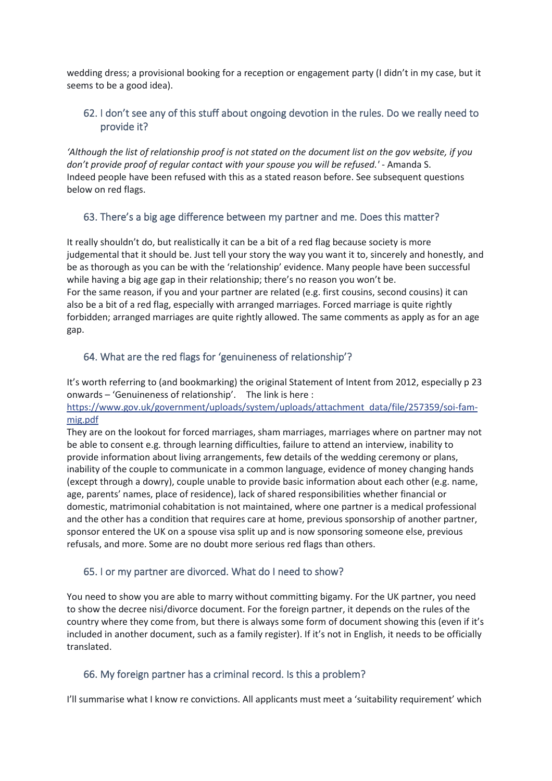wedding dress; a provisional booking for a reception or engagement party (I didn't in my case, but it seems to be a good idea).

### <span id="page-36-0"></span>62. I don't see any of this stuff about ongoing devotion in the rules. Do we really need to provide it?

*'Although the list of relationship proof is not stated on the document list on the gov website, if you don't provide proof of regular contact with your spouse you will be refused.'* - Amanda S. Indeed people have been refused with this as a stated reason before. See subsequent questions below on red flags.

### <span id="page-36-1"></span>63. There's a big age difference between my partner and me. Does this matter?

It really shouldn't do, but realistically it can be a bit of a red flag because society is more judgemental that it should be. Just tell your story the way you want it to, sincerely and honestly, and be as thorough as you can be with the 'relationship' evidence. Many people have been successful while having a big age gap in their relationship; there's no reason you won't be. For the same reason, if you and your partner are related (e.g. first cousins, second cousins) it can also be a bit of a red flag, especially with arranged marriages. Forced marriage is quite rightly forbidden; arranged marriages are quite rightly allowed. The same comments as apply as for an age gap.

# <span id="page-36-2"></span>64. What are the red flags for 'genuineness of relationship'?

It's worth referring to (and bookmarking) the original Statement of Intent from 2012, especially p 23 onwards – 'Genuineness of relationship'. The link is here :

[https://www.gov.uk/government/uploads/system/uploads/attachment\\_data/file/257359/soi-fam](https://l.facebook.com/l.php?u=https%3A%2F%2Fwww.gov.uk%2Fgovernment%2Fuploads%2Fsystem%2Fuploads%2Fattachment_data%2Ffile%2F257359%2Fsoi-fam-mig.pdf&h=ATOX1BtkGH1sMZ4A1P8lnpOHZLa_QYiqt7BboxdHiRvDaB2ZvYSn4Ts4vNmfWr-N5h0xDKgoWTk0zp8HrcRWD4t9TIJNw7NqZxsuKwwQPcb0FzOGKsQzjyh49yqx1teVoRwCOcEwmd0)[mig.pdf](https://l.facebook.com/l.php?u=https%3A%2F%2Fwww.gov.uk%2Fgovernment%2Fuploads%2Fsystem%2Fuploads%2Fattachment_data%2Ffile%2F257359%2Fsoi-fam-mig.pdf&h=ATOX1BtkGH1sMZ4A1P8lnpOHZLa_QYiqt7BboxdHiRvDaB2ZvYSn4Ts4vNmfWr-N5h0xDKgoWTk0zp8HrcRWD4t9TIJNw7NqZxsuKwwQPcb0FzOGKsQzjyh49yqx1teVoRwCOcEwmd0)

They are on the lookout for forced marriages, sham marriages, marriages where on partner may not be able to consent e.g. through learning difficulties, failure to attend an interview, inability to provide information about living arrangements, few details of the wedding ceremony or plans, inability of the couple to communicate in a common language, evidence of money changing hands (except through a dowry), couple unable to provide basic information about each other (e.g. name, age, parents' names, place of residence), lack of shared responsibilities whether financial or domestic, matrimonial cohabitation is not maintained, where one partner is a medical professional and the other has a condition that requires care at home, previous sponsorship of another partner, sponsor entered the UK on a spouse visa split up and is now sponsoring someone else, previous refusals, and more. Some are no doubt more serious red flags than others.

### <span id="page-36-3"></span>65. I or my partner are divorced. What do I need to show?

You need to show you are able to marry without committing bigamy. For the UK partner, you need to show the decree nisi/divorce document. For the foreign partner, it depends on the rules of the country where they come from, but there is always some form of document showing this (even if it's included in another document, such as a family register). If it's not in English, it needs to be officially translated.

### <span id="page-36-4"></span>66. My foreign partner has a criminal record. Is this a problem?

I'll summarise what I know re convictions. All applicants must meet a 'suitability requirement' which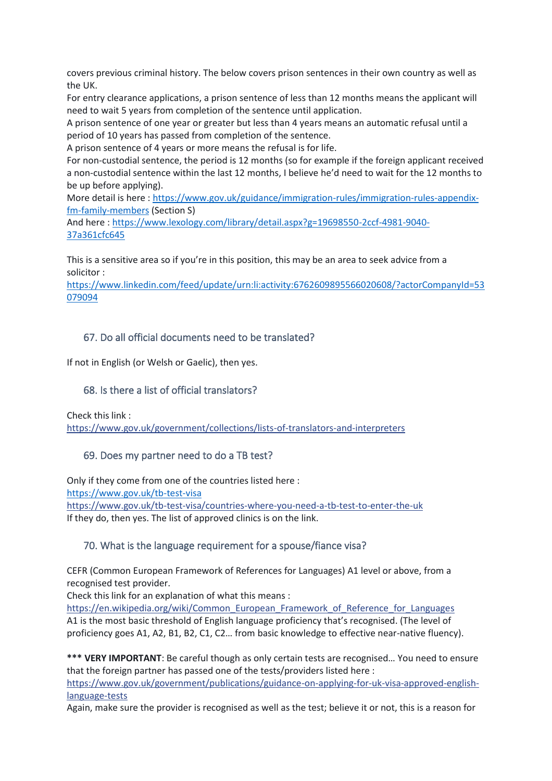covers previous criminal history. The below covers prison sentences in their own country as well as the UK.

For entry clearance applications, a prison sentence of less than 12 months means the applicant will need to wait 5 years from completion of the sentence until application.

A prison sentence of one year or greater but less than 4 years means an automatic refusal until a period of 10 years has passed from completion of the sentence.

A prison sentence of 4 years or more means the refusal is for life.

For non-custodial sentence, the period is 12 months (so for example if the foreign applicant received a non-custodial sentence within the last 12 months, I believe he'd need to wait for the 12 months to be up before applying).

More detail is here [: https://www.gov.uk/guidance/immigration-rules/immigration-rules-appendix](https://www.gov.uk/guidance/immigration-rules/immigration-rules-appendix-fm-family-members)[fm-family-members](https://www.gov.uk/guidance/immigration-rules/immigration-rules-appendix-fm-family-members) (Section S)

And here : [https://www.lexology.com/library/detail.aspx?g=19698550-2ccf-4981-9040-](https://www.lexology.com/library/detail.aspx?g=19698550-2ccf-4981-9040-37a361cfc645) [37a361cfc645](https://www.lexology.com/library/detail.aspx?g=19698550-2ccf-4981-9040-37a361cfc645)

This is a sensitive area so if you're in this position, this may be an area to seek advice from a solicitor :

[https://www.linkedin.com/feed/update/urn:li:activity:6762609895566020608/?actorCompanyId=53](https://www.linkedin.com/feed/update/urn:li:activity:6762609895566020608/?actorCompanyId=53079094) [079094](https://www.linkedin.com/feed/update/urn:li:activity:6762609895566020608/?actorCompanyId=53079094)

#### <span id="page-37-0"></span>67. Do all official documents need to be translated?

If not in English (or Welsh or Gaelic), then yes.

#### <span id="page-37-1"></span>68. Is there a list of official translators?

Check this link :

[https://www.gov.uk/government/collections/lists-of-translators-and-interpreters](https://l.facebook.com/l.php?u=https%3A%2F%2Fwww.gov.uk%2Fgovernment%2Fcollections%2Flists-of-translators-and-interpreters&h=ATOX1BtkGH1sMZ4A1P8lnpOHZLa_QYiqt7BboxdHiRvDaB2ZvYSn4Ts4vNmfWr-N5h0xDKgoWTk0zp8HrcRWD4t9TIJNw7NqZxsuKwwQPcb0FzOGKsQzjyh49yqx1teVoRwCOcEwmd0)

#### <span id="page-37-2"></span>69. Does my partner need to do a TB test?

Only if they come from one of the countries listed here : <https://www.gov.uk/tb-test-visa> [https://www.gov.uk/tb-test-visa/countries-where-you-need-a-tb-test-to-enter-the-uk](https://l.facebook.com/l.php?u=https%3A%2F%2Fwww.gov.uk%2Ftb-test-visa%2Fcountries-where-you-need-a-tb-test-to-enter-the-uk&h=ATOX1BtkGH1sMZ4A1P8lnpOHZLa_QYiqt7BboxdHiRvDaB2ZvYSn4Ts4vNmfWr-N5h0xDKgoWTk0zp8HrcRWD4t9TIJNw7NqZxsuKwwQPcb0FzOGKsQzjyh49yqx1teVoRwCOcEwmd0) If they do, then yes. The list of approved clinics is on the link.

#### <span id="page-37-3"></span>70. What is the language requirement for a spouse/fiance visa?

CEFR (Common European Framework of References for Languages) A1 level or above, from a recognised test provider.

Check this link for an explanation of what this means :

[https://en.wikipedia.org/wiki/Common\\_European\\_Framework\\_of\\_Reference\\_for\\_Languages](https://l.facebook.com/l.php?u=https%3A%2F%2Fen.wikipedia.org%2Fwiki%2FCommon_European_Framework_of_Reference_for_Languages&h=ATOX1BtkGH1sMZ4A1P8lnpOHZLa_QYiqt7BboxdHiRvDaB2ZvYSn4Ts4vNmfWr-N5h0xDKgoWTk0zp8HrcRWD4t9TIJNw7NqZxsuKwwQPcb0FzOGKsQzjyh49yqx1teVoRwCOcEwmd0) A1 is the most basic threshold of English language proficiency that's recognised. (The level of proficiency goes A1, A2, B1, B2, C1, C2… from basic knowledge to effective near-native fluency).

**\*\*\* VERY IMPORTANT**: Be careful though as only certain tests are recognised… You need to ensure that the foreign partner has passed one of the tests/providers listed here : [https://www.gov.uk/government/publications/guidance-on-applying-for-uk-visa-approved-english](https://l.facebook.com/l.php?u=https%3A%2F%2Fwww.gov.uk%2Fgovernment%2Fpublications%2Fguidance-on-applying-for-uk-visa-approved-english-language-tests&h=ATOX1BtkGH1sMZ4A1P8lnpOHZLa_QYiqt7BboxdHiRvDaB2ZvYSn4Ts4vNmfWr-N5h0xDKgoWTk0zp8HrcRWD4t9TIJNw7NqZxsuKwwQPcb0FzOGKsQzjyh49yqx1teVoRwCOcEwmd0)[language-tests](https://l.facebook.com/l.php?u=https%3A%2F%2Fwww.gov.uk%2Fgovernment%2Fpublications%2Fguidance-on-applying-for-uk-visa-approved-english-language-tests&h=ATOX1BtkGH1sMZ4A1P8lnpOHZLa_QYiqt7BboxdHiRvDaB2ZvYSn4Ts4vNmfWr-N5h0xDKgoWTk0zp8HrcRWD4t9TIJNw7NqZxsuKwwQPcb0FzOGKsQzjyh49yqx1teVoRwCOcEwmd0)

Again, make sure the provider is recognised as well as the test; believe it or not, this is a reason for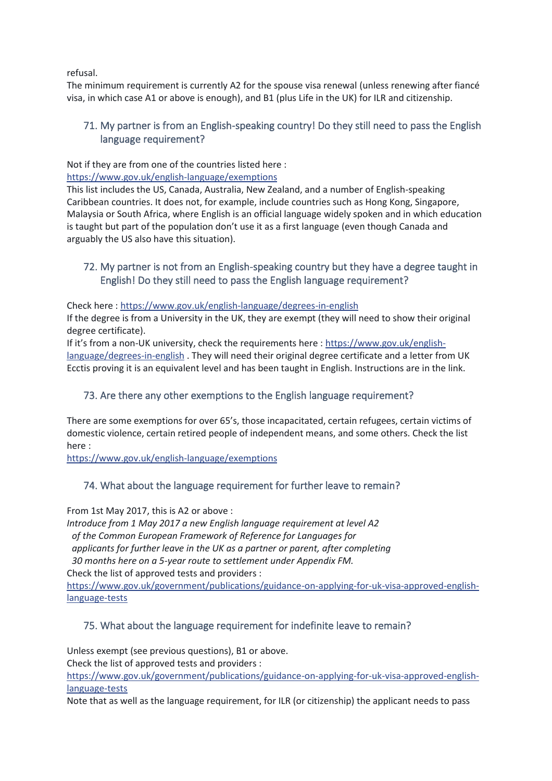refusal.

The minimum requirement is currently A2 for the spouse visa renewal (unless renewing after fiancé visa, in which case A1 or above is enough), and B1 (plus Life in the UK) for ILR and citizenship.

### <span id="page-38-0"></span>71. My partner is from an English-speaking country! Do they still need to pass the English language requirement?

Not if they are from one of the countries listed here :

[https://www.gov.uk/english-language/exemptions](https://l.facebook.com/l.php?u=https%3A%2F%2Fwww.gov.uk%2Fenglish-language%2Fexemptions&h=ATOX1BtkGH1sMZ4A1P8lnpOHZLa_QYiqt7BboxdHiRvDaB2ZvYSn4Ts4vNmfWr-N5h0xDKgoWTk0zp8HrcRWD4t9TIJNw7NqZxsuKwwQPcb0FzOGKsQzjyh49yqx1teVoRwCOcEwmd0)

This list includes the US, Canada, Australia, New Zealand, and a number of English-speaking Caribbean countries. It does not, for example, include countries such as Hong Kong, Singapore, Malaysia or South Africa, where English is an official language widely spoken and in which education is taught but part of the population don't use it as a first language (even though Canada and arguably the US also have this situation).

# <span id="page-38-1"></span>72. My partner is not from an English-speaking country but they have a degree taught in English! Do they still need to pass the English language requirement?

Check here : https://www.gov.uk/english-language/degrees-in-english

If the degree is from a University in the UK, they are exempt (they will need to show their original degree certificate).

If it's from a non-UK university, check the requirements here [: https://www.gov.uk/english](https://l.facebook.com/l.php?u=https%3A%2F%2Fwww.gov.uk%2Fenglish-language%2Fdegrees-in-english&h=ATOX1BtkGH1sMZ4A1P8lnpOHZLa_QYiqt7BboxdHiRvDaB2ZvYSn4Ts4vNmfWr-N5h0xDKgoWTk0zp8HrcRWD4t9TIJNw7NqZxsuKwwQPcb0FzOGKsQzjyh49yqx1teVoRwCOcEwmd0)[language/degrees-in-english](https://l.facebook.com/l.php?u=https%3A%2F%2Fwww.gov.uk%2Fenglish-language%2Fdegrees-in-english&h=ATOX1BtkGH1sMZ4A1P8lnpOHZLa_QYiqt7BboxdHiRvDaB2ZvYSn4Ts4vNmfWr-N5h0xDKgoWTk0zp8HrcRWD4t9TIJNw7NqZxsuKwwQPcb0FzOGKsQzjyh49yqx1teVoRwCOcEwmd0). They will need their original degree certificate and a letter from UK Ecctis proving it is an equivalent level and has been taught in English. Instructions are in the link.

### <span id="page-38-2"></span>73. Are there any other exemptions to the English language requirement?

There are some exemptions for over 65's, those incapacitated, certain refugees, certain victims of domestic violence, certain retired people of independent means, and some others. Check the list here :

[https://www.gov.uk/english-language/exemptions](https://l.facebook.com/l.php?u=https%3A%2F%2Fwww.gov.uk%2Fenglish-language%2Fexemptions&h=ATOX1BtkGH1sMZ4A1P8lnpOHZLa_QYiqt7BboxdHiRvDaB2ZvYSn4Ts4vNmfWr-N5h0xDKgoWTk0zp8HrcRWD4t9TIJNw7NqZxsuKwwQPcb0FzOGKsQzjyh49yqx1teVoRwCOcEwmd0)

### <span id="page-38-3"></span>74. What about the language requirement for further leave to remain?

From 1st May 2017, this is A2 or above :

*Introduce from 1 May 2017 a new English language requirement at level A2 of the Common European Framework of Reference for Languages for*

*applicants for further leave in the UK as a partner or parent, after completing*

*30 months here on a 5-year route to settlement under Appendix FM.*

Check the list of approved tests and providers :

[https://www.gov.uk/government/publications/guidance-on-applying-for-uk-visa-approved-english](https://l.facebook.com/l.php?u=https%3A%2F%2Fwww.gov.uk%2Fgovernment%2Fpublications%2Fguidance-on-applying-for-uk-visa-approved-english-language-tests&h=ATOX1BtkGH1sMZ4A1P8lnpOHZLa_QYiqt7BboxdHiRvDaB2ZvYSn4Ts4vNmfWr-N5h0xDKgoWTk0zp8HrcRWD4t9TIJNw7NqZxsuKwwQPcb0FzOGKsQzjyh49yqx1teVoRwCOcEwmd0)[language-tests](https://l.facebook.com/l.php?u=https%3A%2F%2Fwww.gov.uk%2Fgovernment%2Fpublications%2Fguidance-on-applying-for-uk-visa-approved-english-language-tests&h=ATOX1BtkGH1sMZ4A1P8lnpOHZLa_QYiqt7BboxdHiRvDaB2ZvYSn4Ts4vNmfWr-N5h0xDKgoWTk0zp8HrcRWD4t9TIJNw7NqZxsuKwwQPcb0FzOGKsQzjyh49yqx1teVoRwCOcEwmd0)

### <span id="page-38-4"></span>75. What about the language requirement for indefinite leave to remain?

Unless exempt (see previous questions), B1 or above.

Check the list of approved tests and providers :

[https://www.gov.uk/government/publications/guidance-on-applying-for-uk-visa-approved-english](https://l.facebook.com/l.php?u=https%3A%2F%2Fwww.gov.uk%2Fgovernment%2Fpublications%2Fguidance-on-applying-for-uk-visa-approved-english-language-tests&h=ATOX1BtkGH1sMZ4A1P8lnpOHZLa_QYiqt7BboxdHiRvDaB2ZvYSn4Ts4vNmfWr-N5h0xDKgoWTk0zp8HrcRWD4t9TIJNw7NqZxsuKwwQPcb0FzOGKsQzjyh49yqx1teVoRwCOcEwmd0)[language-tests](https://l.facebook.com/l.php?u=https%3A%2F%2Fwww.gov.uk%2Fgovernment%2Fpublications%2Fguidance-on-applying-for-uk-visa-approved-english-language-tests&h=ATOX1BtkGH1sMZ4A1P8lnpOHZLa_QYiqt7BboxdHiRvDaB2ZvYSn4Ts4vNmfWr-N5h0xDKgoWTk0zp8HrcRWD4t9TIJNw7NqZxsuKwwQPcb0FzOGKsQzjyh49yqx1teVoRwCOcEwmd0)

Note that as well as the language requirement, for ILR (or citizenship) the applicant needs to pass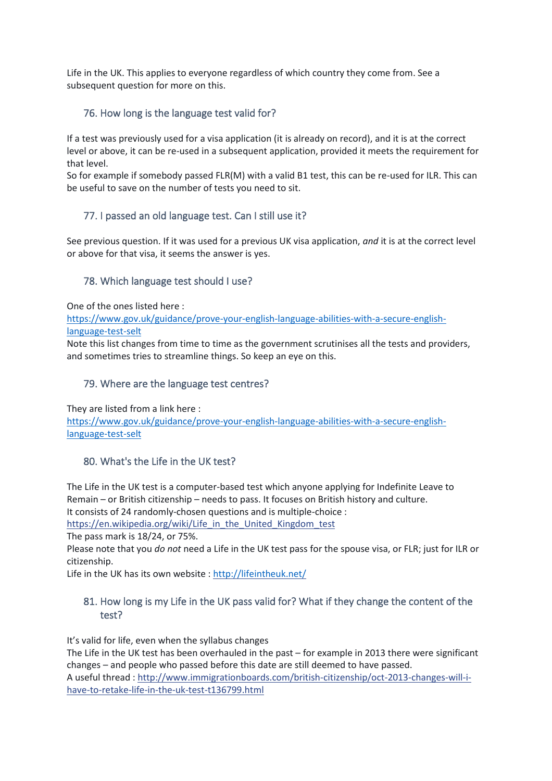Life in the UK. This applies to everyone regardless of which country they come from. See a subsequent question for more on this.

### <span id="page-39-0"></span>76. How long is the language test valid for?

If a test was previously used for a visa application (it is already on record), and it is at the correct level or above, it can be re-used in a subsequent application, provided it meets the requirement for that level.

So for example if somebody passed FLR(M) with a valid B1 test, this can be re-used for ILR. This can be useful to save on the number of tests you need to sit.

# <span id="page-39-1"></span>77. I passed an old language test. Can I still use it?

See previous question. If it was used for a previous UK visa application, *and* it is at the correct level or above for that visa, it seems the answer is yes.

### <span id="page-39-2"></span>78. Which language test should I use?

One of the ones listed here :

[https://www.gov.uk/guidance/prove-your-english-language-abilities-with-a-secure-english](https://www.gov.uk/guidance/prove-your-english-language-abilities-with-a-secure-english-language-test-selt)[language-test-selt](https://www.gov.uk/guidance/prove-your-english-language-abilities-with-a-secure-english-language-test-selt)

Note this list changes from time to time as the government scrutinises all the tests and providers, and sometimes tries to streamline things. So keep an eye on this.

#### <span id="page-39-3"></span>79. Where are the language test centres?

They are listed from a link here :

[https://www.gov.uk/guidance/prove-your-english-language-abilities-with-a-secure-english](https://www.gov.uk/guidance/prove-your-english-language-abilities-with-a-secure-english-language-test-selt)[language-test-selt](https://www.gov.uk/guidance/prove-your-english-language-abilities-with-a-secure-english-language-test-selt)

### <span id="page-39-4"></span>80. What's the Life in the UK test?

The Life in the UK test is a computer-based test which anyone applying for Indefinite Leave to Remain – or British citizenship – needs to pass. It focuses on British history and culture. It consists of 24 randomly-chosen questions and is multiple-choice : [https://en.wikipedia.org/wiki/Life\\_in\\_the\\_United\\_Kingdom\\_test](https://l.facebook.com/l.php?u=https%3A%2F%2Fen.wikipedia.org%2Fwiki%2FLife_in_the_United_Kingdom_test&h=ATOX1BtkGH1sMZ4A1P8lnpOHZLa_QYiqt7BboxdHiRvDaB2ZvYSn4Ts4vNmfWr-N5h0xDKgoWTk0zp8HrcRWD4t9TIJNw7NqZxsuKwwQPcb0FzOGKsQzjyh49yqx1teVoRwCOcEwmd0)

The pass mark is 18/24, or 75%.

Please note that you *do not* need a Life in the UK test pass for the spouse visa, or FLR; just for ILR or citizenship.

Life in the UK has its own website [: http://lifeintheuk.net/](http://lifeintheuk.net/)

### <span id="page-39-5"></span>81. How long is my Life in the UK pass valid for? What if they change the content of the test?

It's valid for life, even when the syllabus changes

The Life in the UK test has been overhauled in the past – for example in 2013 there were significant changes – and people who passed before this date are still deemed to have passed. A useful thread : [http://www.immigrationboards.com/british-citizenship/oct-2013-changes-will-i](http://l.facebook.com/l.php?u=http%3A%2F%2Fwww.immigrationboards.com%2Fbritish-citizenship%2Foct-2013-changes-will-i-have-to-retake-life-in-the-uk-test-t136799.html&h=ATOX1BtkGH1sMZ4A1P8lnpOHZLa_QYiqt7BboxdHiRvDaB2ZvYSn4Ts4vNmfWr-N5h0xDKgoWTk0zp8HrcRWD4t9TIJNw7NqZxsuKwwQPcb0FzOGKsQzjyh49yqx1teVoRwCOcEwmd0)[have-to-retake-life-in-the-uk-test-t136799.html](http://l.facebook.com/l.php?u=http%3A%2F%2Fwww.immigrationboards.com%2Fbritish-citizenship%2Foct-2013-changes-will-i-have-to-retake-life-in-the-uk-test-t136799.html&h=ATOX1BtkGH1sMZ4A1P8lnpOHZLa_QYiqt7BboxdHiRvDaB2ZvYSn4Ts4vNmfWr-N5h0xDKgoWTk0zp8HrcRWD4t9TIJNw7NqZxsuKwwQPcb0FzOGKsQzjyh49yqx1teVoRwCOcEwmd0)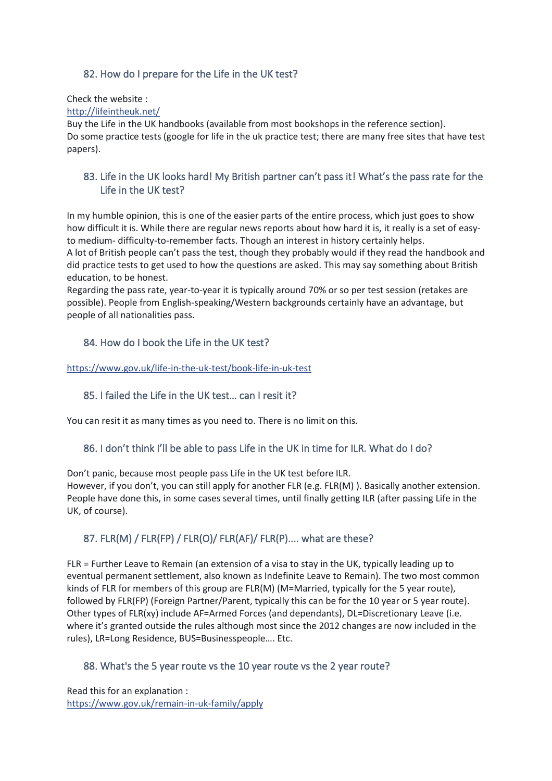# <span id="page-40-0"></span>82. How do I prepare for the Life in the UK test?

Check the website :

[http://lifeintheuk.net/](http://l.facebook.com/l.php?u=http%3A%2F%2Flifeintheuk.net%2F&h=ATOX1BtkGH1sMZ4A1P8lnpOHZLa_QYiqt7BboxdHiRvDaB2ZvYSn4Ts4vNmfWr-N5h0xDKgoWTk0zp8HrcRWD4t9TIJNw7NqZxsuKwwQPcb0FzOGKsQzjyh49yqx1teVoRwCOcEwmd0)

Buy the Life in the UK handbooks (available from most bookshops in the reference section). Do some practice tests (google for life in the uk practice test; there are many free sites that have test papers).

### <span id="page-40-1"></span>83. Life in the UK looks hard! My British partner can't pass it! What's the pass rate for the Life in the UK test?

In my humble opinion, this is one of the easier parts of the entire process, which just goes to show how difficult it is. While there are regular news reports about how hard it is, it really is a set of easyto medium- difficulty-to-remember facts. Though an interest in history certainly helps. A lot of British people can't pass the test, though they probably would if they read the handbook and

did practice tests to get used to how the questions are asked. This may say something about British education, to be honest.

Regarding the pass rate, year-to-year it is typically around 70% or so per test session (retakes are possible). People from English-speaking/Western backgrounds certainly have an advantage, but people of all nationalities pass.

# <span id="page-40-2"></span>84. How do I book the Life in the UK test?

#### [https://www.gov.uk/life-in-the-uk-test/book-life-in-uk-test](https://l.facebook.com/l.php?u=https%3A%2F%2Fwww.gov.uk%2Flife-in-the-uk-test%2Fbook-life-in-uk-test&h=ATOX1BtkGH1sMZ4A1P8lnpOHZLa_QYiqt7BboxdHiRvDaB2ZvYSn4Ts4vNmfWr-N5h0xDKgoWTk0zp8HrcRWD4t9TIJNw7NqZxsuKwwQPcb0FzOGKsQzjyh49yqx1teVoRwCOcEwmd0)

### <span id="page-40-3"></span>85. I failed the Life in the UK test… can I resit it?

You can resit it as many times as you need to. There is no limit on this.

### <span id="page-40-4"></span>86. I don't think I'll be able to pass Life in the UK in time for ILR. What do I do?

Don't panic, because most people pass Life in the UK test before ILR. However, if you don't, you can still apply for another FLR (e.g. FLR(M) ). Basically another extension. People have done this, in some cases several times, until finally getting ILR (after passing Life in the UK, of course).

# <span id="page-40-5"></span>87. FLR(M) / FLR(FP) / FLR(O)/ FLR(AF)/ FLR(P).... what are these?

FLR = Further Leave to Remain (an extension of a visa to stay in the UK, typically leading up to eventual permanent settlement, also known as Indefinite Leave to Remain). The two most common kinds of FLR for members of this group are FLR(M) (M=Married, typically for the 5 year route), followed by FLR(FP) (Foreign Partner/Parent, typically this can be for the 10 year or 5 year route). Other types of FLR(xy) include AF=Armed Forces (and dependants), DL=Discretionary Leave (i.e. where it's granted outside the rules although most since the 2012 changes are now included in the rules), LR=Long Residence, BUS=Businesspeople…. Etc.

### <span id="page-40-6"></span>88. What's the 5 year route vs the 10 year route vs the 2 year route?

Read this for an explanation : [https://www.gov.uk/remain-in-uk-family/apply](https://l.facebook.com/l.php?u=https%3A%2F%2Fwww.gov.uk%2Fremain-in-uk-family%2Fapply&h=ATOX1BtkGH1sMZ4A1P8lnpOHZLa_QYiqt7BboxdHiRvDaB2ZvYSn4Ts4vNmfWr-N5h0xDKgoWTk0zp8HrcRWD4t9TIJNw7NqZxsuKwwQPcb0FzOGKsQzjyh49yqx1teVoRwCOcEwmd0)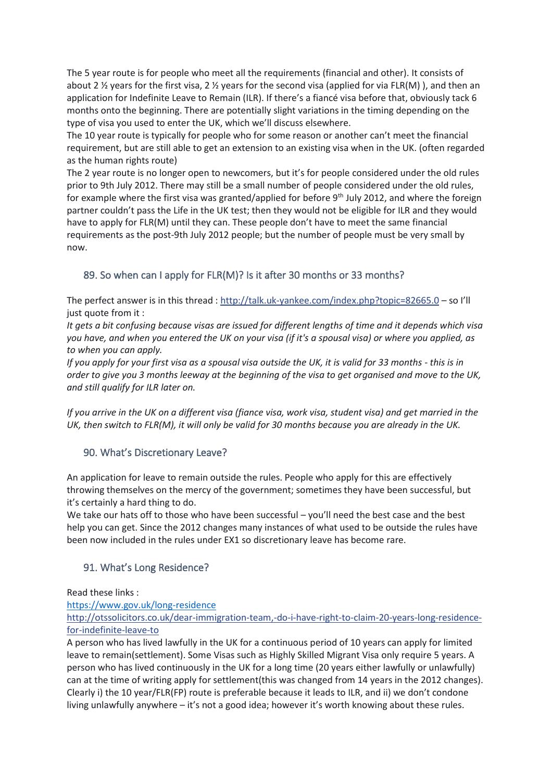The 5 year route is for people who meet all the requirements (financial and other). It consists of about 2  $\frac{1}{2}$  years for the first visa, 2  $\frac{1}{2}$  years for the second visa (applied for via FLR(M)), and then an application for Indefinite Leave to Remain (ILR). If there's a fiancé visa before that, obviously tack 6 months onto the beginning. There are potentially slight variations in the timing depending on the type of visa you used to enter the UK, which we'll discuss elsewhere.

The 10 year route is typically for people who for some reason or another can't meet the financial requirement, but are still able to get an extension to an existing visa when in the UK. (often regarded as the human rights route)

The 2 year route is no longer open to newcomers, but it's for people considered under the old rules prior to 9th July 2012. There may still be a small number of people considered under the old rules, for example where the first visa was granted/applied for before 9<sup>th</sup> July 2012, and where the foreign partner couldn't pass the Life in the UK test; then they would not be eligible for ILR and they would have to apply for FLR(M) until they can. These people don't have to meet the same financial requirements as the post-9th July 2012 people; but the number of people must be very small by now.

# <span id="page-41-0"></span>89. So when can I apply for FLR(M)? Is it after 30 months or 33 months?

The perfect answer is in this thread : [http://talk.uk-yankee.com/index.php?topic=82665.0](http://l.facebook.com/l.php?u=http%3A%2F%2Ftalk.uk-yankee.com%2Findex.php%3Ftopic%3D82665.0&h=ATOX1BtkGH1sMZ4A1P8lnpOHZLa_QYiqt7BboxdHiRvDaB2ZvYSn4Ts4vNmfWr-N5h0xDKgoWTk0zp8HrcRWD4t9TIJNw7NqZxsuKwwQPcb0FzOGKsQzjyh49yqx1teVoRwCOcEwmd0) – so I'll just quote from it :

*It gets a bit confusing because visas are issued for different lengths of time and it depends which visa you have, and when you entered the UK on your visa (if it's a spousal visa) or where you applied, as to when you can apply.*

*If you apply for your first visa as a spousal visa outside the UK, it is valid for 33 months - this is in order to give you 3 months leeway at the beginning of the visa to get organised and move to the UK, and still qualify for ILR later on.*

*If you arrive in the UK on a different visa (fiance visa, work visa, student visa) and get married in the UK, then switch to FLR(M), it will only be valid for 30 months because you are already in the UK.*

### <span id="page-41-1"></span>90. What's Discretionary Leave?

An application for leave to remain outside the rules. People who apply for this are effectively throwing themselves on the mercy of the government; sometimes they have been successful, but it's certainly a hard thing to do.

We take our hats off to those who have been successful – you'll need the best case and the best help you can get. Since the 2012 changes many instances of what used to be outside the rules have been now included in the rules under EX1 so discretionary leave has become rare.

### <span id="page-41-2"></span>91. What's Long Residence?

Read these links :

#### <https://www.gov.uk/long-residence>

[http://otssolicitors.co.uk/dear-immigration-team,-do-i-have-right-to-claim-20-years-long-residence](http://l.facebook.com/l.php?u=http%3A%2F%2Fotssolicitors.co.uk%2Fdear-immigration-team%2C-do-i-have-right-to-claim-20-years-long-residence-for-indefinite-leave-to&h=ATOX1BtkGH1sMZ4A1P8lnpOHZLa_QYiqt7BboxdHiRvDaB2ZvYSn4Ts4vNmfWr-N5h0xDKgoWTk0zp8HrcRWD4t9TIJNw7NqZxsuKwwQPcb0FzOGKsQzjyh49yqx1teVoRwCOcEwmd0)[for-indefinite-leave-to](http://l.facebook.com/l.php?u=http%3A%2F%2Fotssolicitors.co.uk%2Fdear-immigration-team%2C-do-i-have-right-to-claim-20-years-long-residence-for-indefinite-leave-to&h=ATOX1BtkGH1sMZ4A1P8lnpOHZLa_QYiqt7BboxdHiRvDaB2ZvYSn4Ts4vNmfWr-N5h0xDKgoWTk0zp8HrcRWD4t9TIJNw7NqZxsuKwwQPcb0FzOGKsQzjyh49yqx1teVoRwCOcEwmd0)

A person who has lived lawfully in the UK for a continuous period of 10 years can apply for limited leave to remain(settlement). Some Visas such as Highly Skilled Migrant Visa only require 5 years. A person who has lived continuously in the UK for a long time (20 years either lawfully or unlawfully) can at the time of writing apply for settlement(this was changed from 14 years in the 2012 changes). Clearly i) the 10 year/FLR(FP) route is preferable because it leads to ILR, and ii) we don't condone living unlawfully anywhere – it's not a good idea; however it's worth knowing about these rules.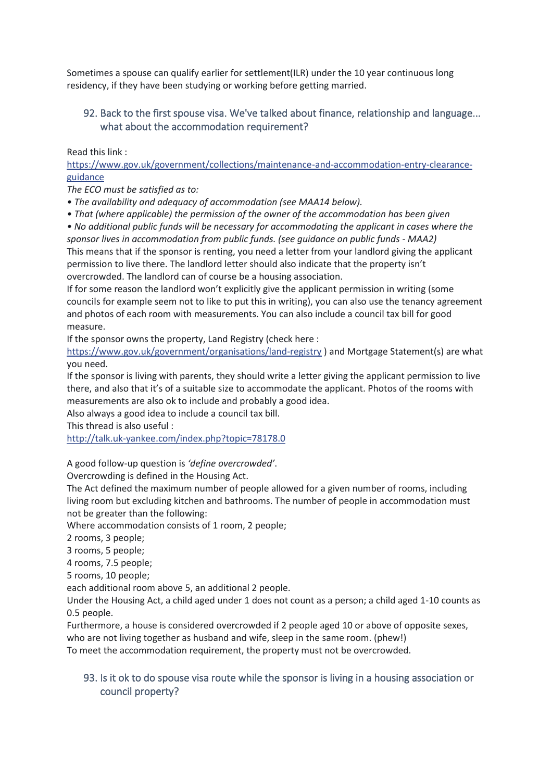Sometimes a spouse can qualify earlier for settlement(ILR) under the 10 year continuous long residency, if they have been studying or working before getting married.

### <span id="page-42-0"></span>92. Back to the first spouse visa. We've talked about finance, relationship and language... what about the accommodation requirement?

Read this link :

[https://www.gov.uk/government/collections/maintenance-and-accommodation-entry-clearance](https://l.facebook.com/l.php?u=https%3A%2F%2Fwww.gov.uk%2Fgovernment%2Fcollections%2Fmaintenance-and-accommodation-entry-clearance-guidance&h=ATOX1BtkGH1sMZ4A1P8lnpOHZLa_QYiqt7BboxdHiRvDaB2ZvYSn4Ts4vNmfWr-N5h0xDKgoWTk0zp8HrcRWD4t9TIJNw7NqZxsuKwwQPcb0FzOGKsQzjyh49yqx1teVoRwCOcEwmd0)[guidance](https://l.facebook.com/l.php?u=https%3A%2F%2Fwww.gov.uk%2Fgovernment%2Fcollections%2Fmaintenance-and-accommodation-entry-clearance-guidance&h=ATOX1BtkGH1sMZ4A1P8lnpOHZLa_QYiqt7BboxdHiRvDaB2ZvYSn4Ts4vNmfWr-N5h0xDKgoWTk0zp8HrcRWD4t9TIJNw7NqZxsuKwwQPcb0FzOGKsQzjyh49yqx1teVoRwCOcEwmd0)

*The ECO must be satisfied as to:*

*• The availability and adequacy of accommodation (see MAA14 below).*

*• That (where applicable) the permission of the owner of the accommodation has been given*

*• No additional public funds will be necessary for accommodating the applicant in cases where the sponsor lives in accommodation from public funds. (see guidance on public funds - MAA2)* This means that if the sponsor is renting, you need a letter from your landlord giving the applicant permission to live there. The landlord letter should also indicate that the property isn't

overcrowded. The landlord can of course be a housing association.

If for some reason the landlord won't explicitly give the applicant permission in writing (some councils for example seem not to like to put this in writing), you can also use the tenancy agreement and photos of each room with measurements. You can also include a council tax bill for good measure.

If the sponsor owns the property, Land Registry (check here :

[https://www.gov.uk/government/organisations/land-registry](https://l.facebook.com/l.php?u=https%3A%2F%2Fwww.gov.uk%2Fgovernment%2Forganisations%2Fland-registry&h=ATOX1BtkGH1sMZ4A1P8lnpOHZLa_QYiqt7BboxdHiRvDaB2ZvYSn4Ts4vNmfWr-N5h0xDKgoWTk0zp8HrcRWD4t9TIJNw7NqZxsuKwwQPcb0FzOGKsQzjyh49yqx1teVoRwCOcEwmd0) ) and Mortgage Statement(s) are what you need.

If the sponsor is living with parents, they should write a letter giving the applicant permission to live there, and also that it's of a suitable size to accommodate the applicant. Photos of the rooms with measurements are also ok to include and probably a good idea.

Also always a good idea to include a council tax bill.

This thread is also useful :

[http://talk.uk-yankee.com/index.php?topic=78178.0](http://l.facebook.com/l.php?u=http%3A%2F%2Ftalk.uk-yankee.com%2Findex.php%3Ftopic%3D78178.0&h=ATOX1BtkGH1sMZ4A1P8lnpOHZLa_QYiqt7BboxdHiRvDaB2ZvYSn4Ts4vNmfWr-N5h0xDKgoWTk0zp8HrcRWD4t9TIJNw7NqZxsuKwwQPcb0FzOGKsQzjyh49yqx1teVoRwCOcEwmd0)

A good follow-up question is *'define overcrowded'*.

Overcrowding is defined in the Housing Act.

The Act defined the maximum number of people allowed for a given number of rooms, including living room but excluding kitchen and bathrooms. The number of people in accommodation must not be greater than the following:

Where accommodation consists of 1 room, 2 people;

2 rooms, 3 people;

3 rooms, 5 people;

4 rooms, 7.5 people;

5 rooms, 10 people;

each additional room above 5, an additional 2 people.

Under the Housing Act, a child aged under 1 does not count as a person; a child aged 1-10 counts as 0.5 people.

Furthermore, a house is considered overcrowded if 2 people aged 10 or above of opposite sexes,

who are not living together as husband and wife, sleep in the same room. (phew!)

To meet the accommodation requirement, the property must not be overcrowded.

### <span id="page-42-1"></span>93. Is it ok to do spouse visa route while the sponsor is living in a housing association or council property?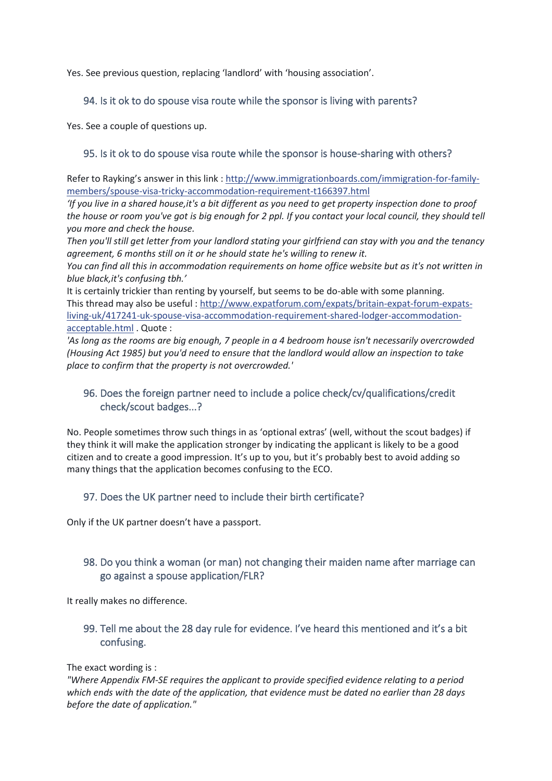Yes. See previous question, replacing 'landlord' with 'housing association'.

#### <span id="page-43-0"></span>94. Is it ok to do spouse visa route while the sponsor is living with parents?

Yes. See a couple of questions up.

#### <span id="page-43-1"></span>95. Is it ok to do spouse visa route while the sponsor is house-sharing with others?

Refer to Rayking's answer in this link : [http://www.immigrationboards.com/immigration-for-family](http://l.facebook.com/l.php?u=http%3A%2F%2Fwww.immigrationboards.com%2Fimmigration-for-family-members%2Fspouse-visa-tricky-accommodation-requirement-t166397.html&h=ATOX1BtkGH1sMZ4A1P8lnpOHZLa_QYiqt7BboxdHiRvDaB2ZvYSn4Ts4vNmfWr-N5h0xDKgoWTk0zp8HrcRWD4t9TIJNw7NqZxsuKwwQPcb0FzOGKsQzjyh49yqx1teVoRwCOcEwmd0)[members/spouse-visa-tricky-accommodation-requirement-t166397.html](http://l.facebook.com/l.php?u=http%3A%2F%2Fwww.immigrationboards.com%2Fimmigration-for-family-members%2Fspouse-visa-tricky-accommodation-requirement-t166397.html&h=ATOX1BtkGH1sMZ4A1P8lnpOHZLa_QYiqt7BboxdHiRvDaB2ZvYSn4Ts4vNmfWr-N5h0xDKgoWTk0zp8HrcRWD4t9TIJNw7NqZxsuKwwQPcb0FzOGKsQzjyh49yqx1teVoRwCOcEwmd0)

*'If you live in a shared house,it's a bit different as you need to get property inspection done to proof the house or room you've got is big enough for 2 ppl. If you contact your local council, they should tell you more and check the house.*

*Then you'll still get letter from your landlord stating your girlfriend can stay with you and the tenancy agreement, 6 months still on it or he should state he's willing to renew it.*

*You can find all this in accommodation requirements on home office website but as it's not written in blue black,it's confusing tbh.'*

It is certainly trickier than renting by yourself, but seems to be do-able with some planning. This thread may also be useful [: http://www.expatforum.com/expats/britain-expat-forum-expats](http://l.facebook.com/l.php?u=http%3A%2F%2Fwww.expatforum.com%2Fexpats%2Fbritain-expat-forum-expats-living-uk%2F417241-uk-spouse-visa-accommodation-requirement-shared-lodger-accommodation-acceptable.html&h=ATOX1BtkGH1sMZ4A1P8lnpOHZLa_QYiqt7BboxdHiRvDaB2ZvYSn4Ts4vNmfWr-N5h0xDKgoWTk0zp8HrcRWD4t9TIJNw7NqZxsuKwwQPcb0FzOGKsQzjyh49yqx1teVoRwCOcEwmd0)[living-uk/417241-uk-spouse-visa-accommodation-requirement-shared-lodger-accommodation](http://l.facebook.com/l.php?u=http%3A%2F%2Fwww.expatforum.com%2Fexpats%2Fbritain-expat-forum-expats-living-uk%2F417241-uk-spouse-visa-accommodation-requirement-shared-lodger-accommodation-acceptable.html&h=ATOX1BtkGH1sMZ4A1P8lnpOHZLa_QYiqt7BboxdHiRvDaB2ZvYSn4Ts4vNmfWr-N5h0xDKgoWTk0zp8HrcRWD4t9TIJNw7NqZxsuKwwQPcb0FzOGKsQzjyh49yqx1teVoRwCOcEwmd0)[acceptable.html](http://l.facebook.com/l.php?u=http%3A%2F%2Fwww.expatforum.com%2Fexpats%2Fbritain-expat-forum-expats-living-uk%2F417241-uk-spouse-visa-accommodation-requirement-shared-lodger-accommodation-acceptable.html&h=ATOX1BtkGH1sMZ4A1P8lnpOHZLa_QYiqt7BboxdHiRvDaB2ZvYSn4Ts4vNmfWr-N5h0xDKgoWTk0zp8HrcRWD4t9TIJNw7NqZxsuKwwQPcb0FzOGKsQzjyh49yqx1teVoRwCOcEwmd0) . Quote :

*'As long as the rooms are big enough, 7 people in a 4 bedroom house isn't necessarily overcrowded (Housing Act 1985) but you'd need to ensure that the landlord would allow an inspection to take place to confirm that the property is not overcrowded.'*

### <span id="page-43-2"></span>96. Does the foreign partner need to include a police check/cv/qualifications/credit check/scout badges...?

No. People sometimes throw such things in as 'optional extras' (well, without the scout badges) if they think it will make the application stronger by indicating the applicant is likely to be a good citizen and to create a good impression. It's up to you, but it's probably best to avoid adding so many things that the application becomes confusing to the ECO.

### <span id="page-43-3"></span>97. Does the UK partner need to include their birth certificate?

Only if the UK partner doesn't have a passport.

# <span id="page-43-4"></span>98. Do you think a woman (or man) not changing their maiden name after marriage can go against a spouse application/FLR?

It really makes no difference.

### <span id="page-43-5"></span>99. Tell me about the 28 day rule for evidence. I've heard this mentioned and it's a bit confusing.

#### The exact wording is :

*"Where Appendix FM-SE requires the applicant to provide specified evidence relating to a period which ends with the date of the application, that evidence must be dated no earlier than 28 days before the date of application."*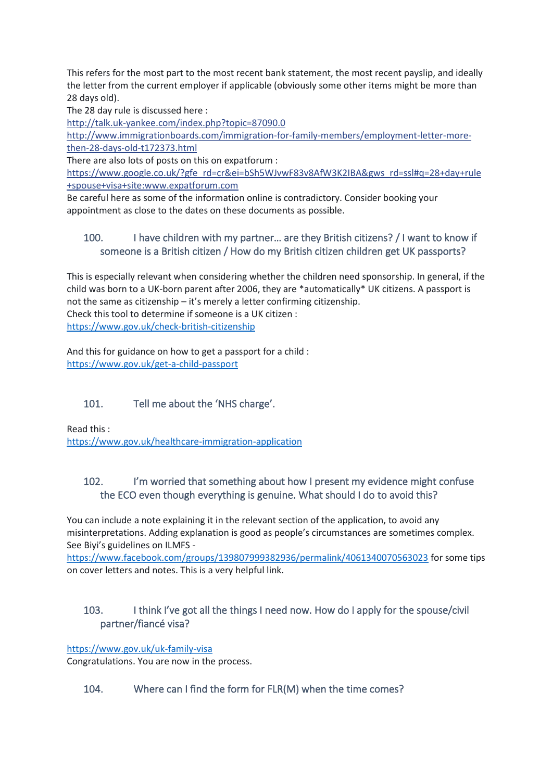This refers for the most part to the most recent bank statement, the most recent payslip, and ideally the letter from the current employer if applicable (obviously some other items might be more than 28 days old).

The 28 day rule is discussed here :

http://talk.uk-yankee.com/index.php?topic=87090.0

http://www.immigrationboards.com/immigration-for-family-members/employment-letter-morethen-28-days-old-t172373.html

There are also lots of posts on this on expatforum :

[https://www.google.co.uk/?gfe\\_rd=cr&ei=bSh5WJvwF83v8AfW3K2IBA&gws\\_rd=ssl#q=28+day+rule](https://l.facebook.com/l.php?u=https%3A%2F%2Fwww.google.co.uk%2F%3Fgfe_rd%3Dcr%26ei%3DbSh5WJvwF83v8AfW3K2IBA%26gws_rd%3Dssl%23q%3D28%2Bday%2Brule%2Bspouse%2Bvisa%2Bsite%3Awww.expatforum.com&h=ATOX1BtkGH1sMZ4A1P8lnpOHZLa_QYiqt7BboxdHiRvDaB2ZvYSn4Ts4vNmfWr-N5h0xDKgoWTk0zp8HrcRWD4t9TIJNw7NqZxsuKwwQPcb0FzOGKsQzjyh49yqx1teVoRwCOcEwmd0) [+spouse+visa+site:www.expatforum.com](https://l.facebook.com/l.php?u=https%3A%2F%2Fwww.google.co.uk%2F%3Fgfe_rd%3Dcr%26ei%3DbSh5WJvwF83v8AfW3K2IBA%26gws_rd%3Dssl%23q%3D28%2Bday%2Brule%2Bspouse%2Bvisa%2Bsite%3Awww.expatforum.com&h=ATOX1BtkGH1sMZ4A1P8lnpOHZLa_QYiqt7BboxdHiRvDaB2ZvYSn4Ts4vNmfWr-N5h0xDKgoWTk0zp8HrcRWD4t9TIJNw7NqZxsuKwwQPcb0FzOGKsQzjyh49yqx1teVoRwCOcEwmd0)

Be careful here as some of the information online is contradictory. Consider booking your appointment as close to the dates on these documents as possible.

# <span id="page-44-0"></span>100. I have children with my partner… are they British citizens? / I want to know if someone is a British citizen / How do my British citizen children get UK passports?

This is especially relevant when considering whether the children need sponsorship. In general, if the child was born to a UK-born parent after 2006, they are \*automatically\* UK citizens. A passport is not the same as citizenship – it's merely a letter confirming citizenship. Check this tool to determine if someone is a UK citizen : <https://www.gov.uk/check-british-citizenship>

And this for guidance on how to get a passport for a child : <https://www.gov.uk/get-a-child-passport>

# <span id="page-44-1"></span>101. Tell me about the 'NHS charge'.

Read this : <https://www.gov.uk/healthcare-immigration-application>

# <span id="page-44-2"></span>102. I'm worried that something about how I present my evidence might confuse the ECO even though everything is genuine. What should I do to avoid this?

You can include a note explaining it in the relevant section of the application, to avoid any misinterpretations. Adding explanation is good as people's circumstances are sometimes complex. See Biyi's guidelines on ILMFS -

<https://www.facebook.com/groups/139807999382936/permalink/4061340070563023> for some tips on cover letters and notes. This is a very helpful link.

# <span id="page-44-3"></span>103. I think I've got all the things I need now. How do I apply for the spouse/civil partner/fiancé visa?

<https://www.gov.uk/uk-family-visa>

Congratulations. You are now in the process.

### <span id="page-44-4"></span>104. Where can I find the form for FLR(M) when the time comes?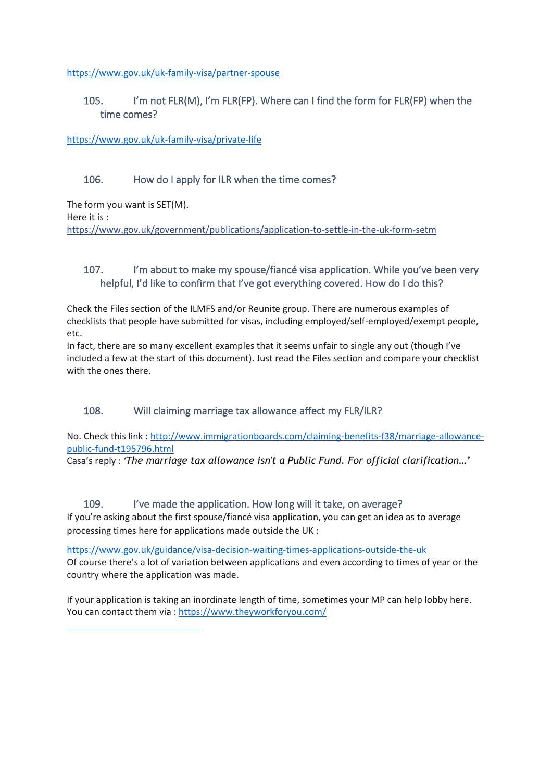<https://www.gov.uk/uk-family-visa/partner-spouse>

### <span id="page-45-0"></span>105. I'm not FLR(M), I'm FLR(FP). Where can I find the form for FLR(FP) when the time comes?

<https://www.gov.uk/uk-family-visa/private-life>

### <span id="page-45-1"></span>106. How do I apply for ILR when the time comes?

The form you want is SET(M). Here it is : [https://www.gov.uk/government/publications/application-to-settle-in-the-uk-form-setm](https://l.facebook.com/l.php?u=https%3A%2F%2Fwww.gov.uk%2Fgovernment%2Fpublications%2Fapplication-to-settle-in-the-uk-form-setm&h=ATOX1BtkGH1sMZ4A1P8lnpOHZLa_QYiqt7BboxdHiRvDaB2ZvYSn4Ts4vNmfWr-N5h0xDKgoWTk0zp8HrcRWD4t9TIJNw7NqZxsuKwwQPcb0FzOGKsQzjyh49yqx1teVoRwCOcEwmd0)

# <span id="page-45-2"></span>107. I'm about to make my spouse/fiancé visa application. While you've been very helpful, I'd like to confirm that I've got everything covered. How do I do this?

Check the Files section of the ILMFS and/or Reunite group. There are numerous examples of checklists that people have submitted for visas, including employed/self-employed/exempt people, etc.

In fact, there are so many excellent examples that it seems unfair to single any out (though I've included a few at the start of this document). Just read the Files section and compare your checklist with the ones there.

### <span id="page-45-3"></span>108. Will claiming marriage tax allowance affect my FLR/ILR?

No. Check this link : [http://www.immigrationboards.com/claiming-benefits-f38/marriage-allowance](http://www.immigrationboards.com/claiming-benefits-f38/marriage-allowance-public-fund-t195796.html)[public-fund-t195796.html](http://www.immigrationboards.com/claiming-benefits-f38/marriage-allowance-public-fund-t195796.html)

Casa's reply : *'The marriage tax allowance isn't a Public Fund. For official clarification…'*

### 109. I've made the application. How long will it take, on average?

<span id="page-45-4"></span>If you're asking about the first spouse/fiancé visa application, you can get an idea as to average processing times here for applications made outside the UK :

<https://www.gov.uk/guidance/visa-decision-waiting-times-applications-outside-the-uk> Of course there's a lot of variation between applications and even according to times of year or the country where the application was made.

If your application is taking an inordinate length of time, sometimes your MP can help lobby here. You can contact them via [: https://www.theyworkforyou.com/](https://www.theyworkforyou.com/)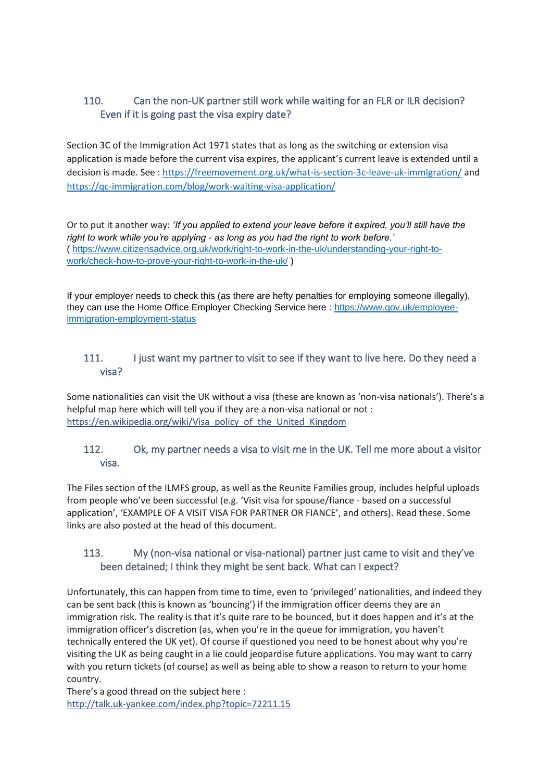# <span id="page-46-0"></span>110. Can the non-UK partner still work while waiting for an FLR or ILR decision? Even if it is going past the visa expiry date?

Section 3C of the Immigration Act 1971 states that as long as the switching or extension visa application is made before the current visa expires, the applicant's current leave is extended until a decision is made. See :<https://freemovement.org.uk/what-is-section-3c-leave-uk-immigration/> and <https://qc-immigration.com/blog/work-waiting-visa-application/>

Or to put it another way: *'If you applied to extend your leave before it expired, you'll still have the right to work while you're applying - as long as you had the right to work before.'* ( [https://www.citizensadvice.org.uk/work/right-to-work-in-the-uk/understanding-your-right-to](https://www.citizensadvice.org.uk/work/right-to-work-in-the-uk/understanding-your-right-to-work/check-how-to-prove-your-right-to-work-in-the-uk/)[work/check-how-to-prove-your-right-to-work-in-the-uk/](https://www.citizensadvice.org.uk/work/right-to-work-in-the-uk/understanding-your-right-to-work/check-how-to-prove-your-right-to-work-in-the-uk/) )

If your employer needs to check this (as there are hefty penalties for employing someone illegally), they can use the Home Office Employer Checking Service here : [https://www.gov.uk/employee](https://www.gov.uk/employee-immigration-employment-status)[immigration-employment-status](https://www.gov.uk/employee-immigration-employment-status)

### <span id="page-46-1"></span>111. I just want my partner to visit to see if they want to live here. Do they need a visa?

Some nationalities can visit the UK without a visa (these are known as 'non-visa nationals'). There's a helpful map here which will tell you if they are a non-visa national or not : [https://en.wikipedia.org/wiki/Visa\\_policy\\_of\\_the\\_United\\_Kingdom](https://l.facebook.com/l.php?u=https%3A%2F%2Fen.wikipedia.org%2Fwiki%2FVisa_policy_of_the_United_Kingdom&h=ATOX1BtkGH1sMZ4A1P8lnpOHZLa_QYiqt7BboxdHiRvDaB2ZvYSn4Ts4vNmfWr-N5h0xDKgoWTk0zp8HrcRWD4t9TIJNw7NqZxsuKwwQPcb0FzOGKsQzjyh49yqx1teVoRwCOcEwmd0)

# <span id="page-46-2"></span>112. Ok, my partner needs a visa to visit me in the UK. Tell me more about a visitor visa.

The Files section of the ILMFS group, as well as the Reunite Families group, includes helpful uploads from people who've been successful (e.g. 'Visit visa for spouse/fiance - based on a successful application', 'EXAMPLE OF A VISIT VISA FOR PARTNER OR FIANCE', and others). Read these. Some links are also posted at the head of this document.

# <span id="page-46-3"></span>113. My (non-visa national or visa-national) partner just came to visit and they've been detained; I think they might be sent back. What can I expect?

Unfortunately, this can happen from time to time, even to 'privileged' nationalities, and indeed they can be sent back (this is known as 'bouncing') if the immigration officer deems they are an immigration risk. The reality is that it's quite rare to be bounced, but it does happen and it's at the immigration officer's discretion (as, when you're in the queue for immigration, you haven't technically entered the UK yet). Of course if questioned you need to be honest about why you're visiting the UK as being caught in a lie could jeopardise future applications. You may want to carry with you return tickets (of course) as well as being able to show a reason to return to your home country.

There's a good thread on the subject here : [http://talk.uk-yankee.com/index.php?topic=72211.15](http://l.facebook.com/l.php?u=http%3A%2F%2Ftalk.uk-yankee.com%2Findex.php%3Ftopic%3D72211.15&h=ATOX1BtkGH1sMZ4A1P8lnpOHZLa_QYiqt7BboxdHiRvDaB2ZvYSn4Ts4vNmfWr-N5h0xDKgoWTk0zp8HrcRWD4t9TIJNw7NqZxsuKwwQPcb0FzOGKsQzjyh49yqx1teVoRwCOcEwmd0)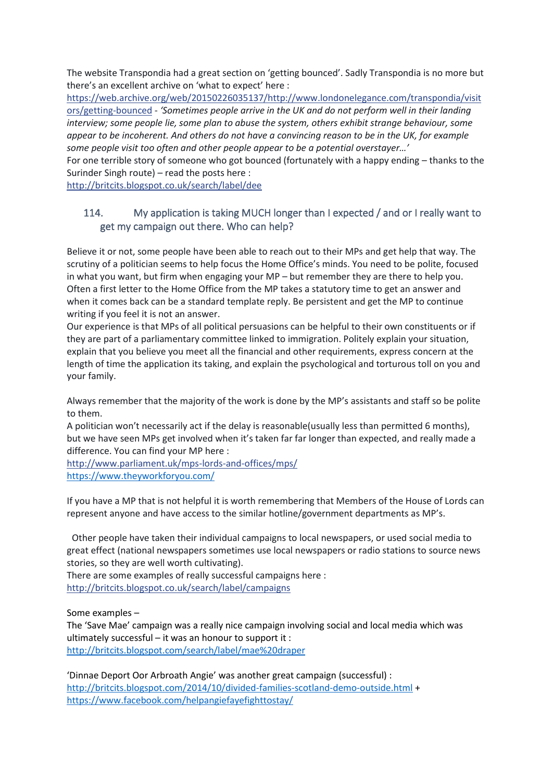The website Transpondia had a great section on 'getting bounced'. Sadly Transpondia is no more but there's an excellent archive on 'what to expect' here :

[https://web.archive.org/web/20150226035137/http://www.londonelegance.com/transpondia/visit](https://l.facebook.com/l.php?u=https%3A%2F%2Fweb.archive.org%2Fweb%2F20150226035137%2Fhttp%3A%2Fwww.londonelegance.com%2Ftranspondia%2Fvisitors%2Fgetting-bounced&h=ATOX1BtkGH1sMZ4A1P8lnpOHZLa_QYiqt7BboxdHiRvDaB2ZvYSn4Ts4vNmfWr-N5h0xDKgoWTk0zp8HrcRWD4t9TIJNw7NqZxsuKwwQPcb0FzOGKsQzjyh49yqx1teVoRwCOcEwmd0) [ors/getting-bounced](https://l.facebook.com/l.php?u=https%3A%2F%2Fweb.archive.org%2Fweb%2F20150226035137%2Fhttp%3A%2Fwww.londonelegance.com%2Ftranspondia%2Fvisitors%2Fgetting-bounced&h=ATOX1BtkGH1sMZ4A1P8lnpOHZLa_QYiqt7BboxdHiRvDaB2ZvYSn4Ts4vNmfWr-N5h0xDKgoWTk0zp8HrcRWD4t9TIJNw7NqZxsuKwwQPcb0FzOGKsQzjyh49yqx1teVoRwCOcEwmd0) - *'Sometimes people arrive in the UK and do not perform well in their landing interview; some people lie, some plan to abuse the system, others exhibit strange behaviour, some appear to be incoherent. And others do not have a convincing reason to be in the UK, for example some people visit too often and other people appear to be a potential overstayer…'*

For one terrible story of someone who got bounced (fortunately with a happy ending – thanks to the Surinder Singh route) – read the posts here :

[http://britcits.blogspot.co.uk/search/label/dee](http://l.facebook.com/l.php?u=http%3A%2F%2Fbritcits.blogspot.co.uk%2Fsearch%2Flabel%2Fdee&h=ATOX1BtkGH1sMZ4A1P8lnpOHZLa_QYiqt7BboxdHiRvDaB2ZvYSn4Ts4vNmfWr-N5h0xDKgoWTk0zp8HrcRWD4t9TIJNw7NqZxsuKwwQPcb0FzOGKsQzjyh49yqx1teVoRwCOcEwmd0)

### <span id="page-47-0"></span>114. My application is taking MUCH longer than I expected / and or I really want to get my campaign out there. Who can help?

Believe it or not, some people have been able to reach out to their MPs and get help that way. The scrutiny of a politician seems to help focus the Home Office's minds. You need to be polite, focused in what you want, but firm when engaging your MP – but remember they are there to help you. Often a first letter to the Home Office from the MP takes a statutory time to get an answer and when it comes back can be a standard template reply. Be persistent and get the MP to continue writing if you feel it is not an answer.

Our experience is that MPs of all political persuasions can be helpful to their own constituents or if they are part of a parliamentary committee linked to immigration. Politely explain your situation, explain that you believe you meet all the financial and other requirements, express concern at the length of time the application its taking, and explain the psychological and torturous toll on you and your family.

Always remember that the majority of the work is done by the MP's assistants and staff so be polite to them.

A politician won't necessarily act if the delay is reasonable(usually less than permitted 6 months), but we have seen MPs get involved when it's taken far far longer than expected, and really made a difference. You can find your MP here :

[http://www.parliament.uk/mps-lords-and-offices/mps/](http://l.facebook.com/l.php?u=http%3A%2F%2Fwww.parliament.uk%2Fmps-lords-and-offices%2Fmps%2F&h=ATOX1BtkGH1sMZ4A1P8lnpOHZLa_QYiqt7BboxdHiRvDaB2ZvYSn4Ts4vNmfWr-N5h0xDKgoWTk0zp8HrcRWD4t9TIJNw7NqZxsuKwwQPcb0FzOGKsQzjyh49yqx1teVoRwCOcEwmd0) <https://www.theyworkforyou.com/>

If you have a MP that is not helpful it is worth remembering that Members of the House of Lords can represent anyone and have access to the similar hotline/government departments as MP's.

Other people have taken their individual campaigns to local newspapers, or used social media to great effect (national newspapers sometimes use local newspapers or radio stations to source news stories, so they are well worth cultivating).

There are some examples of really successful campaigns here : [http://britcits.blogspot.co.uk/search/label/campaigns](http://l.facebook.com/l.php?u=http%3A%2F%2Fbritcits.blogspot.co.uk%2Fsearch%2Flabel%2Fcampaigns&h=ATOX1BtkGH1sMZ4A1P8lnpOHZLa_QYiqt7BboxdHiRvDaB2ZvYSn4Ts4vNmfWr-N5h0xDKgoWTk0zp8HrcRWD4t9TIJNw7NqZxsuKwwQPcb0FzOGKsQzjyh49yqx1teVoRwCOcEwmd0)

Some examples –

The 'Save Mae' campaign was a really nice campaign involving social and local media which was ultimately successful – it was an honour to support it : <http://britcits.blogspot.com/search/label/mae%20draper>

'Dinnae Deport Oor Arbroath Angie' was another great campaign (successful) : <http://britcits.blogspot.com/2014/10/divided-families-scotland-demo-outside.html> + <https://www.facebook.com/helpangiefayefighttostay/>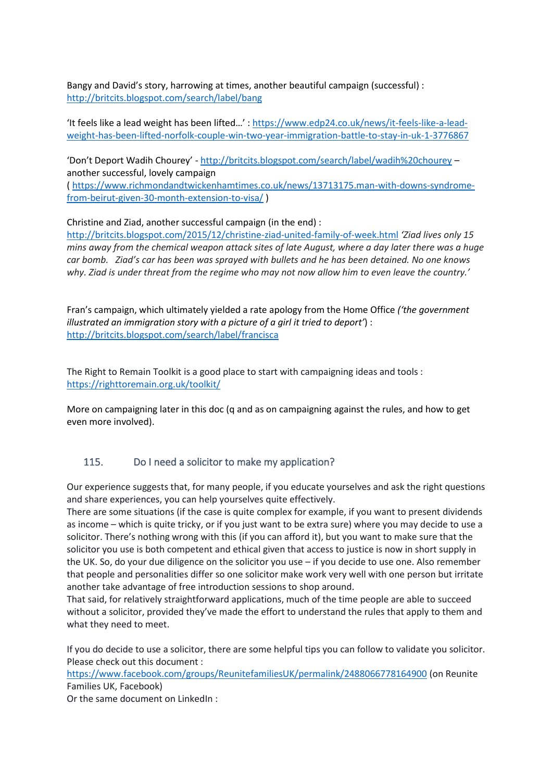Bangy and David's story, harrowing at times, another beautiful campaign (successful) : <http://britcits.blogspot.com/search/label/bang>

'It feels like a lead weight has been lifted…' : [https://www.edp24.co.uk/news/it-feels-like-a-lead](https://www.edp24.co.uk/news/it-feels-like-a-lead-weight-has-been-lifted-norfolk-couple-win-two-year-immigration-battle-to-stay-in-uk-1-3776867)[weight-has-been-lifted-norfolk-couple-win-two-year-immigration-battle-to-stay-in-uk-1-3776867](https://www.edp24.co.uk/news/it-feels-like-a-lead-weight-has-been-lifted-norfolk-couple-win-two-year-immigration-battle-to-stay-in-uk-1-3776867)

'Don't Deport Wadih Chourey' - <http://britcits.blogspot.com/search/label/wadih%20chourey> – another successful, lovely campaign

( [https://www.richmondandtwickenhamtimes.co.uk/news/13713175.man-with-downs-syndrome](https://www.richmondandtwickenhamtimes.co.uk/news/13713175.man-with-downs-syndrome-from-beirut-given-30-month-extension-to-visa/)[from-beirut-given-30-month-extension-to-visa/](https://www.richmondandtwickenhamtimes.co.uk/news/13713175.man-with-downs-syndrome-from-beirut-given-30-month-extension-to-visa/) )

Christine and Ziad, another successful campaign (in the end) :

<http://britcits.blogspot.com/2015/12/christine-ziad-united-family-of-week.html> *'Ziad lives only 15 mins away from the chemical weapon attack sites of late August, where a day later there was a huge car bomb. Ziad's car has been was sprayed with bullets and he has been detained. No one knows why. Ziad is under threat from the regime who may not now allow him to even leave the country.'*

Fran's campaign, which ultimately yielded a rate apology from the Home Office *('the government illustrated an immigration story with a picture of a girl it tried to deport'*) : <http://britcits.blogspot.com/search/label/francisca>

The Right to Remain Toolkit is a good place to start with campaigning ideas and tools : <https://righttoremain.org.uk/toolkit/>

More on campaigning later in this doc (q and as on campaigning against the rules, and how to get even more involved).

### <span id="page-48-0"></span>115. Do I need a solicitor to make my application?

Our experience suggests that, for many people, if you educate yourselves and ask the right questions and share experiences, you can help yourselves quite effectively.

There are some situations (if the case is quite complex for example, if you want to present dividends as income – which is quite tricky, or if you just want to be extra sure) where you may decide to use a solicitor. There's nothing wrong with this (if you can afford it), but you want to make sure that the solicitor you use is both competent and ethical given that access to justice is now in short supply in the UK. So, do your due diligence on the solicitor you use – if you decide to use one. Also remember that people and personalities differ so one solicitor make work very well with one person but irritate another take advantage of free introduction sessions to shop around.

That said, for relatively straightforward applications, much of the time people are able to succeed without a solicitor, provided they've made the effort to understand the rules that apply to them and what they need to meet.

If you do decide to use a solicitor, there are some helpful tips you can follow to validate you solicitor. Please check out this document :

<https://www.facebook.com/groups/ReunitefamiliesUK/permalink/2488066778164900> (on Reunite Families UK, Facebook)

Or the same document on LinkedIn :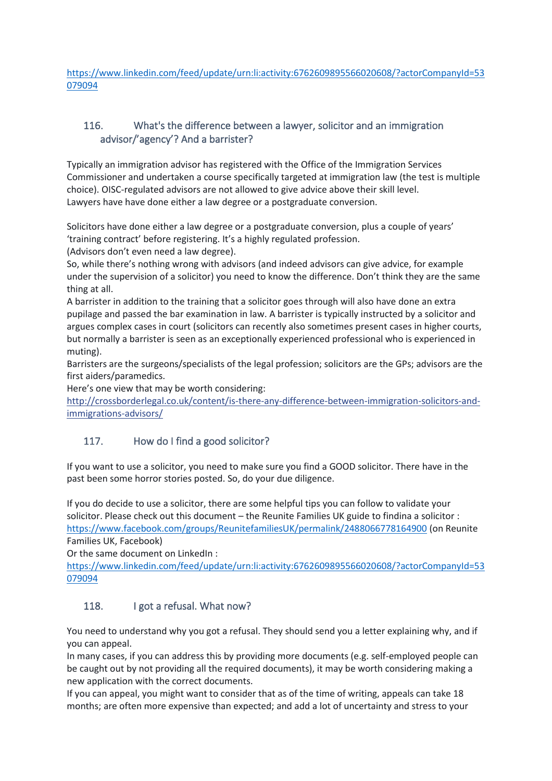[https://www.linkedin.com/feed/update/urn:li:activity:6762609895566020608/?actorCompanyId=53](https://www.linkedin.com/feed/update/urn:li:activity:6762609895566020608/?actorCompanyId=53079094) [079094](https://www.linkedin.com/feed/update/urn:li:activity:6762609895566020608/?actorCompanyId=53079094)

# <span id="page-49-0"></span>116. What's the difference between a lawyer, solicitor and an immigration advisor/'agency'? And a barrister?

Typically an immigration advisor has registered with the Office of the Immigration Services Commissioner and undertaken a course specifically targeted at immigration law (the test is multiple choice). OISC-regulated advisors are not allowed to give advice above their skill level. Lawyers have have done either a law degree or a postgraduate conversion.

Solicitors have done either a law degree or a postgraduate conversion, plus a couple of years' 'training contract' before registering. It's a highly regulated profession. (Advisors don't even need a law degree).

So, while there's nothing wrong with advisors (and indeed advisors can give advice, for example under the supervision of a solicitor) you need to know the difference. Don't think they are the same thing at all.

A barrister in addition to the training that a solicitor goes through will also have done an extra pupilage and passed the bar examination in law. A barrister is typically instructed by a solicitor and argues complex cases in court (solicitors can recently also sometimes present cases in higher courts, but normally a barrister is seen as an exceptionally experienced professional who is experienced in muting).

Barristers are the surgeons/specialists of the legal profession; solicitors are the GPs; advisors are the first aiders/paramedics.

Here's one view that may be worth considering:

[http://crossborderlegal.co.uk/content/is-there-any-difference-between-immigration-solicitors-and](http://l.facebook.com/l.php?u=http%3A%2F%2Fcrossborderlegal.co.uk%2Fcontent%2Fis-there-any-difference-between-immigration-solicitors-and-immigrations-advisors%2F&h=ATOX1BtkGH1sMZ4A1P8lnpOHZLa_QYiqt7BboxdHiRvDaB2ZvYSn4Ts4vNmfWr-N5h0xDKgoWTk0zp8HrcRWD4t9TIJNw7NqZxsuKwwQPcb0FzOGKsQzjyh49yqx1teVoRwCOcEwmd0)[immigrations-advisors/](http://l.facebook.com/l.php?u=http%3A%2F%2Fcrossborderlegal.co.uk%2Fcontent%2Fis-there-any-difference-between-immigration-solicitors-and-immigrations-advisors%2F&h=ATOX1BtkGH1sMZ4A1P8lnpOHZLa_QYiqt7BboxdHiRvDaB2ZvYSn4Ts4vNmfWr-N5h0xDKgoWTk0zp8HrcRWD4t9TIJNw7NqZxsuKwwQPcb0FzOGKsQzjyh49yqx1teVoRwCOcEwmd0)

# <span id="page-49-1"></span>117. How do I find a good solicitor?

If you want to use a solicitor, you need to make sure you find a GOOD solicitor. There have in the past been some horror stories posted. So, do your due diligence.

If you do decide to use a solicitor, there are some helpful tips you can follow to validate your solicitor. Please check out this document – the Reunite Families UK guide to findina a solicitor : <https://www.facebook.com/groups/ReunitefamiliesUK/permalink/2488066778164900> (on Reunite Families UK, Facebook)

Or the same document on LinkedIn :

[https://www.linkedin.com/feed/update/urn:li:activity:6762609895566020608/?actorCompanyId=53](https://www.linkedin.com/feed/update/urn:li:activity:6762609895566020608/?actorCompanyId=53079094) [079094](https://www.linkedin.com/feed/update/urn:li:activity:6762609895566020608/?actorCompanyId=53079094)

### <span id="page-49-2"></span>118. I got a refusal. What now?

You need to understand why you got a refusal. They should send you a letter explaining why, and if you can appeal.

In many cases, if you can address this by providing more documents (e.g. self-employed people can be caught out by not providing all the required documents), it may be worth considering making a new application with the correct documents.

If you can appeal, you might want to consider that as of the time of writing, appeals can take 18 months; are often more expensive than expected; and add a lot of uncertainty and stress to your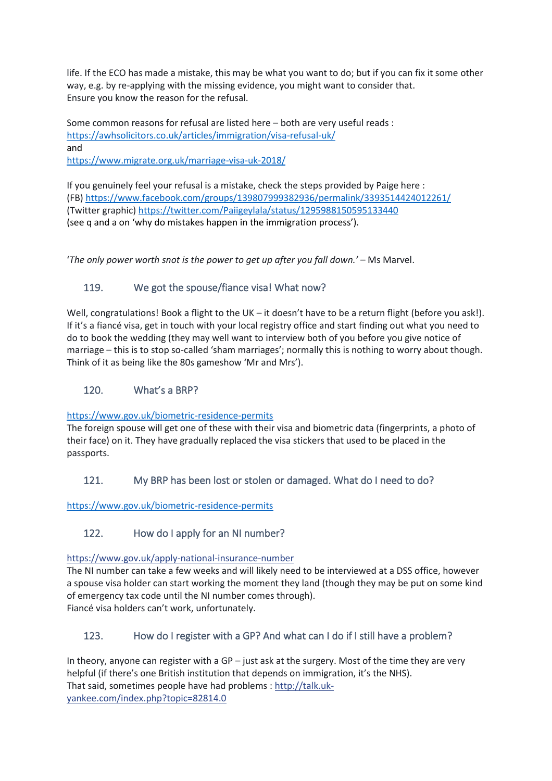life. If the ECO has made a mistake, this may be what you want to do; but if you can fix it some other way, e.g. by re-applying with the missing evidence, you might want to consider that. Ensure you know the reason for the refusal.

Some common reasons for refusal are listed here – both are very useful reads : <https://awhsolicitors.co.uk/articles/immigration/visa-refusal-uk/> and

<https://www.migrate.org.uk/marriage-visa-uk-2018/>

If you genuinely feel your refusal is a mistake, check the steps provided by Paige here : (FB)<https://www.facebook.com/groups/139807999382936/permalink/3393514424012261/> (Twitter graphic)<https://twitter.com/Paiigeylala/status/1295988150595133440> (see q and a on 'why do mistakes happen in the immigration process').

'*The only power worth snot is the power to get up after you fall down.'* – Ms Marvel.

# <span id="page-50-0"></span>119. We got the spouse/fiance visa! What now?

Well, congratulations! Book a flight to the UK – it doesn't have to be a return flight (before you ask!). If it's a fiancé visa, get in touch with your local registry office and start finding out what you need to do to book the wedding (they may well want to interview both of you before you give notice of marriage – this is to stop so-called 'sham marriages'; normally this is nothing to worry about though. Think of it as being like the 80s gameshow 'Mr and Mrs').

#### <span id="page-50-1"></span>120. What's a BRP?

#### <https://www.gov.uk/biometric-residence-permits>

The foreign spouse will get one of these with their visa and biometric data (fingerprints, a photo of their face) on it. They have gradually replaced the visa stickers that used to be placed in the passports.

### <span id="page-50-2"></span>121. My BRP has been lost or stolen or damaged. What do I need to do?

<https://www.gov.uk/biometric-residence-permits>

### <span id="page-50-3"></span>122. How do I apply for an NI number?

[https://www.gov.uk/apply-national-insurance-number](https://l.facebook.com/l.php?u=https%3A%2F%2Fwww.gov.uk%2Fapply-national-insurance-number&h=ATOX1BtkGH1sMZ4A1P8lnpOHZLa_QYiqt7BboxdHiRvDaB2ZvYSn4Ts4vNmfWr-N5h0xDKgoWTk0zp8HrcRWD4t9TIJNw7NqZxsuKwwQPcb0FzOGKsQzjyh49yqx1teVoRwCOcEwmd0)

The NI number can take a few weeks and will likely need to be interviewed at a DSS office, however a spouse visa holder can start working the moment they land (though they may be put on some kind of emergency tax code until the NI number comes through). Fiancé visa holders can't work, unfortunately.

### <span id="page-50-4"></span>123. How do I register with a GP? And what can I do if I still have a problem?

In theory, anyone can register with a  $GP -$  just ask at the surgery. Most of the time they are very helpful (if there's one British institution that depends on immigration, it's the NHS). That said, sometimes people have had problems : [http://talk.uk](http://l.facebook.com/l.php?u=http%3A%2F%2Ftalk.uk-yankee.com%2Findex.php%3Ftopic%3D82814.0&h=ATOX1BtkGH1sMZ4A1P8lnpOHZLa_QYiqt7BboxdHiRvDaB2ZvYSn4Ts4vNmfWr-N5h0xDKgoWTk0zp8HrcRWD4t9TIJNw7NqZxsuKwwQPcb0FzOGKsQzjyh49yqx1teVoRwCOcEwmd0)[yankee.com/index.php?topic=82814.0](http://l.facebook.com/l.php?u=http%3A%2F%2Ftalk.uk-yankee.com%2Findex.php%3Ftopic%3D82814.0&h=ATOX1BtkGH1sMZ4A1P8lnpOHZLa_QYiqt7BboxdHiRvDaB2ZvYSn4Ts4vNmfWr-N5h0xDKgoWTk0zp8HrcRWD4t9TIJNw7NqZxsuKwwQPcb0FzOGKsQzjyh49yqx1teVoRwCOcEwmd0)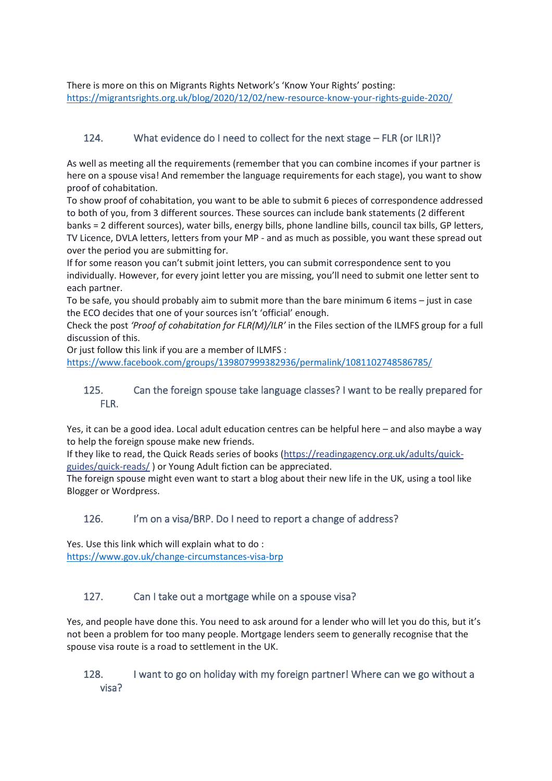There is more on this on Migrants Rights Network's 'Know Your Rights' posting: <https://migrantsrights.org.uk/blog/2020/12/02/new-resource-know-your-rights-guide-2020/>

# <span id="page-51-0"></span>124. What evidence do I need to collect for the next stage – FLR (or ILR!)?

As well as meeting all the requirements (remember that you can combine incomes if your partner is here on a spouse visa! And remember the language requirements for each stage), you want to show proof of cohabitation.

To show proof of cohabitation, you want to be able to submit 6 pieces of correspondence addressed to both of you, from 3 different sources. These sources can include bank statements (2 different banks = 2 different sources), water bills, energy bills, phone landline bills, council tax bills, GP letters, TV Licence, DVLA letters, letters from your MP - and as much as possible, you want these spread out over the period you are submitting for.

If for some reason you can't submit joint letters, you can submit correspondence sent to you individually. However, for every joint letter you are missing, you'll need to submit one letter sent to each partner.

To be safe, you should probably aim to submit more than the bare minimum 6 items – just in case the ECO decides that one of your sources isn't 'official' enough.

Check the post *'Proof of cohabitation for FLR(M)/ILR'* in the Files section of the ILMFS group for a full discussion of this.

Or just follow this link if you are a member of ILMFS :

<https://www.facebook.com/groups/139807999382936/permalink/1081102748586785/>

### <span id="page-51-1"></span>125. Can the foreign spouse take language classes? I want to be really prepared for FLR.

Yes, it can be a good idea. Local adult education centres can be helpful here – and also maybe a way to help the foreign spouse make new friends.

If they like to read, the Quick Reads series of books [\(https://readingagency.org.uk/adults/quick](https://l.facebook.com/l.php?u=https%3A%2F%2Freadingagency.org.uk%2Fadults%2Fquick-guides%2Fquick-reads%2F&h=ATOX1BtkGH1sMZ4A1P8lnpOHZLa_QYiqt7BboxdHiRvDaB2ZvYSn4Ts4vNmfWr-N5h0xDKgoWTk0zp8HrcRWD4t9TIJNw7NqZxsuKwwQPcb0FzOGKsQzjyh49yqx1teVoRwCOcEwmd0)[guides/quick-reads/](https://l.facebook.com/l.php?u=https%3A%2F%2Freadingagency.org.uk%2Fadults%2Fquick-guides%2Fquick-reads%2F&h=ATOX1BtkGH1sMZ4A1P8lnpOHZLa_QYiqt7BboxdHiRvDaB2ZvYSn4Ts4vNmfWr-N5h0xDKgoWTk0zp8HrcRWD4t9TIJNw7NqZxsuKwwQPcb0FzOGKsQzjyh49yqx1teVoRwCOcEwmd0) ) or Young Adult fiction can be appreciated.

The foreign spouse might even want to start a blog about their new life in the UK, using a tool like Blogger or Wordpress.

### <span id="page-51-2"></span>126. I'm on a visa/BRP. Do I need to report a change of address?

Yes. Use this link which will explain what to do : <https://www.gov.uk/change-circumstances-visa-brp>

### <span id="page-51-3"></span>127. Can I take out a mortgage while on a spouse visa?

Yes, and people have done this. You need to ask around for a lender who will let you do this, but it's not been a problem for too many people. Mortgage lenders seem to generally recognise that the spouse visa route is a road to settlement in the UK.

#### <span id="page-51-4"></span>128. I want to go on holiday with my foreign partner! Where can we go without a visa?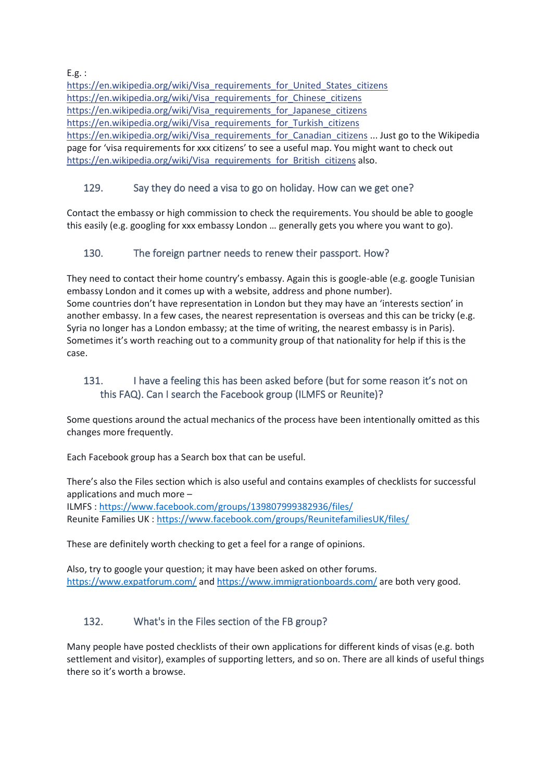E.g. :

[https://en.wikipedia.org/wiki/Visa\\_requirements\\_for\\_United\\_States\\_citizens](https://l.facebook.com/l.php?u=https%3A%2F%2Fen.wikipedia.org%2Fwiki%2FVisa_requirements_for_United_States_citizens&h=ATOX1BtkGH1sMZ4A1P8lnpOHZLa_QYiqt7BboxdHiRvDaB2ZvYSn4Ts4vNmfWr-N5h0xDKgoWTk0zp8HrcRWD4t9TIJNw7NqZxsuKwwQPcb0FzOGKsQzjyh49yqx1teVoRwCOcEwmd0) [https://en.wikipedia.org/wiki/Visa\\_requirements\\_for\\_Chinese\\_citizens](https://l.facebook.com/l.php?u=https%3A%2F%2Fen.wikipedia.org%2Fwiki%2FVisa_requirements_for_Chinese_citizens&h=ATOX1BtkGH1sMZ4A1P8lnpOHZLa_QYiqt7BboxdHiRvDaB2ZvYSn4Ts4vNmfWr-N5h0xDKgoWTk0zp8HrcRWD4t9TIJNw7NqZxsuKwwQPcb0FzOGKsQzjyh49yqx1teVoRwCOcEwmd0) [https://en.wikipedia.org/wiki/Visa\\_requirements\\_for\\_Japanese\\_citizens](https://l.facebook.com/l.php?u=https%3A%2F%2Fen.wikipedia.org%2Fwiki%2FVisa_requirements_for_Japanese_citizens&h=ATOX1BtkGH1sMZ4A1P8lnpOHZLa_QYiqt7BboxdHiRvDaB2ZvYSn4Ts4vNmfWr-N5h0xDKgoWTk0zp8HrcRWD4t9TIJNw7NqZxsuKwwQPcb0FzOGKsQzjyh49yqx1teVoRwCOcEwmd0) [https://en.wikipedia.org/wiki/Visa\\_requirements\\_for\\_Turkish\\_citizens](https://l.facebook.com/l.php?u=https%3A%2F%2Fen.wikipedia.org%2Fwiki%2FVisa_requirements_for_Turkish_citizens&h=ATOX1BtkGH1sMZ4A1P8lnpOHZLa_QYiqt7BboxdHiRvDaB2ZvYSn4Ts4vNmfWr-N5h0xDKgoWTk0zp8HrcRWD4t9TIJNw7NqZxsuKwwQPcb0FzOGKsQzjyh49yqx1teVoRwCOcEwmd0) [https://en.wikipedia.org/wiki/Visa\\_requirements\\_for\\_Canadian\\_citizens](https://l.facebook.com/l.php?u=https%3A%2F%2Fen.wikipedia.org%2Fwiki%2FVisa_requirements_for_Canadian_citizens&h=ATOX1BtkGH1sMZ4A1P8lnpOHZLa_QYiqt7BboxdHiRvDaB2ZvYSn4Ts4vNmfWr-N5h0xDKgoWTk0zp8HrcRWD4t9TIJNw7NqZxsuKwwQPcb0FzOGKsQzjyh49yqx1teVoRwCOcEwmd0) ... Just go to the Wikipedia page for 'visa requirements for xxx citizens' to see a useful map. You might want to check out [https://en.wikipedia.org/wiki/Visa\\_requirements\\_for\\_British\\_citizens](https://l.facebook.com/l.php?u=https%3A%2F%2Fen.wikipedia.org%2Fwiki%2FVisa_requirements_for_British_citizens&h=ATOX1BtkGH1sMZ4A1P8lnpOHZLa_QYiqt7BboxdHiRvDaB2ZvYSn4Ts4vNmfWr-N5h0xDKgoWTk0zp8HrcRWD4t9TIJNw7NqZxsuKwwQPcb0FzOGKsQzjyh49yqx1teVoRwCOcEwmd0) also.

# <span id="page-52-0"></span>129. Say they do need a visa to go on holiday. How can we get one?

Contact the embassy or high commission to check the requirements. You should be able to google this easily (e.g. googling for xxx embassy London … generally gets you where you want to go).

### <span id="page-52-1"></span>130. The foreign partner needs to renew their passport. How?

They need to contact their home country's embassy. Again this is google-able (e.g. google Tunisian embassy London and it comes up with a website, address and phone number). Some countries don't have representation in London but they may have an 'interests section' in another embassy. In a few cases, the nearest representation is overseas and this can be tricky (e.g. Syria no longer has a London embassy; at the time of writing, the nearest embassy is in Paris). Sometimes it's worth reaching out to a community group of that nationality for help if this is the case.

# <span id="page-52-2"></span>131. I have a feeling this has been asked before (but for some reason it's not on this FAQ). Can I search the Facebook group (ILMFS or Reunite)?

Some questions around the actual mechanics of the process have been intentionally omitted as this changes more frequently.

Each Facebook group has a Search box that can be useful.

There's also the Files section which is also useful and contains examples of checklists for successful applications and much more – ILMFS :<https://www.facebook.com/groups/139807999382936/files/>

Reunite Families UK :<https://www.facebook.com/groups/ReunitefamiliesUK/files/>

These are definitely worth checking to get a feel for a range of opinions.

Also, try to google your question; it may have been asked on other forums. <https://www.expatforum.com/> an[d https://www.immigrationboards.com/](https://www.immigrationboards.com/) are both very good.

# <span id="page-52-3"></span>132. What's in the Files section of the FB group?

Many people have posted checklists of their own applications for different kinds of visas (e.g. both settlement and visitor), examples of supporting letters, and so on. There are all kinds of useful things there so it's worth a browse.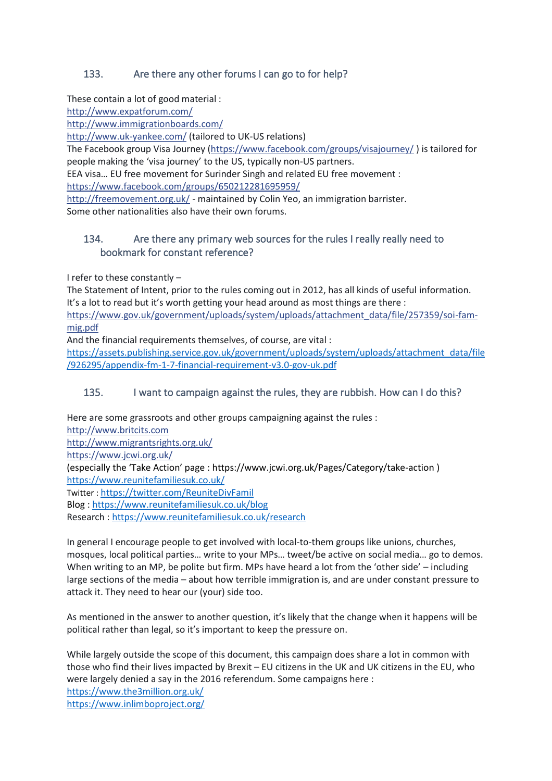# <span id="page-53-0"></span>133. Are there any other forums I can go to for help?

These contain a lot of good material :

[http://www.expatforum.com/](http://l.facebook.com/l.php?u=http%3A%2F%2Fwww.expatforum.com%2F&h=ATOX1BtkGH1sMZ4A1P8lnpOHZLa_QYiqt7BboxdHiRvDaB2ZvYSn4Ts4vNmfWr-N5h0xDKgoWTk0zp8HrcRWD4t9TIJNw7NqZxsuKwwQPcb0FzOGKsQzjyh49yqx1teVoRwCOcEwmd0)

[http://www.immigrationboards.com/](http://l.facebook.com/l.php?u=http%3A%2F%2Fwww.immigrationboards.com%2F&h=ATOX1BtkGH1sMZ4A1P8lnpOHZLa_QYiqt7BboxdHiRvDaB2ZvYSn4Ts4vNmfWr-N5h0xDKgoWTk0zp8HrcRWD4t9TIJNw7NqZxsuKwwQPcb0FzOGKsQzjyh49yqx1teVoRwCOcEwmd0)

[http://www.uk-yankee.com/](http://l.facebook.com/l.php?u=http%3A%2F%2Fwww.uk-yankee.com%2F&h=ATOX1BtkGH1sMZ4A1P8lnpOHZLa_QYiqt7BboxdHiRvDaB2ZvYSn4Ts4vNmfWr-N5h0xDKgoWTk0zp8HrcRWD4t9TIJNw7NqZxsuKwwQPcb0FzOGKsQzjyh49yqx1teVoRwCOcEwmd0) (tailored to UK-US relations)

The Facebook group Visa Journey [\(https://www.facebook.com/groups/visajourney/](https://www.facebook.com/groups/visajourney/)) is tailored for people making the 'visa journey' to the US, typically non-US partners.

EEA visa… EU free movement for Surinder Singh and related EU free movement :

<https://www.facebook.com/groups/650212281695959/>

[http://freemovement.org.uk/](http://l.facebook.com/l.php?u=http%3A%2F%2Ffreemovement.org.uk%2F&h=ATOX1BtkGH1sMZ4A1P8lnpOHZLa_QYiqt7BboxdHiRvDaB2ZvYSn4Ts4vNmfWr-N5h0xDKgoWTk0zp8HrcRWD4t9TIJNw7NqZxsuKwwQPcb0FzOGKsQzjyh49yqx1teVoRwCOcEwmd0) - maintained by Colin Yeo, an immigration barrister. Some other nationalities also have their own forums.

# <span id="page-53-1"></span>134. Are there any primary web sources for the rules I really really need to bookmark for constant reference?

I refer to these constantly –

The Statement of Intent, prior to the rules coming out in 2012, has all kinds of useful information. It's a lot to read but it's worth getting your head around as most things are there : [https://www.gov.uk/government/uploads/system/uploads/attachment\\_data/file/257359/soi-fam](https://l.facebook.com/l.php?u=https%3A%2F%2Fwww.gov.uk%2Fgovernment%2Fuploads%2Fsystem%2Fuploads%2Fattachment_data%2Ffile%2F257359%2Fsoi-fam-mig.pdf&h=ATOX1BtkGH1sMZ4A1P8lnpOHZLa_QYiqt7BboxdHiRvDaB2ZvYSn4Ts4vNmfWr-N5h0xDKgoWTk0zp8HrcRWD4t9TIJNw7NqZxsuKwwQPcb0FzOGKsQzjyh49yqx1teVoRwCOcEwmd0)[mig.pdf](https://l.facebook.com/l.php?u=https%3A%2F%2Fwww.gov.uk%2Fgovernment%2Fuploads%2Fsystem%2Fuploads%2Fattachment_data%2Ffile%2F257359%2Fsoi-fam-mig.pdf&h=ATOX1BtkGH1sMZ4A1P8lnpOHZLa_QYiqt7BboxdHiRvDaB2ZvYSn4Ts4vNmfWr-N5h0xDKgoWTk0zp8HrcRWD4t9TIJNw7NqZxsuKwwQPcb0FzOGKsQzjyh49yqx1teVoRwCOcEwmd0)

And the financial requirements themselves, of course, are vital :

[https://assets.publishing.service.gov.uk/government/uploads/system/uploads/attachment\\_data/file](https://assets.publishing.service.gov.uk/government/uploads/system/uploads/attachment_data/file/926295/appendix-fm-1-7-financial-requirement-v3.0-gov-uk.pdf) [/926295/appendix-fm-1-7-financial-requirement-v3.0-gov-uk.pdf](https://assets.publishing.service.gov.uk/government/uploads/system/uploads/attachment_data/file/926295/appendix-fm-1-7-financial-requirement-v3.0-gov-uk.pdf)

# <span id="page-53-2"></span>135. I want to campaign against the rules, they are rubbish. How can I do this?

Here are some grassroots and other groups campaigning against the rules : [http://www.britcits.com](http://l.facebook.com/l.php?u=http%3A%2F%2Fwww.britcits.com%2F&h=ATOX1BtkGH1sMZ4A1P8lnpOHZLa_QYiqt7BboxdHiRvDaB2ZvYSn4Ts4vNmfWr-N5h0xDKgoWTk0zp8HrcRWD4t9TIJNw7NqZxsuKwwQPcb0FzOGKsQzjyh49yqx1teVoRwCOcEwmd0) [http://www.migrantsrights.org.uk/](http://l.facebook.com/l.php?u=http%3A%2F%2Fwww.migrantsrights.org.uk%2F&h=ATOX1BtkGH1sMZ4A1P8lnpOHZLa_QYiqt7BboxdHiRvDaB2ZvYSn4Ts4vNmfWr-N5h0xDKgoWTk0zp8HrcRWD4t9TIJNw7NqZxsuKwwQPcb0FzOGKsQzjyh49yqx1teVoRwCOcEwmd0) [https://www.jcwi.org.uk/](https://l.facebook.com/l.php?u=https%3A%2F%2Fwww.jcwi.org.uk%2F&h=ATOX1BtkGH1sMZ4A1P8lnpOHZLa_QYiqt7BboxdHiRvDaB2ZvYSn4Ts4vNmfWr-N5h0xDKgoWTk0zp8HrcRWD4t9TIJNw7NqZxsuKwwQPcb0FzOGKsQzjyh49yqx1teVoRwCOcEwmd0) (especially the 'Take Action' page : <https://www.jcwi.org.uk/Pages/Category/take-action> ) <https://www.reunitefamiliesuk.co.uk/> Twitter : <https://twitter.com/ReuniteDivFamil> Blog [: https://www.reunitefamiliesuk.co.uk/blog](https://www.reunitefamiliesuk.co.uk/blog) Research [: https://www.reunitefamiliesuk.co.uk/research](https://www.reunitefamiliesuk.co.uk/research)

In general I encourage people to get involved with local-to-them groups like unions, churches, mosques, local political parties… write to your MPs… tweet/be active on social media… go to demos. When writing to an MP, be polite but firm. MPs have heard a lot from the 'other side' – including large sections of the media – about how terrible immigration is, and are under constant pressure to attack it. They need to hear our (your) side too.

As mentioned in the answer to another question, it's likely that the change when it happens will be political rather than legal, so it's important to keep the pressure on.

While largely outside the scope of this document, this campaign does share a lot in common with those who find their lives impacted by Brexit – EU citizens in the UK and UK citizens in the EU, who were largely denied a say in the 2016 referendum. Some campaigns here : <https://www.the3million.org.uk/> <https://www.inlimboproject.org/>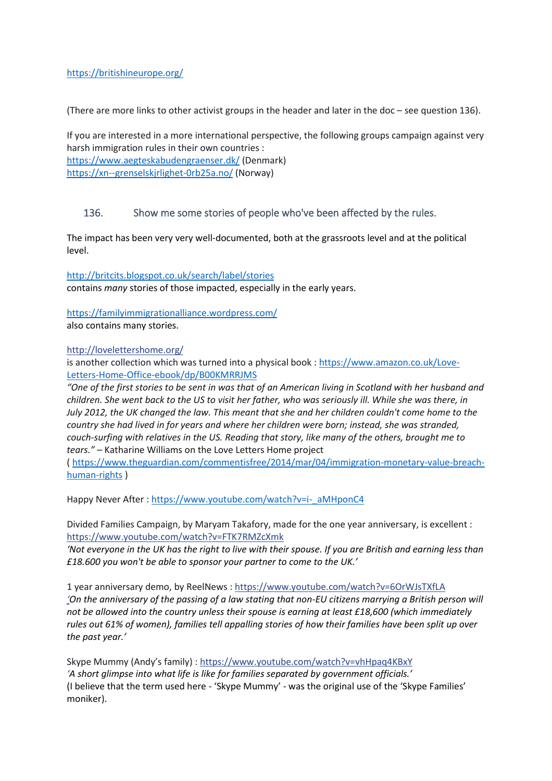#### <https://britishineurope.org/>

(There are more links to other activist groups in the header and later in the doc – see question 136).

If you are interested in a more international perspective, the following groups campaign against very harsh immigration rules in their own countries : <https://www.aegteskabudengraenser.dk/> (Denmark) [https://xn--grenselskjrlighet-0rb25a.no/](https://grenseløskjærlighet.no/) (Norway)

#### <span id="page-54-0"></span>136. Show me some stories of people who've been affected by the rules.

The impact has been very very well-documented, both at the grassroots level and at the political level.

<http://britcits.blogspot.co.uk/search/label/stories> contains *many* stories of those impacted, especially in the early years.

<https://familyimmigrationalliance.wordpress.com/>

also contains many stories.

#### [http://lovelettershome.org/](http://l.facebook.com/l.php?u=http%3A%2F%2Flovelettershome.org%2F&h=ATOX1BtkGH1sMZ4A1P8lnpOHZLa_QYiqt7BboxdHiRvDaB2ZvYSn4Ts4vNmfWr-N5h0xDKgoWTk0zp8HrcRWD4t9TIJNw7NqZxsuKwwQPcb0FzOGKsQzjyh49yqx1teVoRwCOcEwmd0)

is another collection which was turned into a physical book : [https://www.amazon.co.uk/Love-](https://www.amazon.co.uk/Love-Letters-Home-Office-ebook/dp/B00KMRRJMS)[Letters-Home-Office-ebook/dp/B00KMRRJMS](https://www.amazon.co.uk/Love-Letters-Home-Office-ebook/dp/B00KMRRJMS)

*"One of the first stories to be sent in was that of an American living in Scotland with her husband and children. She went back to the US to visit her father, who was seriously ill. While she was there, in July 2012, the UK changed the law. This meant that she and her children couldn't come home to the country she had lived in for years and where her children were born; instead, she was stranded, couch-surfing with relatives in the US. Reading that story, like many of the others, brought me to tears."* – Katharine Williams on the Love Letters Home project

( [https://www.theguardian.com/commentisfree/2014/mar/04/immigration-monetary-value-breach](https://www.theguardian.com/commentisfree/2014/mar/04/immigration-monetary-value-breach-human-rights)[human-rights](https://www.theguardian.com/commentisfree/2014/mar/04/immigration-monetary-value-breach-human-rights) )

Happy Never After : [https://www.youtube.com/watch?v=i-\\_aMHponC4](https://www.youtube.com/watch?v=i-_aMHponC4)

Divided Families Campaign, by Maryam Takafory, made for the one year anniversary, is excellent : [https://www.youtube.com/watch?v=FTK7RMZcXmk](https://l.facebook.com/l.php?u=https%3A%2F%2Fwww.youtube.com%2Fwatch%3Fv%3DFTK7RMZcXmk&h=ATOX1BtkGH1sMZ4A1P8lnpOHZLa_QYiqt7BboxdHiRvDaB2ZvYSn4Ts4vNmfWr-N5h0xDKgoWTk0zp8HrcRWD4t9TIJNw7NqZxsuKwwQPcb0FzOGKsQzjyh49yqx1teVoRwCOcEwmd0)

*'Not everyone in the UK has the right to live with their spouse. If you are British and earning less than £18.600 you won't be able to sponsor your partner to come to the UK.'*

1 year anniversary demo, by ReelNews : [https://www.youtube.com/watch?v=6OrWJsTXfLA](https://l.facebook.com/l.php?u=https%3A%2F%2Fwww.youtube.com%2Fwatch%3Fv%3D6OrWJsTXfLA&h=ATOX1BtkGH1sMZ4A1P8lnpOHZLa_QYiqt7BboxdHiRvDaB2ZvYSn4Ts4vNmfWr-N5h0xDKgoWTk0zp8HrcRWD4t9TIJNw7NqZxsuKwwQPcb0FzOGKsQzjyh49yqx1teVoRwCOcEwmd0) *'On the anniversary of the passing of a law stating that non-EU citizens marrying a British person will not be allowed into the country unless their spouse is earning at least £18,600 (which immediately rules out 61% of women), families tell appalling stories of how their families have been split up over the past year.'*

Skype Mummy (Andy's family) [: https://www.youtube.com/watch?v=vhHpaq4KBxY](https://l.facebook.com/l.php?u=https%3A%2F%2Fwww.youtube.com%2Fwatch%3Fv%3DvhHpaq4KBxY&h=ATOX1BtkGH1sMZ4A1P8lnpOHZLa_QYiqt7BboxdHiRvDaB2ZvYSn4Ts4vNmfWr-N5h0xDKgoWTk0zp8HrcRWD4t9TIJNw7NqZxsuKwwQPcb0FzOGKsQzjyh49yqx1teVoRwCOcEwmd0) *'A short glimpse into what life is like for families separated by government officials.'* (I believe that the term used here - 'Skype Mummy' - was the original use of the 'Skype Families' moniker).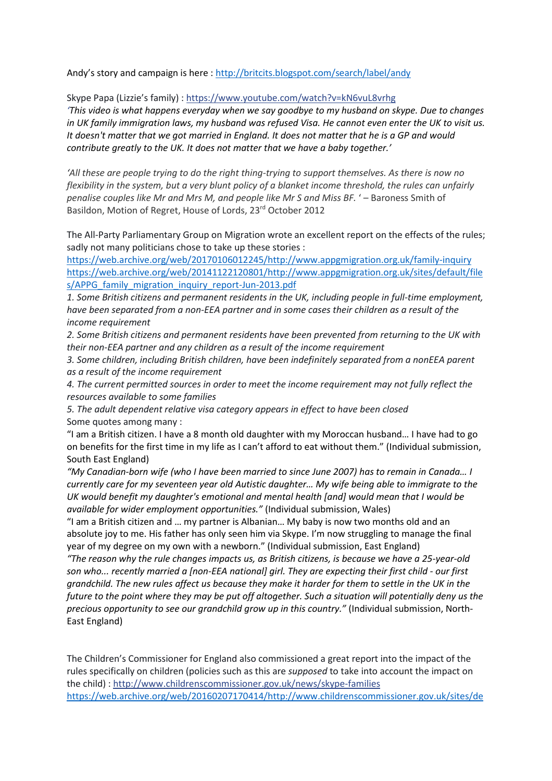Andy's story and campaign is here : <http://britcits.blogspot.com/search/label/andy>

Skype Papa (Lizzie's family) [: https://www.youtube.com/watch?v=kN6vuL8vrhg](https://l.facebook.com/l.php?u=https%3A%2F%2Fwww.youtube.com%2Fwatch%3Fv%3DkN6vuL8vrhg&h=ATOX1BtkGH1sMZ4A1P8lnpOHZLa_QYiqt7BboxdHiRvDaB2ZvYSn4Ts4vNmfWr-N5h0xDKgoWTk0zp8HrcRWD4t9TIJNw7NqZxsuKwwQPcb0FzOGKsQzjyh49yqx1teVoRwCOcEwmd0)

*'This video is what happens everyday when we say goodbye to my husband on skype. Due to changes in UK family immigration laws, my husband was refused Visa. He cannot even enter the UK to visit us. It doesn't matter that we got married in England. It does not matter that he is a GP and would contribute greatly to the UK. It does not matter that we have a baby together.'*

*'All these are people trying to do the right thing-trying to support themselves. As there is now no flexibility in the system, but a very blunt policy of a blanket income threshold, the rules can unfairly penalise couples like Mr and Mrs M, and people like Mr S and Miss BF.* ' – Baroness Smith of Basildon, Motion of Regret, House of Lords, 23rd October 2012

The All-Party Parliamentary Group on Migration wrote an excellent report on the effects of the rules; sadly not many politicians chose to take up these stories :

[https://web.archive.org/web/20170106012245/http://www.appgmigration.org.uk/family-inquiry](https://web.archive.org/web/20170106012245/http:/www.appgmigration.org.uk/family-inquiry) [https://web.archive.org/web/20141122120801/http://www.appgmigration.org.uk/sites/default/file](https://web.archive.org/web/20141122120801/http:/www.appgmigration.org.uk/sites/default/files/APPG_family_migration_inquiry_report-Jun-2013.pdf) s/APPG family migration inquiry report-Jun-2013.pdf

*1. Some British citizens and permanent residents in the UK, including people in full-time employment, have been separated from a non-EEA partner and in some cases their children as a result of the income requirement*

*2. Some British citizens and permanent residents have been prevented from returning to the UK with their non-EEA partner and any children as a result of the income requirement*

*3. Some children, including British children, have been indefinitely separated from a nonEEA parent as a result of the income requirement*

*4. The current permitted sources in order to meet the income requirement may not fully reflect the resources available to some families*

*5. The adult dependent relative visa category appears in effect to have been closed* Some quotes among many :

"I am a British citizen. I have a 8 month old daughter with my Moroccan husband… I have had to go on benefits for the first time in my life as I can't afford to eat without them." (Individual submission, South East England)

*"My Canadian-born wife (who I have been married to since June 2007) has to remain in Canada… I currently care for my seventeen year old Autistic daughter… My wife being able to immigrate to the UK would benefit my daughter's emotional and mental health [and] would mean that I would be available for wider employment opportunities."* (Individual submission, Wales)

"I am a British citizen and … my partner is Albanian… My baby is now two months old and an absolute joy to me. His father has only seen him via Skype. I'm now struggling to manage the final year of my degree on my own with a newborn." (Individual submission, East England)

*"The reason why the rule changes impacts us, as British citizens, is because we have a 25-year-old son who... recently married a [non-EEA national] girl. They are expecting their first child - our first grandchild. The new rules affect us because they make it harder for them to settle in the UK in the future to the point where they may be put off altogether. Such a situation will potentially deny us the precious opportunity to see our grandchild grow up in this country."* (Individual submission, North-East England)

The Children's Commissioner for England also commissioned a great report into the impact of the rules specifically on children (policies such as this are *supposed* to take into account the impact on the child) : [http://www.childrenscommissioner.gov.uk/news/skype-families](http://l.facebook.com/l.php?u=http%3A%2F%2Fwww.childrenscommissioner.gov.uk%2Fnews%2Fskype-families&h=ATOX1BtkGH1sMZ4A1P8lnpOHZLa_QYiqt7BboxdHiRvDaB2ZvYSn4Ts4vNmfWr-N5h0xDKgoWTk0zp8HrcRWD4t9TIJNw7NqZxsuKwwQPcb0FzOGKsQzjyh49yqx1teVoRwCOcEwmd0) [https://web.archive.org/web/20160207170414/http://www.childrenscommissioner.gov.uk/sites/de](https://web.archive.org/web/20160207170414/http:/www.childrenscommissioner.gov.uk/sites/default/files/publications/CCO-Family-Friendly-Report-090915.pdf)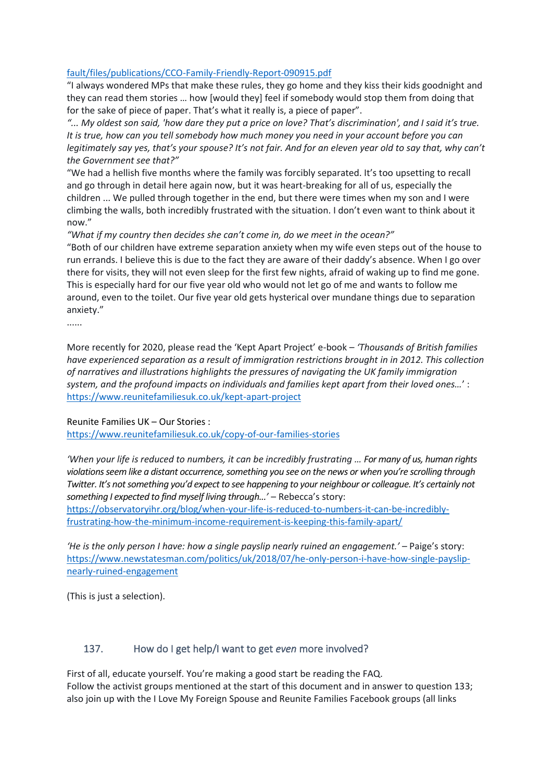#### [fault/files/publications/CCO-Family-Friendly-Report-090915.pdf](https://web.archive.org/web/20160207170414/http:/www.childrenscommissioner.gov.uk/sites/default/files/publications/CCO-Family-Friendly-Report-090915.pdf)

"I always wondered MPs that make these rules, they go home and they kiss their kids goodnight and they can read them stories … how [would they] feel if somebody would stop them from doing that for the sake of piece of paper. That's what it really is, a piece of paper".

*"... My oldest son said, 'how dare they put a price on love? That's discrimination', and I said it's true. It is true, how can you tell somebody how much money you need in your account before you can legitimately say yes, that's your spouse? It's not fair. And for an eleven year old to say that, why can't the Government see that?"*

"We had a hellish five months where the family was forcibly separated. It's too upsetting to recall and go through in detail here again now, but it was heart-breaking for all of us, especially the children ... We pulled through together in the end, but there were times when my son and I were climbing the walls, both incredibly frustrated with the situation. I don't even want to think about it now."

*"What if my country then decides she can't come in, do we meet in the ocean?"*

"Both of our children have extreme separation anxiety when my wife even steps out of the house to run errands. I believe this is due to the fact they are aware of their daddy's absence. When I go over there for visits, they will not even sleep for the first few nights, afraid of waking up to find me gone. This is especially hard for our five year old who would not let go of me and wants to follow me around, even to the toilet. Our five year old gets hysterical over mundane things due to separation anxiety."

......

More recently for 2020, please read the 'Kept Apart Project' e-book – *'Thousands of British families have experienced separation as a result of immigration restrictions brought in in 2012. This collection of narratives and illustrations highlights the pressures of navigating the UK family immigration system, and the profound impacts on individuals and families kept apart from their loved ones…*' : <https://www.reunitefamiliesuk.co.uk/kept-apart-project>

Reunite Families UK – Our Stories :

<https://www.reunitefamiliesuk.co.uk/copy-of-our-families-stories>

*'When your life is reduced to numbers, it can be incredibly frustrating … For many of us, human rights violations seem like a distant occurrence, something you see on the news or when you're scrolling through Twitter. It's not something you'd expect to see happening to your neighbour or colleague. It's certainly not something I expected to find myself living through...'* – Rebecca's story:

[https://observatoryihr.org/blog/when-your-life-is-reduced-to-numbers-it-can-be-incredibly](https://observatoryihr.org/blog/when-your-life-is-reduced-to-numbers-it-can-be-incredibly-frustrating-how-the-minimum-income-requirement-is-keeping-this-family-apart/)[frustrating-how-the-minimum-income-requirement-is-keeping-this-family-apart/](https://observatoryihr.org/blog/when-your-life-is-reduced-to-numbers-it-can-be-incredibly-frustrating-how-the-minimum-income-requirement-is-keeping-this-family-apart/)

*'He is the only person I have: how a single payslip nearly ruined an engagement.'* – Paige's story: [https://www.newstatesman.com/politics/uk/2018/07/he-only-person-i-have-how-single-payslip](https://www.newstatesman.com/politics/uk/2018/07/he-only-person-i-have-how-single-payslip-nearly-ruined-engagement)[nearly-ruined-engagement](https://www.newstatesman.com/politics/uk/2018/07/he-only-person-i-have-how-single-payslip-nearly-ruined-engagement)

(This is just a selection).

#### <span id="page-56-0"></span>137. How do I get help/I want to get *even* more involved?

First of all, educate yourself. You're making a good start be reading the FAQ. Follow the activist groups mentioned at the start of this document and in answer to question 133; also join up with the I Love My Foreign Spouse and Reunite Families Facebook groups (all links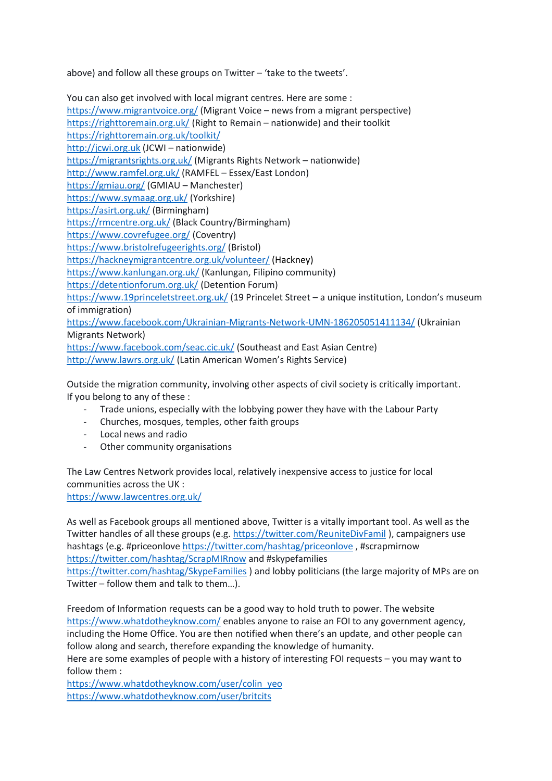above) and follow all these groups on Twitter – 'take to the tweets'.

You can also get involved with local migrant centres. Here are some : <https://www.migrantvoice.org/> (Migrant Voice – news from a migrant perspective) <https://righttoremain.org.uk/> (Right to Remain – nationwide) and their toolkit <https://righttoremain.org.uk/toolkit/> [http://jcwi.org.uk](http://jcwi.org.uk/) (JCWI – nationwide) <https://migrantsrights.org.uk/> (Migrants Rights Network – nationwide) <http://www.ramfel.org.uk/> (RAMFEL – Essex/East London) <https://gmiau.org/> (GMIAU – Manchester) <https://www.symaag.org.uk/> (Yorkshire) <https://asirt.org.uk/> (Birmingham) <https://rmcentre.org.uk/> (Black Country/Birmingham) <https://www.covrefugee.org/> (Coventry) <https://www.bristolrefugeerights.org/> (Bristol) <https://hackneymigrantcentre.org.uk/volunteer/> (Hackney) <https://www.kanlungan.org.uk/> (Kanlungan, Filipino community) <https://detentionforum.org.uk/> (Detention Forum) <https://www.19princeletstreet.org.uk/> (19 Princelet Street – a unique institution, London's museum of immigration) <https://www.facebook.com/Ukrainian-Migrants-Network-UMN-186205051411134/> (Ukrainian Migrants Network) <https://www.facebook.com/seac.cic.uk/> (Southeast and East Asian Centre) <http://www.lawrs.org.uk/> (Latin American Women's Rights Service)

Outside the migration community, involving other aspects of civil society is critically important. If you belong to any of these :

- Trade unions, especially with the lobbying power they have with the Labour Party
- Churches, mosques, temples, other faith groups
- Local news and radio
- Other community organisations

The Law Centres Network provides local, relatively inexpensive access to justice for local communities across the UK : <https://www.lawcentres.org.uk/>

As well as Facebook groups all mentioned above, Twitter is a vitally important tool. As well as the Twitter handles of all these groups (e.g.<https://twitter.com/ReuniteDivFamil>), campaigners use hashtags (e.g. #priceonlove <https://twitter.com/hashtag/priceonlove> , #scrapmirnow <https://twitter.com/hashtag/ScrapMIRnow> and #skypefamilies <https://twitter.com/hashtag/SkypeFamilies> ) and lobby politicians (the large majority of MPs are on Twitter – follow them and talk to them…).

Freedom of Information requests can be a good way to hold truth to power. The website <https://www.whatdotheyknow.com/> enables anyone to raise an FOI to any government agency, including the Home Office. You are then notified when there's an update, and other people can follow along and search, therefore expanding the knowledge of humanity.

Here are some examples of people with a history of interesting FOI requests – you may want to follow them :

[https://www.whatdotheyknow.com/user/colin\\_yeo](https://www.whatdotheyknow.com/user/colin_yeo) <https://www.whatdotheyknow.com/user/britcits>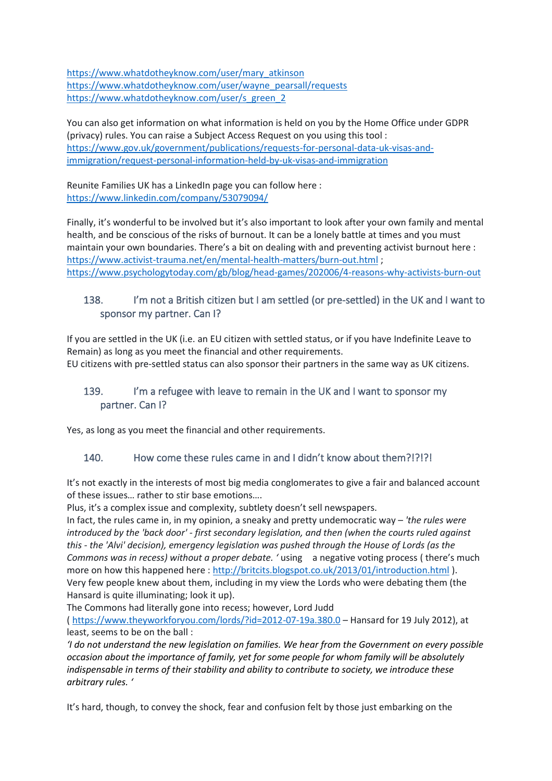[https://www.whatdotheyknow.com/user/mary\\_atkinson](https://www.whatdotheyknow.com/user/mary_atkinson) [https://www.whatdotheyknow.com/user/wayne\\_pearsall/requests](https://www.whatdotheyknow.com/user/wayne_pearsall/requests) [https://www.whatdotheyknow.com/user/s\\_green\\_2](https://www.whatdotheyknow.com/user/s_green_2)

You can also get information on what information is held on you by the Home Office under GDPR (privacy) rules. You can raise a Subject Access Request on you using this tool : [https://www.gov.uk/government/publications/requests-for-personal-data-uk-visas-and](https://www.gov.uk/government/publications/requests-for-personal-data-uk-visas-and-immigration/request-personal-information-held-by-uk-visas-and-immigration)[immigration/request-personal-information-held-by-uk-visas-and-immigration](https://www.gov.uk/government/publications/requests-for-personal-data-uk-visas-and-immigration/request-personal-information-held-by-uk-visas-and-immigration)

Reunite Families UK has a LinkedIn page you can follow here : <https://www.linkedin.com/company/53079094/>

Finally, it's wonderful to be involved but it's also important to look after your own family and mental health, and be conscious of the risks of burnout. It can be a lonely battle at times and you must maintain your own boundaries. There's a bit on dealing with and preventing activist burnout here : <https://www.activist-trauma.net/en/mental-health-matters/burn-out.html>; <https://www.psychologytoday.com/gb/blog/head-games/202006/4-reasons-why-activists-burn-out>

# <span id="page-58-0"></span>138. I'm not a British citizen but I am settled (or pre-settled) in the UK and I want to sponsor my partner. Can I?

If you are settled in the UK (i.e. an EU citizen with settled status, or if you have Indefinite Leave to Remain) as long as you meet the financial and other requirements. EU citizens with pre-settled status can also sponsor their partners in the same way as UK citizens.

# <span id="page-58-1"></span>139. I'm a refugee with leave to remain in the UK and I want to sponsor my partner. Can I?

Yes, as long as you meet the financial and other requirements.

### <span id="page-58-2"></span>140. How come these rules came in and I didn't know about them?!?!?!

It's not exactly in the interests of most big media conglomerates to give a fair and balanced account of these issues… rather to stir base emotions….

Plus, it's a complex issue and complexity, subtlety doesn't sell newspapers.

In fact, the rules came in, in my opinion, a sneaky and pretty undemocratic way – *'the rules were introduced by the 'back door' - first secondary legislation, and then (when the courts ruled against this - the 'Alvi' decision), emergency legislation was pushed through the House of Lords (as the Commons was in recess) without a proper debate. '* using a negative voting process ( there's much more on how this happened here :<http://britcits.blogspot.co.uk/2013/01/introduction.html>). Very few people knew about them, including in my view the Lords who were debating them (the Hansard is quite illuminating; look it up).

The Commons had literally gone into recess; however, Lord Judd

(<https://www.theyworkforyou.com/lords/?id=2012-07-19a.380.0> – Hansard for 19 July 2012), at least, seems to be on the ball :

*'I do not understand the new legislation on families. We hear from the Government on every possible occasion about the importance of family, yet for some people for whom family will be absolutely indispensable in terms of their stability and ability to contribute to society, we introduce these arbitrary rules. '*

It's hard, though, to convey the shock, fear and confusion felt by those just embarking on the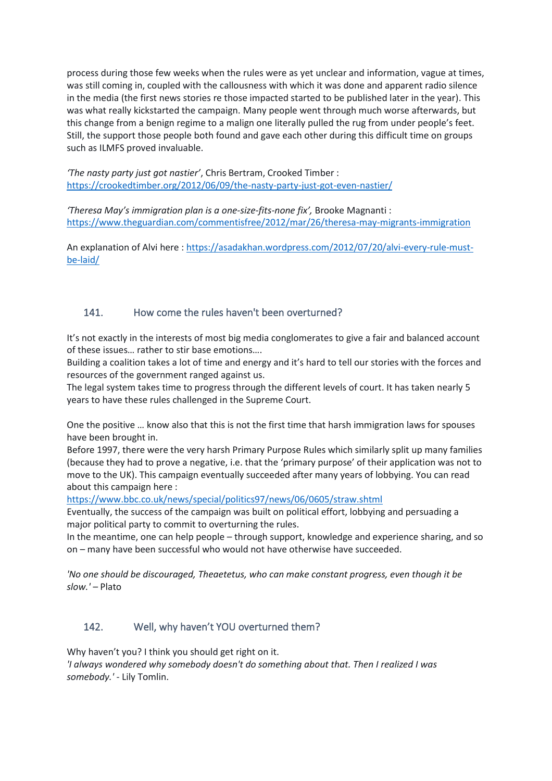process during those few weeks when the rules were as yet unclear and information, vague at times, was still coming in, coupled with the callousness with which it was done and apparent radio silence in the media (the first news stories re those impacted started to be published later in the year). This was what really kickstarted the campaign. Many people went through much worse afterwards, but this change from a benign regime to a malign one literally pulled the rug from under people's feet. Still, the support those people both found and gave each other during this difficult time on groups such as ILMFS proved invaluable.

*'The nasty party just got nastier'*, Chris Bertram, Crooked Timber : <https://crookedtimber.org/2012/06/09/the-nasty-party-just-got-even-nastier/>

*'Theresa May's immigration plan is a one-size-fits-none fix',* Brooke Magnanti : <https://www.theguardian.com/commentisfree/2012/mar/26/theresa-may-migrants-immigration>

An explanation of Alvi here: [https://asadakhan.wordpress.com/2012/07/20/alvi-every-rule-must](https://asadakhan.wordpress.com/2012/07/20/alvi-every-rule-must-be-laid/)[be-laid/](https://asadakhan.wordpress.com/2012/07/20/alvi-every-rule-must-be-laid/)

### <span id="page-59-0"></span>141. How come the rules haven't been overturned?

It's not exactly in the interests of most big media conglomerates to give a fair and balanced account of these issues… rather to stir base emotions….

Building a coalition takes a lot of time and energy and it's hard to tell our stories with the forces and resources of the government ranged against us.

The legal system takes time to progress through the different levels of court. It has taken nearly 5 years to have these rules challenged in the Supreme Court.

One the positive … know also that this is not the first time that harsh immigration laws for spouses have been brought in.

Before 1997, there were the very harsh Primary Purpose Rules which similarly split up many families (because they had to prove a negative, i.e. that the 'primary purpose' of their application was not to move to the UK). This campaign eventually succeeded after many years of lobbying. You can read about this campaign here :

<https://www.bbc.co.uk/news/special/politics97/news/06/0605/straw.shtml>

Eventually, the success of the campaign was built on political effort, lobbying and persuading a major political party to commit to overturning the rules.

In the meantime, one can help people – through support, knowledge and experience sharing, and so on – many have been successful who would not have otherwise have succeeded.

*'No one should be discouraged, Theaetetus, who can make constant progress, even though it be slow.' –* Plato

### <span id="page-59-1"></span>142. Well, why haven't YOU overturned them?

Why haven't you? I think you should get right on it. *'I always wondered why somebody doesn't do something about that. Then I realized I was somebody.'* - Lily Tomlin.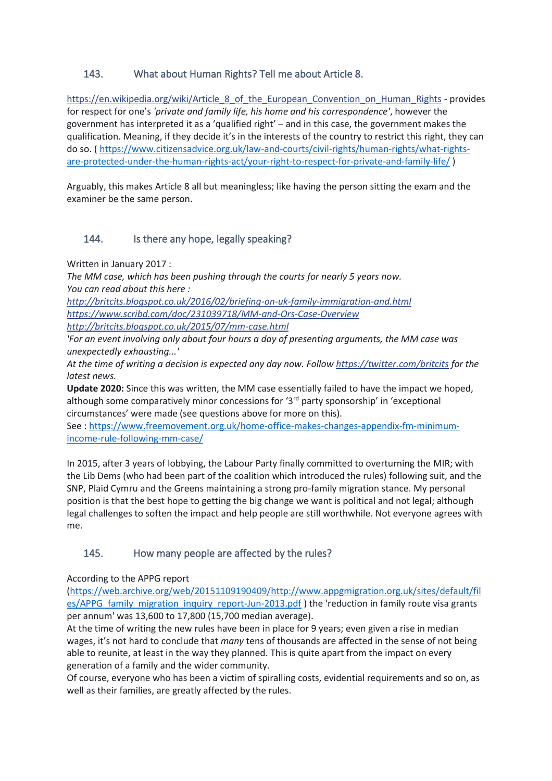# <span id="page-60-0"></span>143. What about Human Rights? Tell me about Article 8.

https://en.wikipedia.org/wiki/Article 8 of the European Convention on Human Rights - provides for respect for one's *'private and family life, his home and his correspondence'*, however the government has interpreted it as a 'qualified right' – and in this case, the government makes the qualification. Meaning, if they decide it's in the interests of the country to restrict this right, they can do so. ( [https://www.citizensadvice.org.uk/law-and-courts/civil-rights/human-rights/what-rights](https://www.citizensadvice.org.uk/law-and-courts/civil-rights/human-rights/what-rights-are-protected-under-the-human-rights-act/your-right-to-respect-for-private-and-family-life/)[are-protected-under-the-human-rights-act/your-right-to-respect-for-private-and-family-life/](https://www.citizensadvice.org.uk/law-and-courts/civil-rights/human-rights/what-rights-are-protected-under-the-human-rights-act/your-right-to-respect-for-private-and-family-life/) )

Arguably, this makes Article 8 all but meaningless; like having the person sitting the exam and the examiner be the same person.

### <span id="page-60-1"></span>144. Is there any hope, legally speaking?

Written in January 2017 :

*The MM case, which has been pushing through the courts for nearly 5 years now. You can read about this here :*

*[http://britcits.blogspot.co.uk/2016/02/briefing-on-uk-family-immigration-and.html](http://l.facebook.com/l.php?u=http%3A%2F%2Fbritcits.blogspot.co.uk%2F2016%2F02%2Fbriefing-on-uk-family-immigration-and.html&h=ATOX1BtkGH1sMZ4A1P8lnpOHZLa_QYiqt7BboxdHiRvDaB2ZvYSn4Ts4vNmfWr-N5h0xDKgoWTk0zp8HrcRWD4t9TIJNw7NqZxsuKwwQPcb0FzOGKsQzjyh49yqx1teVoRwCOcEwmd0) https://www.scribd.com/doc/231039718/MM-and-Ors-Case-Overview*

*[http://britcits.blogspot.co.uk/2015/07/mm-case.html](http://l.facebook.com/l.php?u=http%3A%2F%2Fbritcits.blogspot.co.uk%2F2015%2F07%2Fmm-case.html&h=ATOX1BtkGH1sMZ4A1P8lnpOHZLa_QYiqt7BboxdHiRvDaB2ZvYSn4Ts4vNmfWr-N5h0xDKgoWTk0zp8HrcRWD4t9TIJNw7NqZxsuKwwQPcb0FzOGKsQzjyh49yqx1teVoRwCOcEwmd0)*

*'For an event involving only about four hours a day of presenting arguments, the MM case was unexpectedly exhausting...'*

*At the time of writing a decision is expected any day now. Follow [https://twitter.com/britcits](https://l.facebook.com/l.php?u=https%3A%2F%2Ftwitter.com%2Fbritcits&h=ATOX1BtkGH1sMZ4A1P8lnpOHZLa_QYiqt7BboxdHiRvDaB2ZvYSn4Ts4vNmfWr-N5h0xDKgoWTk0zp8HrcRWD4t9TIJNw7NqZxsuKwwQPcb0FzOGKsQzjyh49yqx1teVoRwCOcEwmd0) for the latest news.*

**Update 2020:** Since this was written, the MM case essentially failed to have the impact we hoped, although some comparatively minor concessions for ' $3<sup>rd</sup>$  party sponsorship' in 'exceptional circumstances' were made (see questions above for more on this).

See : [https://www.freemovement.org.uk/home-office-makes-changes-appendix-fm-minimum](https://www.freemovement.org.uk/home-office-makes-changes-appendix-fm-minimum-income-rule-following-mm-case/)[income-rule-following-mm-case/](https://www.freemovement.org.uk/home-office-makes-changes-appendix-fm-minimum-income-rule-following-mm-case/)

In 2015, after 3 years of lobbying, the Labour Party finally committed to overturning the MIR; with the Lib Dems (who had been part of the coalition which introduced the rules) following suit, and the SNP, Plaid Cymru and the Greens maintaining a strong pro-family migration stance. My personal position is that the best hope to getting the big change we want is political and not legal; although legal challenges to soften the impact and help people are still worthwhile. Not everyone agrees with me.

### <span id="page-60-2"></span>145. How many people are affected by the rules?

According to the APPG report

[\(https://web.archive.org/web/20151109190409/http://www.appgmigration.org.uk/sites/default/fil](https://web.archive.org/web/20151109190409/http:/www.appgmigration.org.uk/sites/default/files/APPG_family_migration_inquiry_report-Jun-2013.pdf) [es/APPG\\_family\\_migration\\_inquiry\\_report-Jun-2013.pdf](https://web.archive.org/web/20151109190409/http:/www.appgmigration.org.uk/sites/default/files/APPG_family_migration_inquiry_report-Jun-2013.pdf) ) the 'reduction in family route visa grants per annum' was 13,600 to 17,800 (15,700 median average).

At the time of writing the new rules have been in place for 9 years; even given a rise in median wages, it's not hard to conclude that *many* tens of thousands are affected in the sense of not being able to reunite, at least in the way they planned. This is quite apart from the impact on every generation of a family and the wider community.

Of course, everyone who has been a victim of spiralling costs, evidential requirements and so on, as well as their families, are greatly affected by the rules.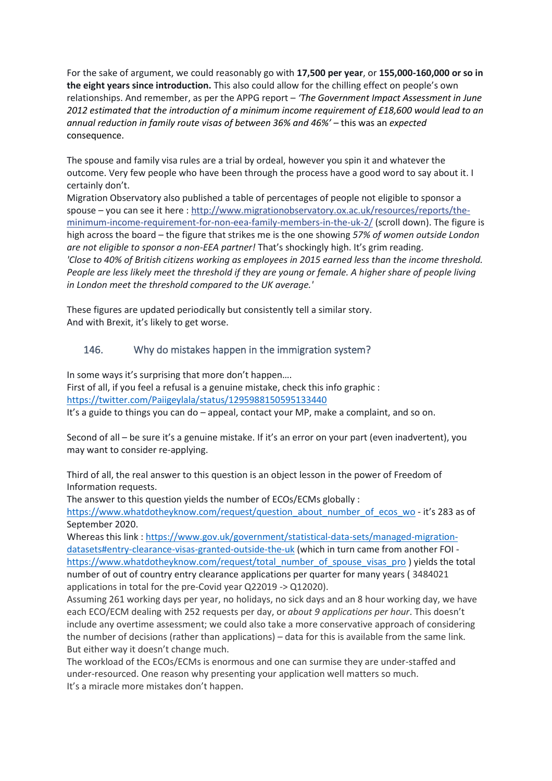For the sake of argument, we could reasonably go with **17,500 per year**, or **155,000-160,000 or so in the eight years since introduction.** This also could allow for the chilling effect on people's own relationships. And remember, as per the APPG report – *'The Government Impact Assessment in June 2012 estimated that the introduction of a minimum income requirement of £18,600 would lead to an annual reduction in family route visas of between 36% and 46%'* – this was an *expected* consequence.

The spouse and family visa rules are a trial by ordeal, however you spin it and whatever the outcome. Very few people who have been through the process have a good word to say about it. I certainly don't.

Migration Observatory also published a table of percentages of people not eligible to sponsor a spouse – you can see it here : [http://www.migrationobservatory.ox.ac.uk/resources/reports/the](http://l.facebook.com/l.php?u=http%3A%2F%2Fwww.migrationobservatory.ox.ac.uk%2Fresources%2Freports%2Fthe-minimum-income-requirement-for-non-eea-family-members-in-the-uk-2%2F&h=ATOX1BtkGH1sMZ4A1P8lnpOHZLa_QYiqt7BboxdHiRvDaB2ZvYSn4Ts4vNmfWr-N5h0xDKgoWTk0zp8HrcRWD4t9TIJNw7NqZxsuKwwQPcb0FzOGKsQzjyh49yqx1teVoRwCOcEwmd0)[minimum-income-requirement-for-non-eea-family-members-in-the-uk-2/](http://l.facebook.com/l.php?u=http%3A%2F%2Fwww.migrationobservatory.ox.ac.uk%2Fresources%2Freports%2Fthe-minimum-income-requirement-for-non-eea-family-members-in-the-uk-2%2F&h=ATOX1BtkGH1sMZ4A1P8lnpOHZLa_QYiqt7BboxdHiRvDaB2ZvYSn4Ts4vNmfWr-N5h0xDKgoWTk0zp8HrcRWD4t9TIJNw7NqZxsuKwwQPcb0FzOGKsQzjyh49yqx1teVoRwCOcEwmd0) (scroll down). The figure is high across the board – the figure that strikes me is the one showing *57% of women outside London are not eligible to sponsor a non-EEA partner!* That's shockingly high. It's grim reading. *'Close to 40% of British citizens working as employees in 2015 earned less than the income threshold. People are less likely meet the threshold if they are young or female. A higher share of people living in London meet the threshold compared to the UK average.'*

These figures are updated periodically but consistently tell a similar story. And with Brexit, it's likely to get worse.

# <span id="page-61-0"></span>146. Why do mistakes happen in the immigration system?

In some ways it's surprising that more don't happen….

First of all, if you feel a refusal is a genuine mistake, check this info graphic : <https://twitter.com/Paiigeylala/status/1295988150595133440>

It's a guide to things you can do – appeal, contact your MP, make a complaint, and so on.

Second of all – be sure it's a genuine mistake. If it's an error on your part (even inadvertent), you may want to consider re-applying.

Third of all, the real answer to this question is an object lesson in the power of Freedom of Information requests.

The answer to this question yields the number of ECOs/ECMs globally :

[https://www.whatdotheyknow.com/request/question\\_about\\_number\\_of\\_ecos\\_wo](https://www.whatdotheyknow.com/request/question_about_number_of_ecos_wo) - it's 283 as of September 2020.

Whereas this link : [https://www.gov.uk/government/statistical-data-sets/managed-migration](https://www.gov.uk/government/statistical-data-sets/managed-migration-datasets#entry-clearance-visas-granted-outside-the-uk)[datasets#entry-clearance-visas-granted-outside-the-uk](https://www.gov.uk/government/statistical-data-sets/managed-migration-datasets#entry-clearance-visas-granted-outside-the-uk) (which in turn came from another FOI [https://www.whatdotheyknow.com/request/total\\_number\\_of\\_spouse\\_visas\\_pro](https://www.whatdotheyknow.com/request/total_number_of_spouse_visas_pro) ) yields the total number of out of country entry clearance applications per quarter for many years ( 3484021 applications in total for the pre-Covid year Q22019 -> Q12020).

Assuming 261 working days per year, no holidays, no sick days and an 8 hour working day, we have each ECO/ECM dealing with 252 requests per day, or *about 9 applications per hour*. This doesn't include any overtime assessment; we could also take a more conservative approach of considering the number of decisions (rather than applications) – data for this is available from the same link. But either way it doesn't change much.

The workload of the ECOs/ECMs is enormous and one can surmise they are under-staffed and under-resourced. One reason why presenting your application well matters so much. It's a miracle more mistakes don't happen.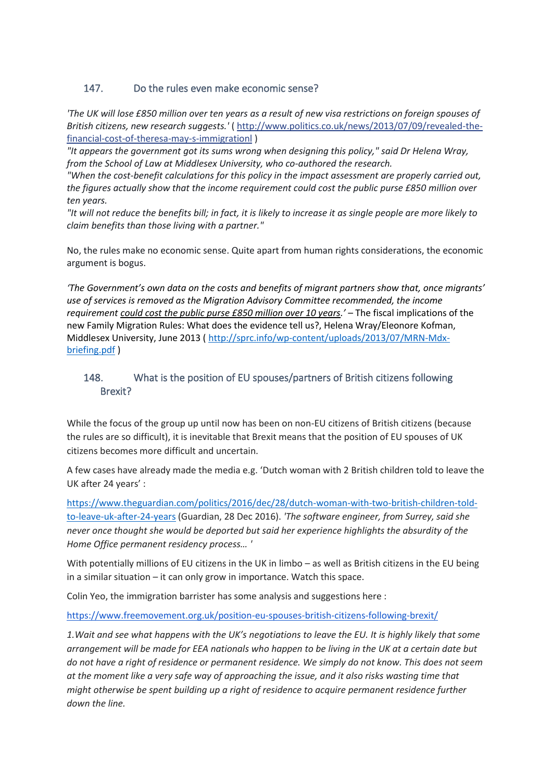### <span id="page-62-0"></span>147. Do the rules even make economic sense?

*'The UK will lose £850 million over ten years as a result of new visa restrictions on foreign spouses of British citizens, new research suggests.'* ( http://www.politics.co.uk/news/2013/07/09/revealed-thefinancial-cost-of-theresa-may-s-immigrationl )

*"It appears the government got its sums wrong when designing this policy," said Dr Helena Wray, from the School of Law at Middlesex University, who co-authored the research.*

*"When the cost-benefit calculations for this policy in the impact assessment are properly carried out, the figures actually show that the income requirement could cost the public purse £850 million over ten years.*

*"It will not reduce the benefits bill; in fact, it is likely to increase it as single people are more likely to claim benefits than those living with a partner."*

No, the rules make no economic sense. Quite apart from human rights considerations, the economic argument is bogus.

*'The Government's own data on the costs and benefits of migrant partners show that, once migrants' use of services is removed as the Migration Advisory Committee recommended, the income requirement could cost the public purse £850 million over 10 years.'* – The fiscal implications of the new Family Migration Rules: What does the evidence tell us?, Helena Wray/Eleonore Kofman, Middlesex University, June 2013 [\( http://sprc.info/wp-content/uploads/2013/07/MRN-Mdx](http://sprc.info/wp-content/uploads/2013/07/MRN-Mdx-briefing.pdf)[briefing.pdf](http://sprc.info/wp-content/uploads/2013/07/MRN-Mdx-briefing.pdf) )

### <span id="page-62-1"></span>148. What is the position of EU spouses/partners of British citizens following Brexit?

While the focus of the group up until now has been on non-EU citizens of British citizens (because the rules are so difficult), it is inevitable that Brexit means that the position of EU spouses of UK citizens becomes more difficult and uncertain.

A few cases have already made the media e.g. 'Dutch woman with 2 British children told to leave the UK after 24 years' :

[https://www.theguardian.com/politics/2016/dec/28/dutch-woman-with-two-british-children-told](https://www.theguardian.com/politics/2016/dec/28/dutch-woman-with-two-british-children-told-to-leave-uk-after-24-years)[to-leave-uk-after-24-years](https://www.theguardian.com/politics/2016/dec/28/dutch-woman-with-two-british-children-told-to-leave-uk-after-24-years) (Guardian, 28 Dec 2016). *'The software engineer, from Surrey, said she never once thought she would be deported but said her experience highlights the absurdity of the Home Office permanent residency process… '*

With potentially millions of EU citizens in the UK in limbo – as well as British citizens in the EU being in a similar situation – it can only grow in importance. Watch this space.

Colin Yeo, the immigration barrister has some analysis and suggestions here :

<https://www.freemovement.org.uk/position-eu-spouses-british-citizens-following-brexit/>

*1.Wait and see what happens with the UK's negotiations to leave the EU. It is highly likely that some arrangement will be made for EEA nationals who happen to be living in the UK at a certain date but do not have a right of residence or permanent residence. We simply do not know. This does not seem at the moment like a very safe way of approaching the issue, and it also risks wasting time that might otherwise be spent building up a right of residence to acquire permanent residence further down the line.*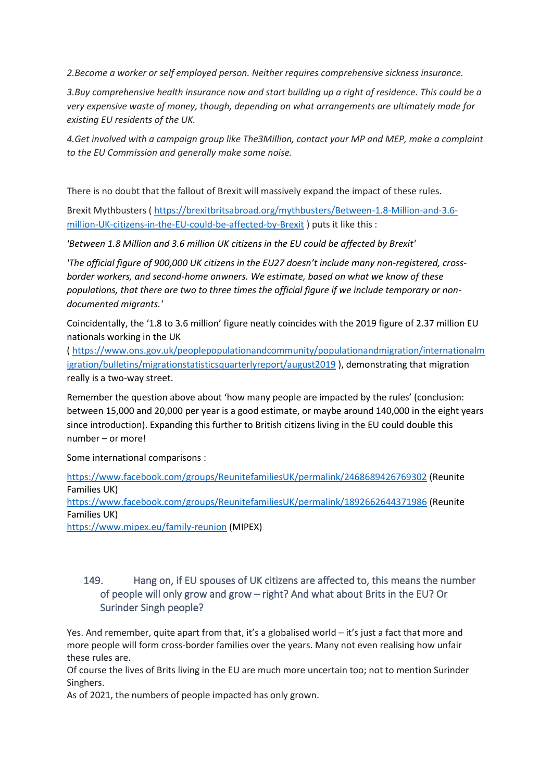*2.Become a worker or self employed person. Neither requires comprehensive sickness insurance.*

*3.Buy comprehensive health insurance now and start building up a right of residence. This could be a very expensive waste of money, though, depending on what arrangements are ultimately made for existing EU residents of the UK.*

*4.Get involved with a campaign group like The3Million, contact your MP and MEP, make a complaint to the EU Commission and generally make some noise.*

There is no doubt that the fallout of Brexit will massively expand the impact of these rules.

Brexit Mythbusters ( [https://brexitbritsabroad.org/mythbusters/Between-1.8-Million-and-3.6](https://brexitbritsabroad.org/mythbusters/Between-1.8-Million-and-3.6-million-UK-citizens-in-the-EU-could-be-affected-by-Brexit) [million-UK-citizens-in-the-EU-could-be-affected-by-Brexit](https://brexitbritsabroad.org/mythbusters/Between-1.8-Million-and-3.6-million-UK-citizens-in-the-EU-could-be-affected-by-Brexit) ) puts it like this :

*'Between 1.8 Million and 3.6 million UK citizens in the EU could be affected by Brexit'*

*'The official figure of 900,000 UK citizens in the EU27 doesn't include many non-registered, crossborder workers, and second-home onwners. We estimate, based on what we know of these populations, that there are two to three times the official figure if we include temporary or nondocumented migrants.'*

Coincidentally, the '1.8 to 3.6 million' figure neatly coincides with the 2019 figure of 2.37 million EU nationals working in the UK

( [https://www.ons.gov.uk/peoplepopulationandcommunity/populationandmigration/internationalm](https://www.ons.gov.uk/peoplepopulationandcommunity/populationandmigration/internationalmigration/bulletins/migrationstatisticsquarterlyreport/august2019) [igration/bulletins/migrationstatisticsquarterlyreport/august2019](https://www.ons.gov.uk/peoplepopulationandcommunity/populationandmigration/internationalmigration/bulletins/migrationstatisticsquarterlyreport/august2019) ), demonstrating that migration really is a two-way street.

Remember the question above about 'how many people are impacted by the rules' (conclusion: between 15,000 and 20,000 per year is a good estimate, or maybe around 140,000 in the eight years since introduction). Expanding this further to British citizens living in the EU could double this number – or more!

Some international comparisons :

<https://www.facebook.com/groups/ReunitefamiliesUK/permalink/2468689426769302> (Reunite Families UK) <https://www.facebook.com/groups/ReunitefamiliesUK/permalink/1892662644371986> (Reunite Families UK) <https://www.mipex.eu/family-reunion> (MIPEX)

#### <span id="page-63-0"></span>149. Hang on, if EU spouses of UK citizens are affected to, this means the number of people will only grow and grow – right? And what about Brits in the EU? Or Surinder Singh people?

Yes. And remember, quite apart from that, it's a globalised world – it's just a fact that more and more people will form cross-border families over the years. Many not even realising how unfair these rules are.

Of course the lives of Brits living in the EU are much more uncertain too; not to mention Surinder Singhers.

As of 2021, the numbers of people impacted has only grown.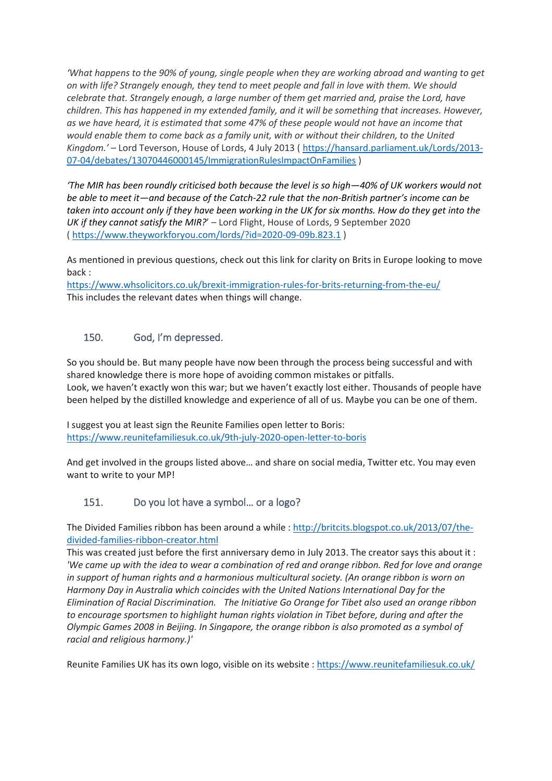*'What happens to the 90% of young, single people when they are working abroad and wanting to get on with life? Strangely enough, they tend to meet people and fall in love with them. We should celebrate that. Strangely enough, a large number of them get married and, praise the Lord, have children. This has happened in my extended family, and it will be something that increases. However, as we have heard, it is estimated that some 47% of these people would not have an income that would enable them to come back as a family unit, with or without their children, to the United Kingdom.' –* Lord Teverson, House of Lords, 4 July 2013 ( [https://hansard.parliament.uk/Lords/2013-](https://hansard.parliament.uk/Lords/2013-07-04/debates/13070446000145/ImmigrationRulesImpactOnFamilies) [07-04/debates/13070446000145/ImmigrationRulesImpactOnFamilies](https://hansard.parliament.uk/Lords/2013-07-04/debates/13070446000145/ImmigrationRulesImpactOnFamilies) )

*'The [MIR](https://en.wikipedia.org/wiki/MIR) has been roundly criticised both because the level is so high—40% of UK workers would not be able to meet it—and because of the [Catch-22](https://en.wikipedia.org/wiki/Catch-22) rule that the non-British partner's income can be taken into account only if they have been working in the UK for six months. How do they get into the UK if they cannot satisfy the MIR?*' – Lord Flight, House of Lords, 9 September 2020 (<https://www.theyworkforyou.com/lords/?id=2020-09-09b.823.1> )

As mentioned in previous questions, check out this link for clarity on Brits in Europe looking to move back :

<https://www.whsolicitors.co.uk/brexit-immigration-rules-for-brits-returning-from-the-eu/> This includes the relevant dates when things will change.

#### <span id="page-64-0"></span>150. God, I'm depressed.

So you should be. But many people have now been through the process being successful and with shared knowledge there is more hope of avoiding common mistakes or pitfalls. Look, we haven't exactly won this war; but we haven't exactly lost either. Thousands of people have been helped by the distilled knowledge and experience of all of us. Maybe you can be one of them.

I suggest you at least sign the Reunite Families open letter to Boris: <https://www.reunitefamiliesuk.co.uk/9th-july-2020-open-letter-to-boris>

And get involved in the groups listed above… and share on social media, Twitter etc. You may even want to write to your MP!

### <span id="page-64-1"></span>151. Do you lot have a symbol… or a logo?

The Divided Families ribbon has been around a while [: http://britcits.blogspot.co.uk/2013/07/the](http://britcits.blogspot.co.uk/2013/07/the-divided-families-ribbon-creator.html)[divided-families-ribbon-creator.html](http://britcits.blogspot.co.uk/2013/07/the-divided-families-ribbon-creator.html)

This was created just before the first anniversary demo in July 2013. The creator says this about it : *'We came up with the idea to wear a combination of red and orange ribbon. Red for love and orange in support of human rights and a harmonious multicultural society. (An orange ribbon is worn on Harmony Day in Australia which coincides with the United Nations International Day for the Elimination of Racial Discrimination. The Initiative Go Orange for Tibet also used an orange ribbon to encourage sportsmen to highlight human rights violation in Tibet before, during and after the Olympic Games 2008 in Beijing. In Singapore, the orange ribbon is also promoted as a symbol of racial and religious harmony.)'*

Reunite Families UK has its own logo, visible on its website [: https://www.reunitefamiliesuk.co.uk/](https://www.reunitefamiliesuk.co.uk/)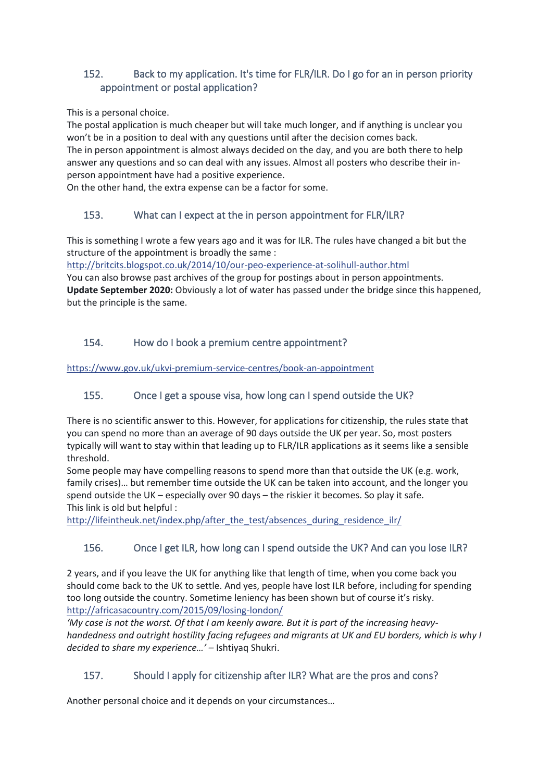# <span id="page-65-0"></span>152. Back to my application. It's time for FLR/ILR. Do I go for an in person priority appointment or postal application?

This is a personal choice.

The postal application is much cheaper but will take much longer, and if anything is unclear you won't be in a position to deal with any questions until after the decision comes back.

The in person appointment is almost always decided on the day, and you are both there to help answer any questions and so can deal with any issues. Almost all posters who describe their inperson appointment have had a positive experience.

On the other hand, the extra expense can be a factor for some.

# <span id="page-65-1"></span>153. What can I expect at the in person appointment for FLR/ILR?

This is something I wrote a few years ago and it was for ILR. The rules have changed a bit but the structure of the appointment is broadly the same :

[http://britcits.blogspot.co.uk/2014/10/our-peo-experience-at-solihull-author.html](http://l.facebook.com/l.php?u=http%3A%2F%2Fbritcits.blogspot.co.uk%2F2014%2F10%2Four-peo-experience-at-solihull-author.html&h=ATOX1BtkGH1sMZ4A1P8lnpOHZLa_QYiqt7BboxdHiRvDaB2ZvYSn4Ts4vNmfWr-N5h0xDKgoWTk0zp8HrcRWD4t9TIJNw7NqZxsuKwwQPcb0FzOGKsQzjyh49yqx1teVoRwCOcEwmd0)

You can also browse past archives of the group for postings about in person appointments. **Update September 2020:** Obviously a lot of water has passed under the bridge since this happened, but the principle is the same.

# <span id="page-65-2"></span>154. How do I book a premium centre appointment?

[https://www.gov.uk/ukvi-premium-service-centres/book-an-appointment](https://l.facebook.com/l.php?u=https%3A%2F%2Fwww.gov.uk%2Fukvi-premium-service-centres%2Fbook-an-appointment&h=ATOX1BtkGH1sMZ4A1P8lnpOHZLa_QYiqt7BboxdHiRvDaB2ZvYSn4Ts4vNmfWr-N5h0xDKgoWTk0zp8HrcRWD4t9TIJNw7NqZxsuKwwQPcb0FzOGKsQzjyh49yqx1teVoRwCOcEwmd0)

# <span id="page-65-3"></span>155. Once I get a spouse visa, how long can I spend outside the UK?

There is no scientific answer to this. However, for applications for citizenship, the rules state that you can spend no more than an average of 90 days outside the UK per year. So, most posters typically will want to stay within that leading up to FLR/ILR applications as it seems like a sensible threshold.

Some people may have compelling reasons to spend more than that outside the UK (e.g. work, family crises)… but remember time outside the UK can be taken into account, and the longer you spend outside the UK – especially over 90 days – the riskier it becomes. So play it safe. This link is old but helpful :

[http://lifeintheuk.net/index.php/after\\_the\\_test/absences\\_during\\_residence\\_ilr/](http://l.facebook.com/l.php?u=http%3A%2F%2Flifeintheuk.net%2Findex.php%2Fafter_the_test%2Fabsences_during_residence_ilr%2F&h=ATOX1BtkGH1sMZ4A1P8lnpOHZLa_QYiqt7BboxdHiRvDaB2ZvYSn4Ts4vNmfWr-N5h0xDKgoWTk0zp8HrcRWD4t9TIJNw7NqZxsuKwwQPcb0FzOGKsQzjyh49yqx1teVoRwCOcEwmd0)

# <span id="page-65-4"></span>156. Once I get ILR, how long can I spend outside the UK? And can you lose ILR?

2 years, and if you leave the UK for anything like that length of time, when you come back you should come back to the UK to settle. And yes, people have lost ILR before, including for spending too long outside the country. Sometime leniency has been shown but of course it's risky. [http://africasacountry.com/2015/09/losing-london/](http://l.facebook.com/l.php?u=http%3A%2F%2Fafricasacountry.com%2F2015%2F09%2Flosing-london%2F&h=ATOX1BtkGH1sMZ4A1P8lnpOHZLa_QYiqt7BboxdHiRvDaB2ZvYSn4Ts4vNmfWr-N5h0xDKgoWTk0zp8HrcRWD4t9TIJNw7NqZxsuKwwQPcb0FzOGKsQzjyh49yqx1teVoRwCOcEwmd0)

*'My case is not the worst. Of that I am keenly aware. But it is part of the increasing heavyhandedness and outright hostility facing refugees and migrants at UK and EU borders, which is why I decided to share my experience…' –* Ishtiyaq Shukri.

# <span id="page-65-5"></span>157. Should I apply for citizenship after ILR? What are the pros and cons?

Another personal choice and it depends on your circumstances…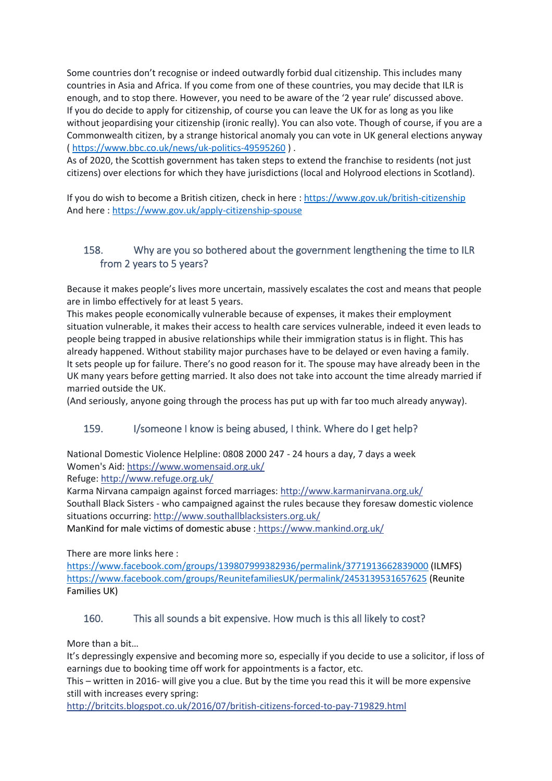Some countries don't recognise or indeed outwardly forbid dual citizenship. This includes many countries in Asia and Africa. If you come from one of these countries, you may decide that ILR is enough, and to stop there. However, you need to be aware of the '2 year rule' discussed above. If you do decide to apply for citizenship, of course you can leave the UK for as long as you like without jeopardising your citizenship (ironic really). You can also vote. Though of course, if you are a Commonwealth citizen, by a strange historical anomaly you can vote in UK general elections anyway ( <https://www.bbc.co.uk/news/uk-politics-49595260> ) .

As of 2020, the Scottish government has taken steps to extend the franchise to residents (not just citizens) over elections for which they have jurisdictions (local and Holyrood elections in Scotland).

If you do wish to become a British citizen, check in here [: https://www.gov.uk/british-citizenship](https://www.gov.uk/british-citizenship) And here :<https://www.gov.uk/apply-citizenship-spouse>

# <span id="page-66-0"></span>158. Why are you so bothered about the government lengthening the time to ILR from 2 years to 5 years?

Because it makes people's lives more uncertain, massively escalates the cost and means that people are in limbo effectively for at least 5 years.

This makes people economically vulnerable because of expenses, it makes their employment situation vulnerable, it makes their access to health care services vulnerable, indeed it even leads to people being trapped in abusive relationships while their immigration status is in flight. This has already happened. Without stability major purchases have to be delayed or even having a family. It sets people up for failure. There's no good reason for it. The spouse may have already been in the UK many years before getting married. It also does not take into account the time already married if married outside the UK.

(And seriously, anyone going through the process has put up with far too much already anyway).

### <span id="page-66-1"></span>159. I/someone I know is being abused, I think. Where do I get help?

National Domestic Violence Helpline: 0808 2000 247 - 24 hours a day, 7 days a week Women's Aid: https://www.womensaid.org.uk/

Refuge: http://www.refuge.org.uk/

Karma Nirvana campaign against forced marriages: http://www.karmanirvana.org.uk/ Southall Black Sisters - who campaigned against the rules because they foresaw domestic violence situations occurring[: http://www.southallblacksisters.org.uk/](http://l.facebook.com/l.php?u=http%3A%2F%2Fwww.southallblacksisters.org.uk%2F&h=ATOX1BtkGH1sMZ4A1P8lnpOHZLa_QYiqt7BboxdHiRvDaB2ZvYSn4Ts4vNmfWr-N5h0xDKgoWTk0zp8HrcRWD4t9TIJNw7NqZxsuKwwQPcb0FzOGKsQzjyh49yqx1teVoRwCOcEwmd0)

ManKind for male victims of domestic abuse : https://www.mankind.org.uk/

There are more links here :

<https://www.facebook.com/groups/139807999382936/permalink/3771913662839000> (ILMFS) <https://www.facebook.com/groups/ReunitefamiliesUK/permalink/2453139531657625> (Reunite Families UK)

### <span id="page-66-2"></span>160. This all sounds a bit expensive. How much is this all likely to cost?

More than a bit…

It's depressingly expensive and becoming more so, especially if you decide to use a solicitor, if loss of earnings due to booking time off work for appointments is a factor, etc.

This – written in 2016- will give you a clue. But by the time you read this it will be more expensive still with increases every spring:

[http://britcits.blogspot.co.uk/2016/07/british-citizens-forced-to-pay-719829.html](http://l.facebook.com/l.php?u=http%3A%2F%2Fbritcits.blogspot.co.uk%2F2015%2F04%2Fbritish-citizens-forced-to-pay-501229.html&h=ATOX1BtkGH1sMZ4A1P8lnpOHZLa_QYiqt7BboxdHiRvDaB2ZvYSn4Ts4vNmfWr-N5h0xDKgoWTk0zp8HrcRWD4t9TIJNw7NqZxsuKwwQPcb0FzOGKsQzjyh49yqx1teVoRwCOcEwmd0)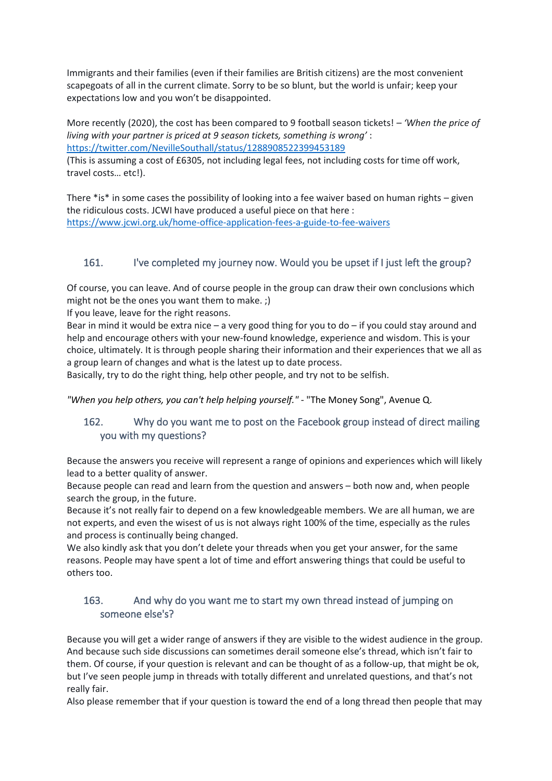Immigrants and their families (even if their families are British citizens) are the most convenient scapegoats of all in the current climate. Sorry to be so blunt, but the world is unfair; keep your expectations low and you won't be disappointed.

More recently (2020), the cost has been compared to 9 football season tickets! *– 'When the price of living with your partner is priced at 9 season tickets, something is wrong'* : <https://twitter.com/NevilleSouthall/status/1288908522399453189>

(This is assuming a cost of £6305, not including legal fees, not including costs for time off work, travel costs… etc!).

There \*is\* in some cases the possibility of looking into a fee waiver based on human rights – given the ridiculous costs. JCWI have produced a useful piece on that here : <https://www.jcwi.org.uk/home-office-application-fees-a-guide-to-fee-waivers>

# <span id="page-67-0"></span>161. I've completed my journey now. Would you be upset if I just left the group?

Of course, you can leave. And of course people in the group can draw their own conclusions which might not be the ones you want them to make. ;)

If you leave, leave for the right reasons.

Bear in mind it would be extra nice – a very good thing for you to do – if you could stay around and help and encourage others with your new-found knowledge, experience and wisdom. This is your choice, ultimately. It is through people sharing their information and their experiences that we all as a group learn of changes and what is the latest up to date process.

Basically, try to do the right thing, help other people, and try not to be selfish.

*"When you help others, you can't help helping yourself."* - "The Money Song", Avenue Q.

# <span id="page-67-1"></span>162. Why do you want me to post on the Facebook group instead of direct mailing you with my questions?

Because the answers you receive will represent a range of opinions and experiences which will likely lead to a better quality of answer.

Because people can read and learn from the question and answers – both now and, when people search the group, in the future.

Because it's not really fair to depend on a few knowledgeable members. We are all human, we are not experts, and even the wisest of us is not always right 100% of the time, especially as the rules and process is continually being changed.

We also kindly ask that you don't delete your threads when you get your answer, for the same reasons. People may have spent a lot of time and effort answering things that could be useful to others too.

### <span id="page-67-2"></span>163. And why do you want me to start my own thread instead of jumping on someone else's?

Because you will get a wider range of answers if they are visible to the widest audience in the group. And because such side discussions can sometimes derail someone else's thread, which isn't fair to them. Of course, if your question is relevant and can be thought of as a follow-up, that might be ok, but I've seen people jump in threads with totally different and unrelated questions, and that's not really fair.

Also please remember that if your question is toward the end of a long thread then people that may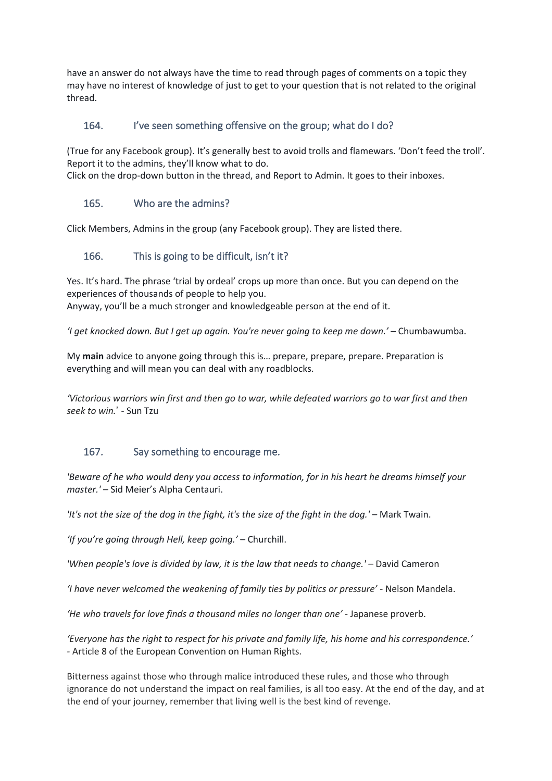have an answer do not always have the time to read through pages of comments on a topic they may have no interest of knowledge of just to get to your question that is not related to the original thread.

### <span id="page-68-0"></span>164. I've seen something offensive on the group; what do I do?

(True for any Facebook group). It's generally best to avoid trolls and flamewars. 'Don't feed the troll'. Report it to the admins, they'll know what to do.

Click on the drop-down button in the thread, and Report to Admin. It goes to their inboxes.

#### <span id="page-68-1"></span>165. Who are the admins?

Click Members, Admins in the group (any Facebook group). They are listed there.

#### <span id="page-68-2"></span>166. This is going to be difficult, isn't it?

Yes. It's hard. The phrase 'trial by ordeal' crops up more than once. But you can depend on the experiences of thousands of people to help you. Anyway, you'll be a much stronger and knowledgeable person at the end of it.

*'I get knocked down. But I get up again. You're never going to keep me down.'* – Chumbawumba.

My **main** advice to anyone going through this is… prepare, prepare, prepare. Preparation is everything and will mean you can deal with any roadblocks.

*'Victorious warriors win first and then go to war, while defeated warriors go to war first and then seek to win.*' - Sun Tzu

### <span id="page-68-3"></span>167. Say something to encourage me.

*'Beware of he who would deny you access to information, for in his heart he dreams himself your master.' –* Sid Meier's Alpha Centauri.

*'It's not the size of the dog in the fight, it's the size of the fight in the dog.'* – Mark Twain.

*'If you're going through Hell, keep going.'* – Churchill.

*'When people's love is divided by law, it is the law that needs to change.'* – David Cameron

*'I have never welcomed the weakening of family ties by politics or pressure'* - Nelson Mandela.

*'He who travels for love finds a thousand miles no longer than one'* - Japanese proverb.

*'Everyone has the right to respect for his private and family life, his home and his correspondence.' -* Article 8 of the European Convention on Human Rights.

Bitterness against those who through malice introduced these rules, and those who through ignorance do not understand the impact on real families, is all too easy. At the end of the day, and at the end of your journey, remember that living well is the best kind of revenge.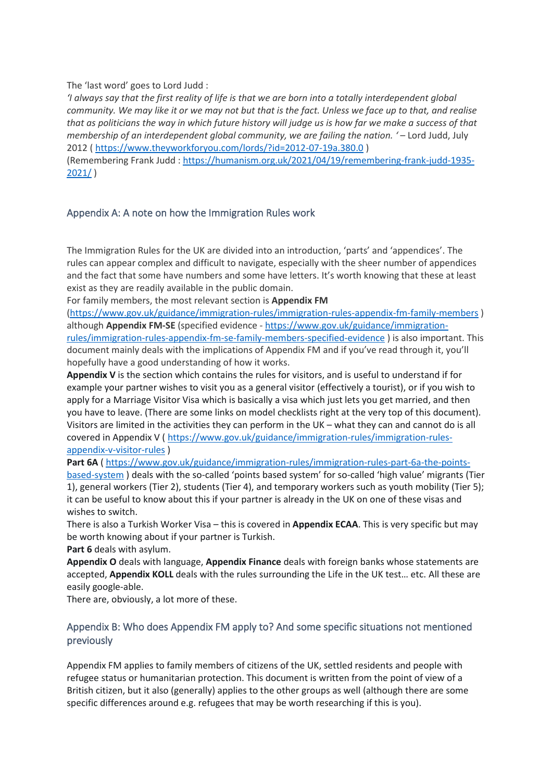The 'last word' goes to Lord Judd :

*'I always say that the first reality of life is that we are born into a totally interdependent global community. We may like it or we may not but that is the fact. Unless we face up to that, and realise that as politicians the way in which future history will judge us is how far we make a success of that membership of an interdependent global community, we are failing the nation. ' –* Lord Judd, July 2012 [\( https://www.theyworkforyou.com/lords/?id=2012-07-19a.380.0](https://www.theyworkforyou.com/lords/?id=2012-07-19a.380.0) )

(Remembering Frank Judd : [https://humanism.org.uk/2021/04/19/remembering-frank-judd-1935-](https://humanism.org.uk/2021/04/19/remembering-frank-judd-1935-2021/) [2021/](https://humanism.org.uk/2021/04/19/remembering-frank-judd-1935-2021/) )

#### <span id="page-69-0"></span>Appendix A: A note on how the Immigration Rules work

The Immigration Rules for the UK are divided into an introduction, 'parts' and 'appendices'. The rules can appear complex and difficult to navigate, especially with the sheer number of appendices and the fact that some have numbers and some have letters. It's worth knowing that these at least exist as they are readily available in the public domain.

For family members, the most relevant section is **Appendix FM**

[\(https://www.gov.uk/guidance/immigration-rules/immigration-rules-appendix-fm-family-members](https://www.gov.uk/guidance/immigration-rules/immigration-rules-appendix-fm-family-members) ) although **Appendix FM-SE** (specified evidence - [https://www.gov.uk/guidance/immigration](https://www.gov.uk/guidance/immigration-rules/immigration-rules-appendix-fm-se-family-members-specified-evidence)[rules/immigration-rules-appendix-fm-se-family-members-specified-evidence](https://www.gov.uk/guidance/immigration-rules/immigration-rules-appendix-fm-se-family-members-specified-evidence) ) is also important. This document mainly deals with the implications of Appendix FM and if you've read through it, you'll hopefully have a good understanding of how it works.

**Appendix V** is the section which contains the rules for visitors, and is useful to understand if for example your partner wishes to visit you as a general visitor (effectively a tourist), or if you wish to apply for a Marriage Visitor Visa which is basically a visa which just lets you get married, and then you have to leave. (There are some links on model checklists right at the very top of this document). Visitors are limited in the activities they can perform in the UK – what they can and cannot do is all covered in Appendix V [\( https://www.gov.uk/guidance/immigration-rules/immigration-rules](https://www.gov.uk/guidance/immigration-rules/immigration-rules-appendix-v-visitor-rules)[appendix-v-visitor-rules](https://www.gov.uk/guidance/immigration-rules/immigration-rules-appendix-v-visitor-rules) )

Part 6A ( [https://www.gov.uk/guidance/immigration-rules/immigration-rules-part-6a-the-points](https://www.gov.uk/guidance/immigration-rules/immigration-rules-part-6a-the-points-based-system)[based-system](https://www.gov.uk/guidance/immigration-rules/immigration-rules-part-6a-the-points-based-system) ) deals with the so-called 'points based system' for so-called 'high value' migrants (Tier 1), general workers (Tier 2), students (Tier 4), and temporary workers such as youth mobility (Tier 5); it can be useful to know about this if your partner is already in the UK on one of these visas and wishes to switch.

There is also a Turkish Worker Visa – this is covered in **Appendix ECAA**. This is very specific but may be worth knowing about if your partner is Turkish.

**Part 6** deals with asylum.

**Appendix O** deals with language, **Appendix Finance** deals with foreign banks whose statements are accepted, **Appendix KOLL** deals with the rules surrounding the Life in the UK test… etc. All these are easily google-able.

There are, obviously, a lot more of these.

#### <span id="page-69-1"></span>Appendix B: Who does Appendix FM apply to? And some specific situations not mentioned previously

Appendix FM applies to family members of citizens of the UK, settled residents and people with refugee status or humanitarian protection. This document is written from the point of view of a British citizen, but it also (generally) applies to the other groups as well (although there are some specific differences around e.g. refugees that may be worth researching if this is you).